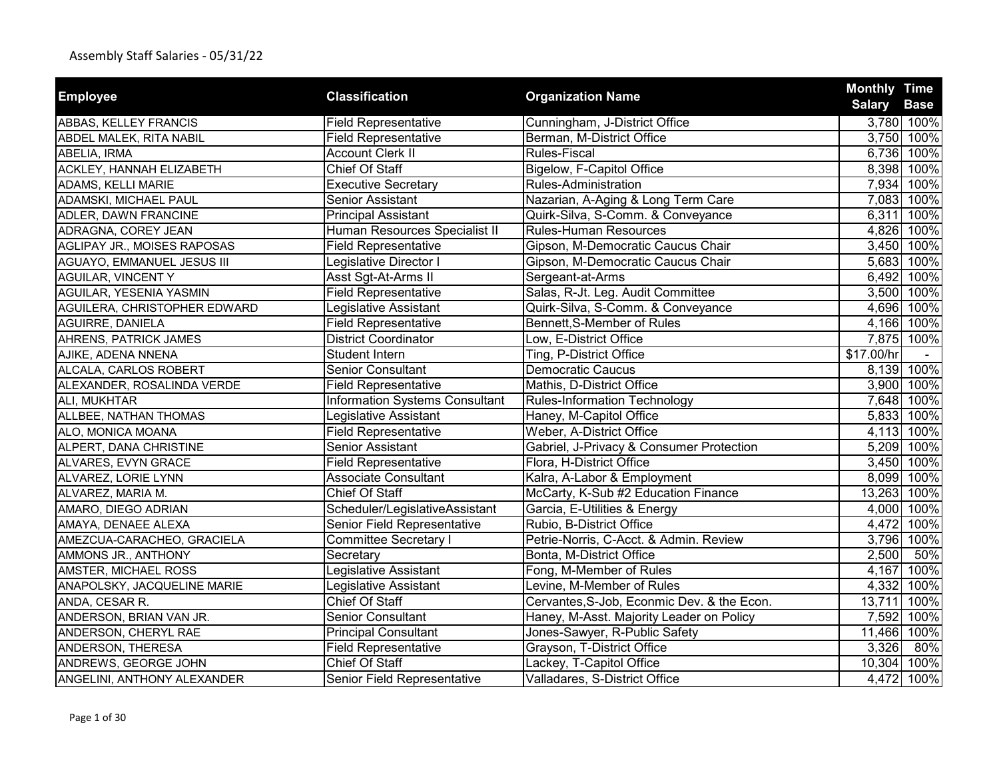|                                 | <b>Classification</b>                 |                                            | <b>Monthly Time</b> |             |
|---------------------------------|---------------------------------------|--------------------------------------------|---------------------|-------------|
| <b>Employee</b>                 |                                       | <b>Organization Name</b>                   | <b>Salary Base</b>  |             |
| ABBAS, KELLEY FRANCIS           | <b>Field Representative</b>           | Cunningham, J-District Office              |                     | 3,780 100%  |
| ABDEL MALEK, RITA NABIL         | <b>Field Representative</b>           | Berman, M-District Office                  |                     | 3,750 100%  |
| ABELIA, IRMA                    | <b>Account Clerk II</b>               | <b>Rules-Fiscal</b>                        |                     | 6,736 100%  |
| <b>ACKLEY, HANNAH ELIZABETH</b> | Chief Of Staff                        | Bigelow, F-Capitol Office                  |                     | 8,398 100%  |
| ADAMS, KELLI MARIE              | <b>Executive Secretary</b>            | Rules-Administration                       |                     | 7,934 100%  |
| ADAMSKI, MICHAEL PAUL           | Senior Assistant                      | Nazarian, A-Aging & Long Term Care         |                     | 7,083 100%  |
| ADLER, DAWN FRANCINE            | <b>Principal Assistant</b>            | Quirk-Silva, S-Comm. & Conveyance          |                     | 6,311 100%  |
| ADRAGNA, COREY JEAN             | Human Resources Specialist II         | <b>Rules-Human Resources</b>               |                     | 4,826 100%  |
| AGLIPAY JR., MOISES RAPOSAS     | <b>Field Representative</b>           | Gipson, M-Democratic Caucus Chair          |                     | 3,450 100%  |
| AGUAYO, EMMANUEL JESUS III      | Legislative Director I                | Gipson, M-Democratic Caucus Chair          |                     | 5,683 100%  |
| AGUILAR, VINCENT Y              | Asst Sgt-At-Arms II                   | Sergeant-at-Arms                           |                     | 6,492 100%  |
| AGUILAR, YESENIA YASMIN         | <b>Field Representative</b>           | Salas, R-Jt. Leg. Audit Committee          | 3,500               | 100%        |
| AGUILERA, CHRISTOPHER EDWARD    | Legislative Assistant                 | Quirk-Silva, S-Comm. & Conveyance          | 4,696               | 100%        |
| AGUIRRE, DANIELA                | <b>Field Representative</b>           | Bennett, S-Member of Rules                 |                     | 4,166 100%  |
| AHRENS, PATRICK JAMES           | <b>District Coordinator</b>           | Low, E-District Office                     |                     | 7,875 100%  |
| AJIKE, ADENA NNENA              | Student Intern                        | Ting, P-District Office                    | \$17.00/hr          |             |
| ALCALA, CARLOS ROBERT           | <b>Senior Consultant</b>              | <b>Democratic Caucus</b>                   |                     | 8,139 100%  |
| ALEXANDER, ROSALINDA VERDE      | <b>Field Representative</b>           | Mathis, D-District Office                  |                     | 3,900 100%  |
| ALI, MUKHTAR                    | <b>Information Systems Consultant</b> | <b>Rules-Information Technology</b>        |                     | 7,648 100%  |
| ALLBEE, NATHAN THOMAS           | Legislative Assistant                 | Haney, M-Capitol Office                    |                     | 5,833 100%  |
| ALO, MONICA MOANA               | <b>Field Representative</b>           | Weber, A-District Office                   |                     | 4,113 100%  |
| ALPERT, DANA CHRISTINE          | Senior Assistant                      | Gabriel, J-Privacy & Consumer Protection   |                     | 5,209 100%  |
| ALVARES, EVYN GRACE             | <b>Field Representative</b>           | Flora, H-District Office                   | 3,450               | 100%        |
| ALVAREZ, LORIE LYNN             | <b>Associate Consultant</b>           | Kalra, A-Labor & Employment                |                     | 8,099 100%  |
| ALVAREZ, MARIA M.               | Chief Of Staff                        | McCarty, K-Sub #2 Education Finance        |                     | 13,263 100% |
| AMARO, DIEGO ADRIAN             | Scheduler/LegislativeAssistant        | Garcia, E-Utilities & Energy               |                     | 4,000 100%  |
| AMAYA, DENAEE ALEXA             | Senior Field Representative           | Rubio, B-District Office                   |                     | 4,472 100%  |
| AMEZCUA-CARACHEO, GRACIELA      | <b>Committee Secretary I</b>          | Petrie-Norris, C-Acct. & Admin. Review     |                     | 3,796 100%  |
| AMMONS JR., ANTHONY             | Secretary                             | Bonta, M-District Office                   | 2,500               | 50%         |
| AMSTER, MICHAEL ROSS            | Legislative Assistant                 | Fong, M-Member of Rules                    | 4,167               | 100%        |
| ANAPOLSKY, JACQUELINE MARIE     | Legislative Assistant                 | Levine, M-Member of Rules                  |                     | 4,332 100%  |
| ANDA, CESAR R.                  | <b>Chief Of Staff</b>                 | Cervantes, S-Job, Econmic Dev. & the Econ. | 13,711              | 100%        |
| ANDERSON, BRIAN VAN JR.         | Senior Consultant                     | Haney, M-Asst. Majority Leader on Policy   | 7,592               | 100%        |
| ANDERSON, CHERYL RAE            | <b>Principal Consultant</b>           | Jones-Sawyer, R-Public Safety              | 11,466              | 100%        |
| ANDERSON, THERESA               | <b>Field Representative</b>           | Grayson, T-District Office                 | 3,326               | 80%         |
| ANDREWS, GEORGE JOHN            | Chief Of Staff                        | Lackey, T-Capitol Office                   |                     | 10,304 100% |
| ANGELINI, ANTHONY ALEXANDER     | Senior Field Representative           | Valladares, S-District Office              |                     | 4,472 100%  |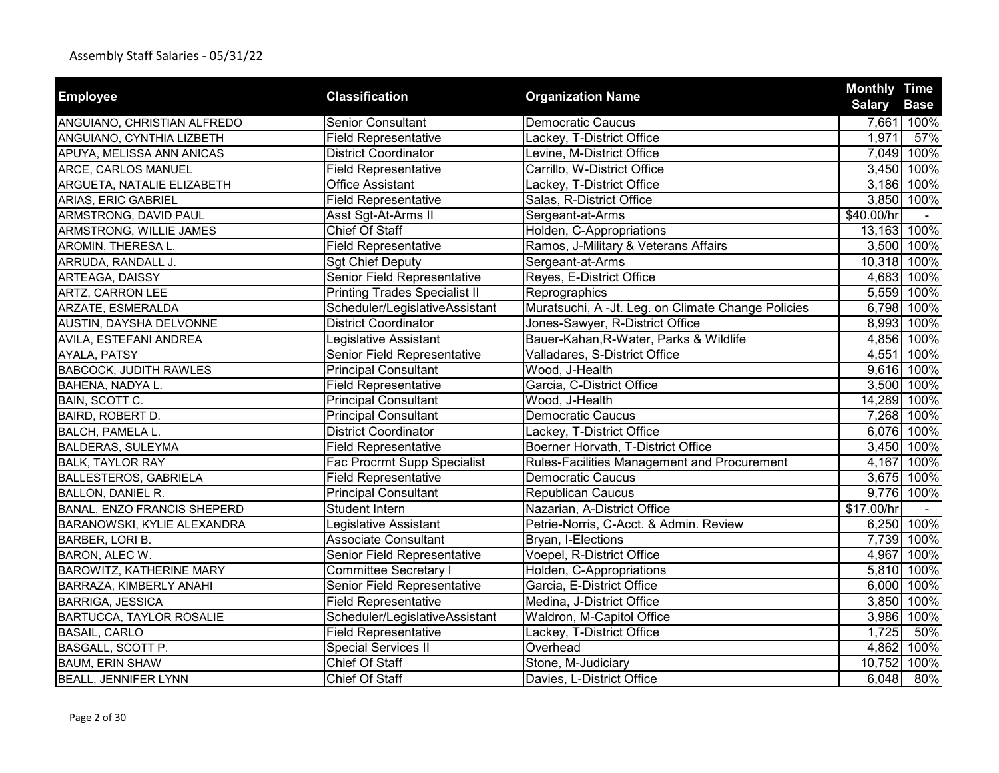|                                    |                                      |                                                    | <b>Monthly Time</b> |             |
|------------------------------------|--------------------------------------|----------------------------------------------------|---------------------|-------------|
| <b>Employee</b>                    | <b>Classification</b>                | <b>Organization Name</b>                           | <b>Salary</b>       | <b>Base</b> |
| ANGUIANO, CHRISTIAN ALFREDO        | <b>Senior Consultant</b>             | <b>Democratic Caucus</b>                           |                     | 7,661 100%  |
| ANGUIANO, CYNTHIA LIZBETH          | <b>Field Representative</b>          | Lackey, T-District Office                          | 1,971               | 57%         |
| APUYA, MELISSA ANN ANICAS          | <b>District Coordinator</b>          | Levine, M-District Office                          |                     | 7,049 100%  |
| ARCE, CARLOS MANUEL                | <b>Field Representative</b>          | Carrillo, W-District Office                        |                     | 3,450 100%  |
| ARGUETA, NATALIE ELIZABETH         | <b>Office Assistant</b>              | Lackey, T-District Office                          |                     | 3,186 100%  |
| ARIAS, ERIC GABRIEL                | <b>Field Representative</b>          | Salas, R-District Office                           |                     | 3,850 100%  |
| ARMSTRONG, DAVID PAUL              | Asst Sgt-At-Arms II                  | Sergeant-at-Arms                                   | \$40.00/hr          |             |
| ARMSTRONG, WILLIE JAMES            | Chief Of Staff                       | Holden, C-Appropriations                           |                     | 13,163 100% |
| AROMIN, THERESA L.                 | <b>Field Representative</b>          | Ramos, J-Military & Veterans Affairs               |                     | 3,500 100%  |
| ARRUDA, RANDALL J.                 | <b>Sgt Chief Deputy</b>              | Sergeant-at-Arms                                   |                     | 10,318 100% |
| ARTEAGA, DAISSY                    | Senior Field Representative          | Reyes, E-District Office                           |                     | 4,683 100%  |
| ARTZ, CARRON LEE                   | <b>Printing Trades Specialist II</b> | Reprographics                                      |                     | 5,559 100%  |
| ARZATE, ESMERALDA                  | Scheduler/LegislativeAssistant       | Muratsuchi, A -Jt. Leg. on Climate Change Policies |                     | 6,798 100%  |
| AUSTIN, DAYSHA DELVONNE            | <b>District Coordinator</b>          | Jones-Sawyer, R-District Office                    |                     | 8,993 100%  |
| AVILA, ESTEFANI ANDREA             | Legislative Assistant                | Bauer-Kahan, R-Water, Parks & Wildlife             |                     | 4,856 100%  |
| AYALA, PATSY                       | Senior Field Representative          | Valladares, S-District Office                      |                     | 4,551 100%  |
| <b>BABCOCK, JUDITH RAWLES</b>      | <b>Principal Consultant</b>          | Wood, J-Health                                     |                     | 9,616 100%  |
| BAHENA, NADYA L.                   | <b>Field Representative</b>          | Garcia, C-District Office                          |                     | 3,500 100%  |
| BAIN, SCOTT C.                     | <b>Principal Consultant</b>          | Wood, J-Health                                     |                     | 14,289 100% |
| BAIRD, ROBERT D.                   | <b>Principal Consultant</b>          | <b>Democratic Caucus</b>                           |                     | 7,268 100%  |
| BALCH, PAMELA L.                   | <b>District Coordinator</b>          | Lackey, T-District Office                          |                     | 6,076 100%  |
| BALDERAS, SULEYMA                  | <b>Field Representative</b>          | Boerner Horvath, T-District Office                 |                     | 3,450 100%  |
| <b>BALK, TAYLOR RAY</b>            | Fac Procrmt Supp Specialist          | Rules-Facilities Management and Procurement        |                     | 4,167 100%  |
| <b>BALLESTEROS, GABRIELA</b>       | <b>Field Representative</b>          | <b>Democratic Caucus</b>                           |                     | 3,675 100%  |
| <b>BALLON, DANIEL R.</b>           | <b>Principal Consultant</b>          | <b>Republican Caucus</b>                           |                     | 9,776 100%  |
| <b>BANAL, ENZO FRANCIS SHEPERD</b> | Student Intern                       | Nazarian, A-District Office                        | \$17.00/hr          |             |
| BARANOWSKI, KYLIE ALEXANDRA        | Legislative Assistant                | Petrie-Norris, C-Acct. & Admin. Review             |                     | 6,250 100%  |
| BARBER, LORI B.                    | <b>Associate Consultant</b>          | Bryan, I-Elections                                 |                     | 7,739 100%  |
| BARON, ALEC W.                     | Senior Field Representative          | Voepel, R-District Office                          |                     | 4,967 100%  |
| <b>BAROWITZ, KATHERINE MARY</b>    | <b>Committee Secretary I</b>         | Holden, C-Appropriations                           |                     | 5,810 100%  |
| BARRAZA, KIMBERLY ANAHI            | Senior Field Representative          | Garcia, E-District Office                          |                     | 6,000 100%  |
| <b>BARRIGA, JESSICA</b>            | <b>Field Representative</b>          | Medina, J-District Office                          | 3,850               | 100%        |
| BARTUCCA, TAYLOR ROSALIE           | Scheduler/LegislativeAssistant       | Waldron, M-Capitol Office                          | 3,986               | 100%        |
| <b>BASAIL, CARLO</b>               | <b>Field Representative</b>          | Lackey, T-District Office                          | 1,725               | 50%         |
| BASGALL, SCOTT P.                  | <b>Special Services II</b>           | Overhead                                           | 4,862               | 100%        |
| <b>BAUM, ERIN SHAW</b>             | Chief Of Staff                       | Stone, M-Judiciary                                 | 10,752              | 100%        |
| <b>BEALL, JENNIFER LYNN</b>        | Chief Of Staff                       | Davies, L-District Office                          | 6,048               | 80%         |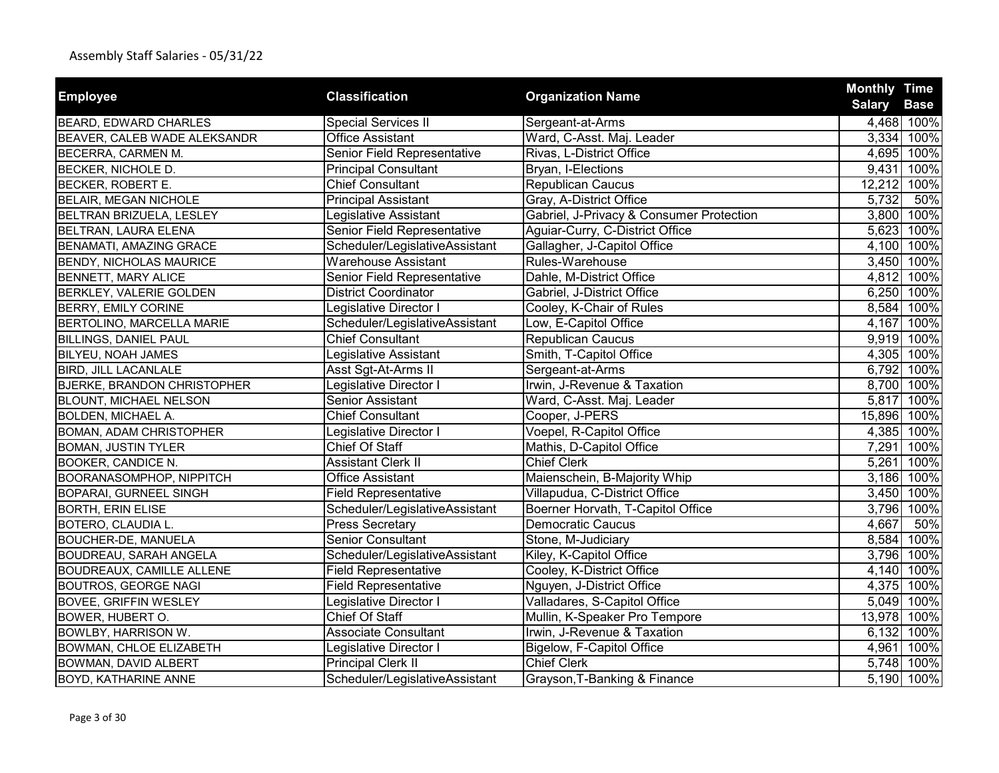| <b>Employee</b>                    | <b>Classification</b>          | <b>Organization Name</b>                 | <b>Monthly Time</b>          |
|------------------------------------|--------------------------------|------------------------------------------|------------------------------|
|                                    |                                |                                          | <b>Salary</b><br><b>Base</b> |
| BEARD, EDWARD CHARLES              | <b>Special Services II</b>     | Sergeant-at-Arms                         | 4,468 100%                   |
| BEAVER, CALEB WADE ALEKSANDR       | <b>Office Assistant</b>        | Ward, C-Asst. Maj. Leader                | 3,334 100%                   |
| BECERRA, CARMEN M.                 | Senior Field Representative    | Rivas, L-District Office                 | 4,695 100%                   |
| BECKER, NICHOLE D.                 | <b>Principal Consultant</b>    | Bryan, I-Elections                       | 9,431 100%                   |
| BECKER, ROBERT E.                  | <b>Chief Consultant</b>        | Republican Caucus                        | 12,212 100%                  |
| BELAIR, MEGAN NICHOLE              | <b>Principal Assistant</b>     | Gray, A-District Office                  | 50%<br>5,732                 |
| BELTRAN BRIZUELA, LESLEY           | Legislative Assistant          | Gabriel, J-Privacy & Consumer Protection | 3,800 100%                   |
| BELTRAN, LAURA ELENA               | Senior Field Representative    | Aguiar-Curry, C-District Office          | 5,623 100%                   |
| <b>BENAMATI, AMAZING GRACE</b>     | Scheduler/LegislativeAssistant | Gallagher, J-Capitol Office              | 4,100 100%                   |
| <b>BENDY, NICHOLAS MAURICE</b>     | <b>Warehouse Assistant</b>     | Rules-Warehouse                          | 3,450 100%                   |
| BENNETT, MARY ALICE                | Senior Field Representative    | Dahle, M-District Office                 | 4,812 100%                   |
| <b>BERKLEY, VALERIE GOLDEN</b>     | <b>District Coordinator</b>    | Gabriel, J-District Office               | 6,250<br>100%                |
| <b>BERRY, EMILY CORINE</b>         | Legislative Director I         | Cooley, K-Chair of Rules                 | 100%<br>8,584                |
| <b>BERTOLINO, MARCELLA MARIE</b>   | Scheduler/LegislativeAssistant | Low, E-Capitol Office                    | 4,167 100%                   |
| <b>BILLINGS, DANIEL PAUL</b>       | <b>Chief Consultant</b>        | Republican Caucus                        | 9,919 100%                   |
| BILYEU, NOAH JAMES                 | Legislative Assistant          | Smith, T-Capitol Office                  | 4,305 100%                   |
| <b>BIRD, JILL LACANLALE</b>        | Asst Sgt-At-Arms II            | Sergeant-at-Arms                         | 6,792 100%                   |
| <b>BJERKE, BRANDON CHRISTOPHER</b> | Legislative Director I         | Irwin, J-Revenue & Taxation              | 8,700 100%                   |
| <b>BLOUNT, MICHAEL NELSON</b>      | Senior Assistant               | Ward, C-Asst. Maj. Leader                | 5,817<br>100%                |
| BOLDEN, MICHAEL A.                 | <b>Chief Consultant</b>        | Cooper, J-PERS                           | 15,896 100%                  |
| BOMAN, ADAM CHRISTOPHER            | Legislative Director I         | Voepel, R-Capitol Office                 | 4,385 100%                   |
| <b>BOMAN, JUSTIN TYLER</b>         | Chief Of Staff                 | Mathis, D-Capitol Office                 | 7,291 100%                   |
| BOOKER, CANDICE N.                 | <b>Assistant Clerk II</b>      | <b>Chief Clerk</b>                       | 5,261<br>100%                |
| <b>BOORANASOMPHOP, NIPPITCH</b>    | <b>Office Assistant</b>        | Maienschein, B-Majority Whip             | 3,186 100%                   |
| <b>BOPARAI, GURNEEL SINGH</b>      | <b>Field Representative</b>    | Villapudua, C-District Office            | 3,450 100%                   |
| <b>BORTH, ERIN ELISE</b>           | Scheduler/LegislativeAssistant | Boerner Horvath, T-Capitol Office        | 3,796 100%                   |
| BOTERO, CLAUDIA L.                 | Press Secretary                | <b>Democratic Caucus</b>                 | 4,667<br>50%                 |
| <b>BOUCHER-DE, MANUELA</b>         | <b>Senior Consultant</b>       | Stone, M-Judiciary                       | 8,584 100%                   |
| <b>BOUDREAU, SARAH ANGELA</b>      | Scheduler/LegislativeAssistant | Kiley, K-Capitol Office                  | 3,796 100%                   |
| <b>BOUDREAUX, CAMILLE ALLENE</b>   | <b>Field Representative</b>    | Cooley, K-District Office                | 4,140 100%                   |
| <b>BOUTROS, GEORGE NAGI</b>        | <b>Field Representative</b>    | Nguyen, J-District Office                | 4,375 100%                   |
| <b>BOVEE, GRIFFIN WESLEY</b>       | Legislative Director I         | Valladares, S-Capitol Office             | 5,049 100%                   |
| BOWER, HUBERT O.                   | Chief Of Staff                 | Mullin, K-Speaker Pro Tempore            | 13,978 100%                  |
| <b>BOWLBY, HARRISON W.</b>         | <b>Associate Consultant</b>    | Irwin, J-Revenue & Taxation              | 6,132<br>100%                |
| BOWMAN, CHLOE ELIZABETH            | Legislative Director I         | Bigelow, F-Capitol Office                | 4,961<br>100%                |
| <b>BOWMAN, DAVID ALBERT</b>        | <b>Principal Clerk II</b>      | <b>Chief Clerk</b>                       | 5,748 100%                   |
| <b>BOYD, KATHARINE ANNE</b>        | Scheduler/LegislativeAssistant | Grayson, T-Banking & Finance             | 5,190 100%                   |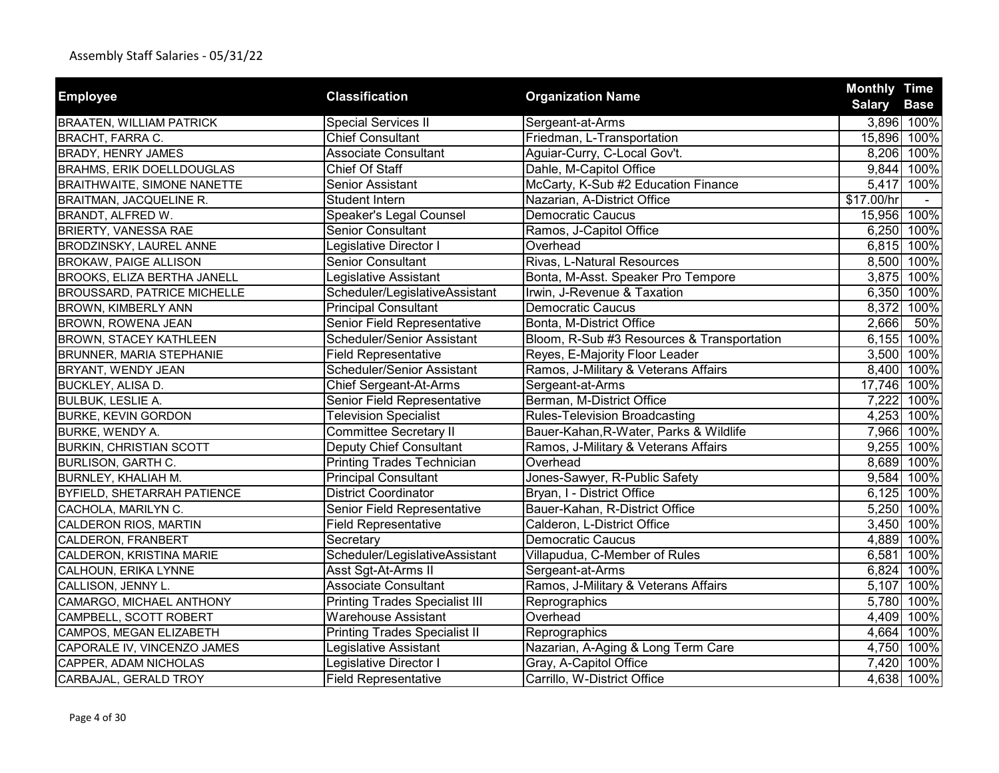|                                    |                                       |                                            | <b>Monthly Time</b> |             |
|------------------------------------|---------------------------------------|--------------------------------------------|---------------------|-------------|
| <b>Employee</b>                    | <b>Classification</b>                 | <b>Organization Name</b>                   | <b>Salary</b>       | <b>Base</b> |
| <b>BRAATEN, WILLIAM PATRICK</b>    | <b>Special Services II</b>            | Sergeant-at-Arms                           |                     | 3,896 100%  |
| <b>BRACHT, FARRA C.</b>            | <b>Chief Consultant</b>               | Friedman, L-Transportation                 |                     | 15,896 100% |
| <b>BRADY, HENRY JAMES</b>          | <b>Associate Consultant</b>           | Aguiar-Curry, C-Local Gov't.               |                     | 8,206 100%  |
| <b>BRAHMS, ERIK DOELLDOUGLAS</b>   | Chief Of Staff                        | Dahle, M-Capitol Office                    |                     | 9,844 100%  |
| <b>BRAITHWAITE, SIMONE NANETTE</b> | Senior Assistant                      | McCarty, K-Sub #2 Education Finance        |                     | 5,417 100%  |
| BRAITMAN, JACQUELINE R.            | Student Intern                        | Nazarian, A-District Office                | \$17.00/hr          |             |
| BRANDT, ALFRED W.                  | Speaker's Legal Counsel               | <b>Democratic Caucus</b>                   |                     | 15,956 100% |
| <b>BRIERTY, VANESSA RAE</b>        | Senior Consultant                     | Ramos, J-Capitol Office                    |                     | 6,250 100%  |
| BRODZINSKY, LAUREL ANNE            | Legislative Director I                | Overhead                                   |                     | 6,815 100%  |
| <b>BROKAW, PAIGE ALLISON</b>       | <b>Senior Consultant</b>              | Rivas, L-Natural Resources                 |                     | 8,500 100%  |
| <b>BROOKS, ELIZA BERTHA JANELL</b> | Legislative Assistant                 | Bonta, M-Asst. Speaker Pro Tempore         |                     | 3,875 100%  |
| <b>BROUSSARD, PATRICE MICHELLE</b> | Scheduler/LegislativeAssistant        | Irwin, J-Revenue & Taxation                | 6,350               | 100%        |
| BROWN, KIMBERLY ANN                | <b>Principal Consultant</b>           | <b>Democratic Caucus</b>                   | 8,372               | 100%        |
| BROWN, ROWENA JEAN                 | Senior Field Representative           | Bonta, M-District Office                   | 2,666               | 50%         |
| <b>BROWN, STACEY KATHLEEN</b>      | Scheduler/Senior Assistant            | Bloom, R-Sub #3 Resources & Transportation |                     | 6,155 100%  |
| <b>BRUNNER, MARIA STEPHANIE</b>    | <b>Field Representative</b>           | Reyes, E-Majority Floor Leader             |                     | 3,500 100%  |
| BRYANT, WENDY JEAN                 | Scheduler/Senior Assistant            | Ramos, J-Military & Veterans Affairs       |                     | 8,400 100%  |
| BUCKLEY, ALISA D.                  | <b>Chief Sergeant-At-Arms</b>         | Sergeant-at-Arms                           |                     | 17,746 100% |
| <b>BULBUK, LESLIE A.</b>           | Senior Field Representative           | Berman, M-District Office                  | 7,222               | 100%        |
| <b>BURKE, KEVIN GORDON</b>         | <b>Television Specialist</b>          | <b>Rules-Television Broadcasting</b>       |                     | 4,253 100%  |
| BURKE, WENDY A.                    | <b>Committee Secretary II</b>         | Bauer-Kahan, R-Water, Parks & Wildlife     |                     | 7,966 100%  |
| <b>BURKIN, CHRISTIAN SCOTT</b>     | Deputy Chief Consultant               | Ramos, J-Military & Veterans Affairs       |                     | 9,255 100%  |
| <b>BURLISON, GARTH C.</b>          | <b>Printing Trades Technician</b>     | Overhead                                   |                     | 8,689 100%  |
| BURNLEY, KHALIAH M.                | <b>Principal Consultant</b>           | Jones-Sawyer, R-Public Safety              |                     | 9,584 100%  |
| <b>BYFIELD, SHETARRAH PATIENCE</b> | <b>District Coordinator</b>           | Bryan, I - District Office                 |                     | 6,125 100%  |
| CACHOLA, MARILYN C.                | Senior Field Representative           | Bauer-Kahan, R-District Office             |                     | 5,250 100%  |
| CALDERON RIOS, MARTIN              | <b>Field Representative</b>           | Calderon, L-District Office                |                     | 3,450 100%  |
| CALDERON, FRANBERT                 | Secretary                             | <b>Democratic Caucus</b>                   |                     | 4,889 100%  |
| CALDERON, KRISTINA MARIE           | Scheduler/LegislativeAssistant        | Villapudua, C-Member of Rules              |                     | 6,581 100%  |
| CALHOUN, ERIKA LYNNE               | Asst Sgt-At-Arms II                   | Sergeant-at-Arms                           |                     | 6,824 100%  |
| CALLISON, JENNY L.                 | <b>Associate Consultant</b>           | Ramos, J-Military & Veterans Affairs       |                     | 5,107 100%  |
| CAMARGO, MICHAEL ANTHONY           | <b>Printing Trades Specialist III</b> | Reprographics                              |                     | 5,780 100%  |
| CAMPBELL, SCOTT ROBERT             | <b>Warehouse Assistant</b>            | Overhead                                   | 4,409               | 100%        |
| CAMPOS, MEGAN ELIZABETH            | <b>Printing Trades Specialist II</b>  | Reprographics                              | 4,664               | 100%        |
| CAPORALE IV, VINCENZO JAMES        | Legislative Assistant                 | Nazarian, A-Aging & Long Term Care         |                     | 4,750 100%  |
| CAPPER, ADAM NICHOLAS              | Legislative Director I                | Gray, A-Capitol Office                     | 7,420               | 100%        |
| CARBAJAL, GERALD TROY              | <b>Field Representative</b>           | Carrillo, W-District Office                |                     | 4,638 100%  |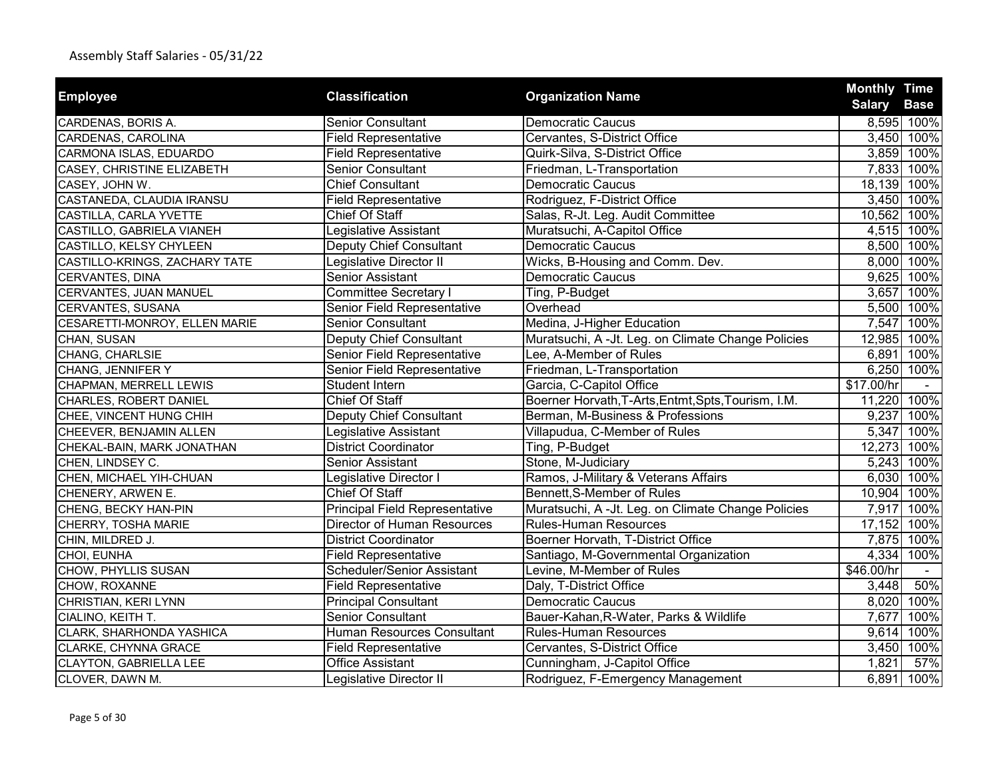| <b>Employee</b>               | <b>Classification</b>                 | <b>Organization Name</b>                            | <b>Monthly Time</b> |             |
|-------------------------------|---------------------------------------|-----------------------------------------------------|---------------------|-------------|
|                               |                                       |                                                     | <b>Salary</b>       | <b>Base</b> |
| CARDENAS, BORIS A.            | <b>Senior Consultant</b>              | <b>Democratic Caucus</b>                            |                     | 8,595 100%  |
| CARDENAS, CAROLINA            | <b>Field Representative</b>           | Cervantes, S-District Office                        |                     | 3,450 100%  |
| CARMONA ISLAS, EDUARDO        | <b>Field Representative</b>           | Quirk-Silva, S-District Office                      |                     | 3,859 100%  |
| CASEY, CHRISTINE ELIZABETH    | Senior Consultant                     | Friedman, L-Transportation                          |                     | 7,833 100%  |
| CASEY, JOHN W.                | <b>Chief Consultant</b>               | <b>Democratic Caucus</b>                            |                     | 18,139 100% |
| CASTANEDA, CLAUDIA IRANSU     | <b>Field Representative</b>           | Rodriguez, F-District Office                        |                     | 3,450 100%  |
| CASTILLA, CARLA YVETTE        | <b>Chief Of Staff</b>                 | Salas, R-Jt. Leg. Audit Committee                   |                     | 10,562 100% |
| CASTILLO, GABRIELA VIANEH     | Legislative Assistant                 | Muratsuchi, A-Capitol Office                        |                     | 4,515 100%  |
| CASTILLO, KELSY CHYLEEN       | Deputy Chief Consultant               | <b>Democratic Caucus</b>                            |                     | 8,500 100%  |
| CASTILLO-KRINGS, ZACHARY TATE | Legislative Director II               | Wicks, B-Housing and Comm. Dev.                     |                     | 8,000 100%  |
| <b>CERVANTES, DINA</b>        | Senior Assistant                      | <b>Democratic Caucus</b>                            |                     | 9,625 100%  |
| CERVANTES, JUAN MANUEL        | <b>Committee Secretary I</b>          | Ting, P-Budget                                      |                     | 3,657 100%  |
| CERVANTES, SUSANA             | Senior Field Representative           | Overhead                                            | 5,500               | 100%        |
| CESARETTI-MONROY, ELLEN MARIE | Senior Consultant                     | Medina, J-Higher Education                          | 7,547               | 100%        |
| CHAN, SUSAN                   | Deputy Chief Consultant               | Muratsuchi, A -Jt. Leg. on Climate Change Policies  |                     | 12,985 100% |
| CHANG, CHARLSIE               | Senior Field Representative           | Lee, A-Member of Rules                              | 6,891               | 100%        |
| CHANG, JENNIFER Y             | Senior Field Representative           | Friedman, L-Transportation                          |                     | 6,250 100%  |
| CHAPMAN, MERRELL LEWIS        | Student Intern                        | Garcia, C-Capitol Office                            | \$17.00/hr          |             |
| CHARLES, ROBERT DANIEL        | Chief Of Staff                        | Boerner Horvath, T-Arts, Entmt, Spts, Tourism, I.M. | 11,220 100%         |             |
| CHEE, VINCENT HUNG CHIH       | Deputy Chief Consultant               | Berman, M-Business & Professions                    |                     | 9,237 100%  |
| CHEEVER, BENJAMIN ALLEN       | Legislative Assistant                 | Villapudua, C-Member of Rules                       |                     | 5,347 100%  |
| CHEKAL-BAIN, MARK JONATHAN    | District Coordinator                  | Ting, P-Budget                                      | 12,273 100%         |             |
| CHEN, LINDSEY C.              | Senior Assistant                      | Stone, M-Judiciary                                  |                     | 5,243 100%  |
| CHEN, MICHAEL YIH-CHUAN       | Legislative Director I                | Ramos, J-Military & Veterans Affairs                |                     | 6,030 100%  |
| CHENERY, ARWEN E.             | Chief Of Staff                        | Bennett, S-Member of Rules                          | 10,904 100%         |             |
| CHENG, BECKY HAN-PIN          | <b>Principal Field Representative</b> | Muratsuchi, A -Jt. Leg. on Climate Change Policies  | 7,917               | 100%        |
| CHERRY, TOSHA MARIE           | <b>Director of Human Resources</b>    | <b>Rules-Human Resources</b>                        |                     | 17,152 100% |
| CHIN, MILDRED J.              | <b>District Coordinator</b>           | Boerner Horvath, T-District Office                  |                     | 7,875 100%  |
| CHOI, EUNHA                   | <b>Field Representative</b>           | Santiago, M-Governmental Organization               | 4,334               | 100%        |
| CHOW, PHYLLIS SUSAN           | Scheduler/Senior Assistant            | Levine, M-Member of Rules                           | \$46.00/hr          |             |
| CHOW, ROXANNE                 | <b>Field Representative</b>           | Daly, T-District Office                             | 3,448               | 50%         |
| CHRISTIAN, KERI LYNN          | <b>Principal Consultant</b>           | <b>Democratic Caucus</b>                            | 8,020               | 100%        |
| CIALINO, KEITH T.             | <b>Senior Consultant</b>              | Bauer-Kahan, R-Water, Parks & Wildlife              | 7,677               | 100%        |
| CLARK, SHARHONDA YASHICA      | <b>Human Resources Consultant</b>     | <b>Rules-Human Resources</b>                        | 9,614               | 100%        |
| CLARKE, CHYNNA GRACE          | <b>Field Representative</b>           | Cervantes, S-District Office                        | 3,450               | 100%        |
| CLAYTON, GABRIELLA LEE        | <b>Office Assistant</b>               | Cunningham, J-Capitol Office                        | 1,821               | 57%         |
| CLOVER, DAWN M.               | Legislative Director II               | Rodriguez, F-Emergency Management                   |                     | 6,891 100%  |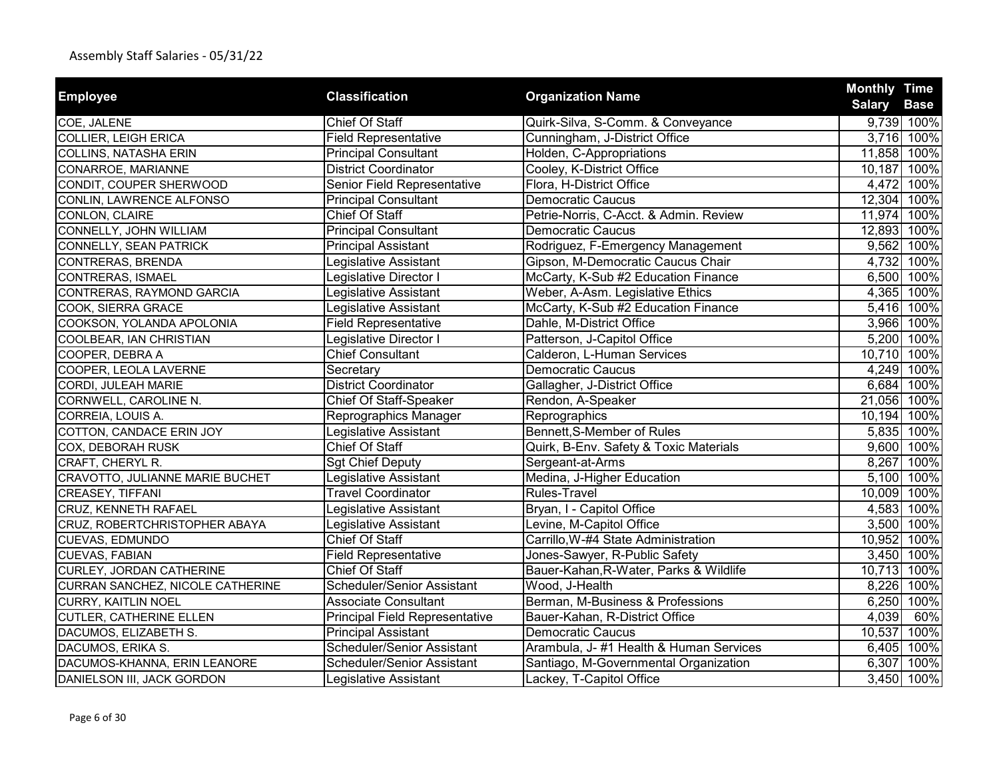| <b>Employee</b>                  | <b>Classification</b>                 | <b>Organization Name</b>               | <b>Monthly Time</b> |             |
|----------------------------------|---------------------------------------|----------------------------------------|---------------------|-------------|
|                                  |                                       |                                        | <b>Salary</b>       | <b>Base</b> |
| COE, JALENE                      | Chief Of Staff                        | Quirk-Silva, S-Comm. & Conveyance      |                     | 9,739 100%  |
| COLLIER, LEIGH ERICA             | <b>Field Representative</b>           | Cunningham, J-District Office          |                     | 3,716 100%  |
| COLLINS, NATASHA ERIN            | <b>Principal Consultant</b>           | Holden, C-Appropriations               | 11,858 100%         |             |
| CONARROE, MARIANNE               | <b>District Coordinator</b>           | Cooley, K-District Office              | 10,187 100%         |             |
| CONDIT, COUPER SHERWOOD          | Senior Field Representative           | Flora, H-District Office               |                     | 4,472 100%  |
| CONLIN, LAWRENCE ALFONSO         | <b>Principal Consultant</b>           | <b>Democratic Caucus</b>               | 12,304 100%         |             |
| CONLON, CLAIRE                   | <b>Chief Of Staff</b>                 | Petrie-Norris, C-Acct. & Admin. Review | 11,974 100%         |             |
| CONNELLY, JOHN WILLIAM           | <b>Principal Consultant</b>           | <b>Democratic Caucus</b>               | 12,893 100%         |             |
| CONNELLY, SEAN PATRICK           | <b>Principal Assistant</b>            | Rodriguez, F-Emergency Management      |                     | 9,562 100%  |
| CONTRERAS, BRENDA                | Legislative Assistant                 | Gipson, M-Democratic Caucus Chair      |                     | 4,732 100%  |
| <b>CONTRERAS, ISMAEL</b>         | Legislative Director I                | McCarty, K-Sub #2 Education Finance    |                     | 6,500 100%  |
| CONTRERAS, RAYMOND GARCIA        | Legislative Assistant                 | Weber, A-Asm. Legislative Ethics       |                     | 4,365 100%  |
| COOK, SIERRA GRACE               | Legislative Assistant                 | McCarty, K-Sub #2 Education Finance    |                     | 5,416 100%  |
| COOKSON, YOLANDA APOLONIA        | <b>Field Representative</b>           | Dahle, M-District Office               |                     | 3,966 100%  |
| COOLBEAR, IAN CHRISTIAN          | Legislative Director I                | Patterson, J-Capitol Office            |                     | 5,200 100%  |
| COOPER, DEBRA A                  | <b>Chief Consultant</b>               | Calderon, L-Human Services             | 10,710 100%         |             |
| COOPER, LEOLA LAVERNE            | Secretary                             | <b>Democratic Caucus</b>               |                     | 4,249 100%  |
| CORDI, JULEAH MARIE              | <b>District Coordinator</b>           | Gallagher, J-District Office           |                     | 6,684 100%  |
| CORNWELL, CAROLINE N.            | <b>Chief Of Staff-Speaker</b>         | Rendon, A-Speaker                      | 21,056 100%         |             |
| CORREIA, LOUIS A.                | Reprographics Manager                 | Reprographics                          | 10,194 100%         |             |
| COTTON, CANDACE ERIN JOY         | Legislative Assistant                 | Bennett, S-Member of Rules             |                     | 5,835 100%  |
| COX, DEBORAH RUSK                | Chief Of Staff                        | Quirk, B-Env. Safety & Toxic Materials |                     | 9,600 100%  |
| CRAFT, CHERYL R.                 | <b>Sgt Chief Deputy</b>               | Sergeant-at-Arms                       |                     | 8,267 100%  |
| CRAVOTTO, JULIANNE MARIE BUCHET  | Legislative Assistant                 | Medina, J-Higher Education             |                     | 5,100 100%  |
| CREASEY, TIFFANI                 | <b>Travel Coordinator</b>             | Rules-Travel                           | 10,009 100%         |             |
| CRUZ, KENNETH RAFAEL             | Legislative Assistant                 | Bryan, I - Capitol Office              |                     | 4,583 100%  |
| CRUZ, ROBERTCHRISTOPHER ABAYA    | Legislative Assistant                 | Levine, M-Capitol Office               |                     | 3,500 100%  |
| CUEVAS, EDMUNDO                  | <b>Chief Of Staff</b>                 | Carrillo, W-#4 State Administration    | 10,952 100%         |             |
| <b>CUEVAS, FABIAN</b>            | <b>Field Representative</b>           | Jones-Sawyer, R-Public Safety          |                     | 3,450 100%  |
| CURLEY, JORDAN CATHERINE         | Chief Of Staff                        | Bauer-Kahan, R-Water, Parks & Wildlife | 10,713 100%         |             |
| CURRAN SANCHEZ, NICOLE CATHERINE | Scheduler/Senior Assistant            | Wood, J-Health                         |                     | 8,226 100%  |
| <b>CURRY, KAITLIN NOEL</b>       | <b>Associate Consultant</b>           | Berman, M-Business & Professions       | 6,250               | 100%        |
| <b>CUTLER, CATHERINE ELLEN</b>   | <b>Principal Field Representative</b> | Bauer-Kahan, R-District Office         | 4,039               | 60%         |
| DACUMOS, ELIZABETH S.            | <b>Principal Assistant</b>            | <b>Democratic Caucus</b>               | 10,537              | 100%        |
| DACUMOS, ERIKA S.                | Scheduler/Senior Assistant            | Arambula, J-#1 Health & Human Services |                     | 6,405 100%  |
| DACUMOS-KHANNA, ERIN LEANORE     | Scheduler/Senior Assistant            | Santiago, M-Governmental Organization  |                     | 6,307 100%  |
| DANIELSON III, JACK GORDON       | Legislative Assistant                 | Lackey, T-Capitol Office               |                     | 3,450 100%  |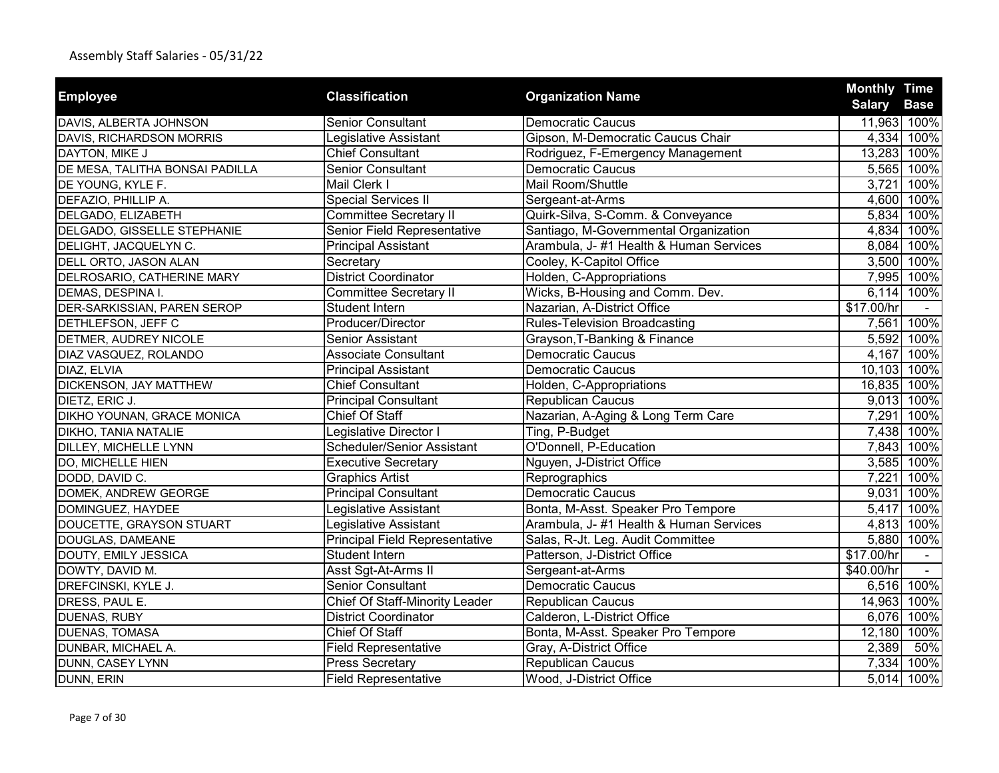|                                 |                                       |                                        | <b>Monthly Time</b> |             |
|---------------------------------|---------------------------------------|----------------------------------------|---------------------|-------------|
| <b>Employee</b>                 | <b>Classification</b>                 | <b>Organization Name</b>               | <b>Salary</b>       | <b>Base</b> |
| DAVIS, ALBERTA JOHNSON          | <b>Senior Consultant</b>              | <b>Democratic Caucus</b>               |                     | 11,963 100% |
| DAVIS, RICHARDSON MORRIS        | Legislative Assistant                 | Gipson, M-Democratic Caucus Chair      |                     | 4,334 100%  |
| DAYTON, MIKE J                  | <b>Chief Consultant</b>               | Rodriguez, F-Emergency Management      |                     | 13,283 100% |
| DE MESA, TALITHA BONSAI PADILLA | <b>Senior Consultant</b>              | <b>Democratic Caucus</b>               |                     | 5,565 100%  |
| DE YOUNG, KYLE F.               | Mail Clerk I                          | Mail Room/Shuttle                      | 3,721               | 100%        |
| DEFAZIO, PHILLIP A.             | <b>Special Services II</b>            | Sergeant-at-Arms                       |                     | 4,600 100%  |
| DELGADO, ELIZABETH              | Committee Secretary II                | Quirk-Silva, S-Comm. & Conveyance      |                     | 5,834 100%  |
| DELGADO, GISSELLE STEPHANIE     | Senior Field Representative           | Santiago, M-Governmental Organization  |                     | 4,834 100%  |
| DELIGHT, JACQUELYN C.           | <b>Principal Assistant</b>            | Arambula, J-#1 Health & Human Services |                     | 8,084 100%  |
| DELL ORTO, JASON ALAN           | Secretary                             | Cooley, K-Capitol Office               |                     | 3,500 100%  |
| DELROSARIO, CATHERINE MARY      | <b>District Coordinator</b>           | Holden, C-Appropriations               |                     | 7,995 100%  |
| DEMAS, DESPINA I.               | <b>Committee Secretary II</b>         | Wicks, B-Housing and Comm. Dev.        | 6,114               | 100%        |
| DER-SARKISSIAN, PAREN SEROP     | Student Intern                        | Nazarian, A-District Office            | \$17.00/hr          |             |
| DETHLEFSON, JEFF C              | Producer/Director                     | <b>Rules-Television Broadcasting</b>   |                     | 7,561 100%  |
| DETMER, AUDREY NICOLE           | <b>Senior Assistant</b>               | Grayson, T-Banking & Finance           |                     | 5,592 100%  |
| DIAZ VASQUEZ, ROLANDO           | Associate Consultant                  | <b>Democratic Caucus</b>               |                     | 4,167 100%  |
| DIAZ, ELVIA                     | <b>Principal Assistant</b>            | <b>Democratic Caucus</b>               | 10,103 100%         |             |
| DICKENSON, JAY MATTHEW          | <b>Chief Consultant</b>               | Holden, C-Appropriations               | 16,835 100%         |             |
| DIETZ, ERIC J.                  | <b>Principal Consultant</b>           | Republican Caucus                      |                     | 9,013 100%  |
| DIKHO YOUNAN, GRACE MONICA      | <b>Chief Of Staff</b>                 | Nazarian, A-Aging & Long Term Care     | 7,291               | 100%        |
| DIKHO, TANIA NATALIE            | Legislative Director I                | Ting, P-Budget                         |                     | 7,438 100%  |
| DILLEY, MICHELLE LYNN           | Scheduler/Senior Assistant            | O'Donnell, P-Education                 |                     | 7,843 100%  |
| DO, MICHELLE HIEN               | <b>Executive Secretary</b>            | Nguyen, J-District Office              |                     | 3,585 100%  |
| DODD, DAVID C.                  | <b>Graphics Artist</b>                | Reprographics                          | 7,221               | 100%        |
| DOMEK, ANDREW GEORGE            | <b>Principal Consultant</b>           | <b>Democratic Caucus</b>               | 9,031               | 100%        |
| DOMINGUEZ, HAYDEE               | Legislative Assistant                 | Bonta, M-Asst. Speaker Pro Tempore     | 5,417               | 100%        |
| DOUCETTE, GRAYSON STUART        | Legislative Assistant                 | Arambula, J-#1 Health & Human Services |                     | 4,813 100%  |
| DOUGLAS, DAMEANE                | <b>Principal Field Representative</b> | Salas, R-Jt. Leg. Audit Committee      |                     | 5,880 100%  |
| DOUTY, EMILY JESSICA            | <b>Student Intern</b>                 | Patterson, J-District Office           | \$17.00/hr          |             |
| DOWTY, DAVID M.                 | Asst Sgt-At-Arms II                   | Sergeant-at-Arms                       | \$40.00/hr          | $\sim$      |
| DREFCINSKI, KYLE J.             | <b>Senior Consultant</b>              | <b>Democratic Caucus</b>               |                     | 6,516 100%  |
| DRESS, PAUL E.                  | <b>Chief Of Staff-Minority Leader</b> | <b>Republican Caucus</b>               |                     | 14,963 100% |
| DUENAS, RUBY                    | <b>District Coordinator</b>           | Calderon, L-District Office            |                     | 6,076 100%  |
| <b>DUENAS, TOMASA</b>           | <b>Chief Of Staff</b>                 | Bonta, M-Asst. Speaker Pro Tempore     | 12,180              | 100%        |
| DUNBAR, MICHAEL A.              | Field Representative                  | Gray, A-District Office                | 2,389               | 50%         |
| DUNN, CASEY LYNN                | <b>Press Secretary</b>                | Republican Caucus                      |                     | 7,334 100%  |
| DUNN, ERIN                      | <b>Field Representative</b>           | Wood, J-District Office                |                     | 5,014 100%  |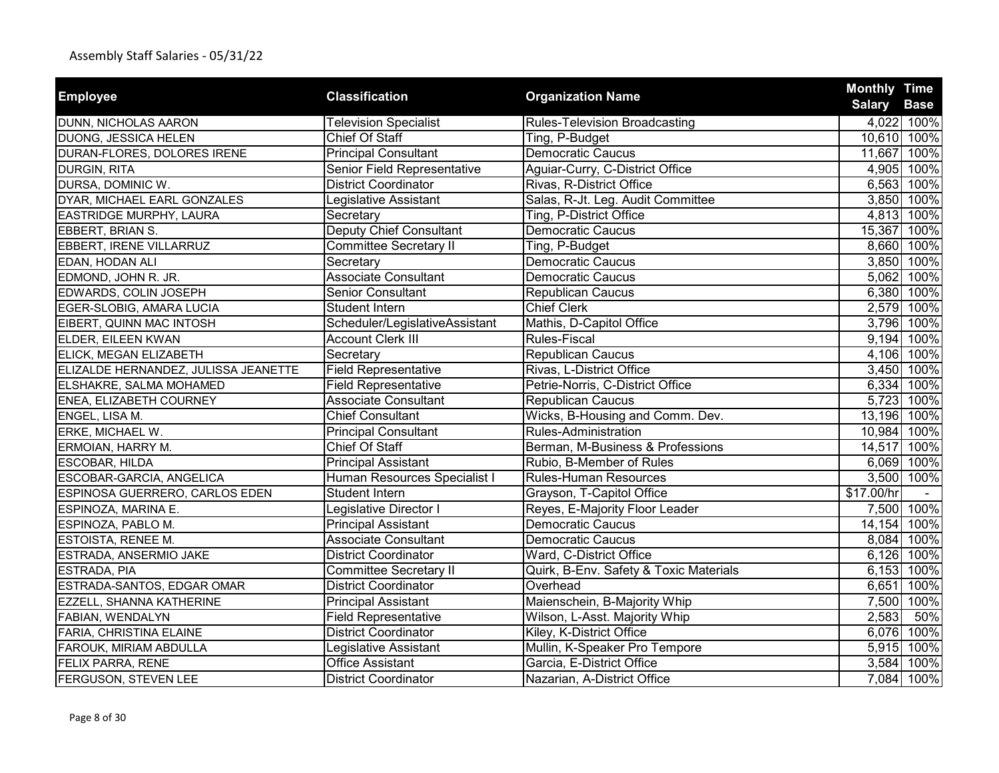| <b>Employee</b>                      | <b>Classification</b>          | <b>Organization Name</b>               | <b>Monthly Time</b><br><b>Salary</b> | <b>Base</b> |
|--------------------------------------|--------------------------------|----------------------------------------|--------------------------------------|-------------|
| DUNN, NICHOLAS AARON                 | <b>Television Specialist</b>   | <b>Rules-Television Broadcasting</b>   |                                      | 4,022 100%  |
| DUONG, JESSICA HELEN                 | Chief Of Staff                 | Ting, P-Budget                         |                                      | 10,610 100% |
| DURAN-FLORES, DOLORES IRENE          | <b>Principal Consultant</b>    | <b>Democratic Caucus</b>               | 11,667 100%                          |             |
| <b>DURGIN, RITA</b>                  | Senior Field Representative    | Aguiar-Curry, C-District Office        |                                      | 4,905 100%  |
| DURSA, DOMINIC W.                    | <b>District Coordinator</b>    | Rivas, R-District Office               |                                      | 6,563 100%  |
| DYAR, MICHAEL EARL GONZALES          | Legislative Assistant          | Salas, R-Jt. Leg. Audit Committee      |                                      | 3,850 100%  |
| EASTRIDGE MURPHY, LAURA              | Secretary                      | Ting, P-District Office                |                                      | 4,813 100%  |
| EBBERT, BRIAN S.                     | <b>Deputy Chief Consultant</b> | Democratic Caucus                      |                                      | 15,367 100% |
| EBBERT, IRENE VILLARRUZ              | <b>Committee Secretary II</b>  | Ting, P-Budget                         |                                      | 8,660 100%  |
| EDAN, HODAN ALI                      | Secretary                      | <b>Democratic Caucus</b>               |                                      | 3,850 100%  |
| EDMOND, JOHN R. JR.                  | <b>Associate Consultant</b>    | <b>Democratic Caucus</b>               |                                      | 5,062 100%  |
| EDWARDS, COLIN JOSEPH                | <b>Senior Consultant</b>       | <b>Republican Caucus</b>               |                                      | 6,380 100%  |
| EGER-SLOBIG, AMARA LUCIA             | Student Intern                 | <b>Chief Clerk</b>                     | 2,579                                | 100%        |
| EIBERT, QUINN MAC INTOSH             | Scheduler/LegislativeAssistant | Mathis, D-Capitol Office               |                                      | 3,796 100%  |
| ELDER, EILEEN KWAN                   | <b>Account Clerk III</b>       | <b>Rules-Fiscal</b>                    | 9,194                                | 100%        |
| ELICK, MEGAN ELIZABETH               | Secretary                      | <b>Republican Caucus</b>               |                                      | 4,106 100%  |
| ELIZALDE HERNANDEZ, JULISSA JEANETTE | <b>Field Representative</b>    | Rivas, L-District Office               |                                      | 3,450 100%  |
| ELSHAKRE, SALMA MOHAMED              | <b>Field Representative</b>    | Petrie-Norris, C-District Office       |                                      | 6,334 100%  |
| ENEA, ELIZABETH COURNEY              | <b>Associate Consultant</b>    | <b>Republican Caucus</b>               |                                      | 5,723 100%  |
| ENGEL, LISA M.                       | <b>Chief Consultant</b>        | Wicks, B-Housing and Comm. Dev.        |                                      | 13,196 100% |
| ERKE, MICHAEL W.                     | <b>Principal Consultant</b>    | Rules-Administration                   |                                      | 10,984 100% |
| ERMOIAN, HARRY M.                    | Chief Of Staff                 | Berman, M-Business & Professions       |                                      | 14,517 100% |
| ESCOBAR, HILDA                       | <b>Principal Assistant</b>     | Rubio, B-Member of Rules               |                                      | 6,069 100%  |
| ESCOBAR-GARCIA, ANGELICA             | Human Resources Specialist I   | Rules-Human Resources                  |                                      | 3,500 100%  |
| ESPINOSA GUERRERO, CARLOS EDEN       | Student Intern                 | Grayson, T-Capitol Office              | \$17.00/hr                           |             |
| ESPINOZA, MARINA E.                  | Legislative Director I         | Reyes, E-Majority Floor Leader         |                                      | 7,500 100%  |
| ESPINOZA, PABLO M.                   | <b>Principal Assistant</b>     | <b>Democratic Caucus</b>               |                                      | 14,154 100% |
| ESTOISTA, RENEE M.                   | <b>Associate Consultant</b>    | <b>Democratic Caucus</b>               |                                      | 8,084 100%  |
| ESTRADA, ANSERMIO JAKE               | <b>District Coordinator</b>    | Ward, C-District Office                |                                      | 6,126 100%  |
| ESTRADA, PIA                         | <b>Committee Secretary II</b>  | Quirk, B-Env. Safety & Toxic Materials |                                      | 6,153 100%  |
| ESTRADA-SANTOS, EDGAR OMAR           | <b>District Coordinator</b>    | Overhead                               | 6,651                                | 100%        |
| EZZELL, SHANNA KATHERINE             | <b>Principal Assistant</b>     | Maienschein, B-Majority Whip           | 7,500                                | 100%        |
| FABIAN, WENDALYN                     | <b>Field Representative</b>    | Wilson, L-Asst. Majority Whip          | 2,583                                | 50%         |
| FARIA, CHRISTINA ELAINE              | <b>District Coordinator</b>    | Kiley, K-District Office               | 6,076                                | 100%        |
| FAROUK, MIRIAM ABDULLA               | Legislative Assistant          | Mullin, K-Speaker Pro Tempore          | 5,915                                | 100%        |
| FELIX PARRA, RENE                    | <b>Office Assistant</b>        | Garcia, E-District Office              |                                      | 3,584 100%  |
| FERGUSON, STEVEN LEE                 | <b>District Coordinator</b>    | Nazarian, A-District Office            |                                      | 7,084 100%  |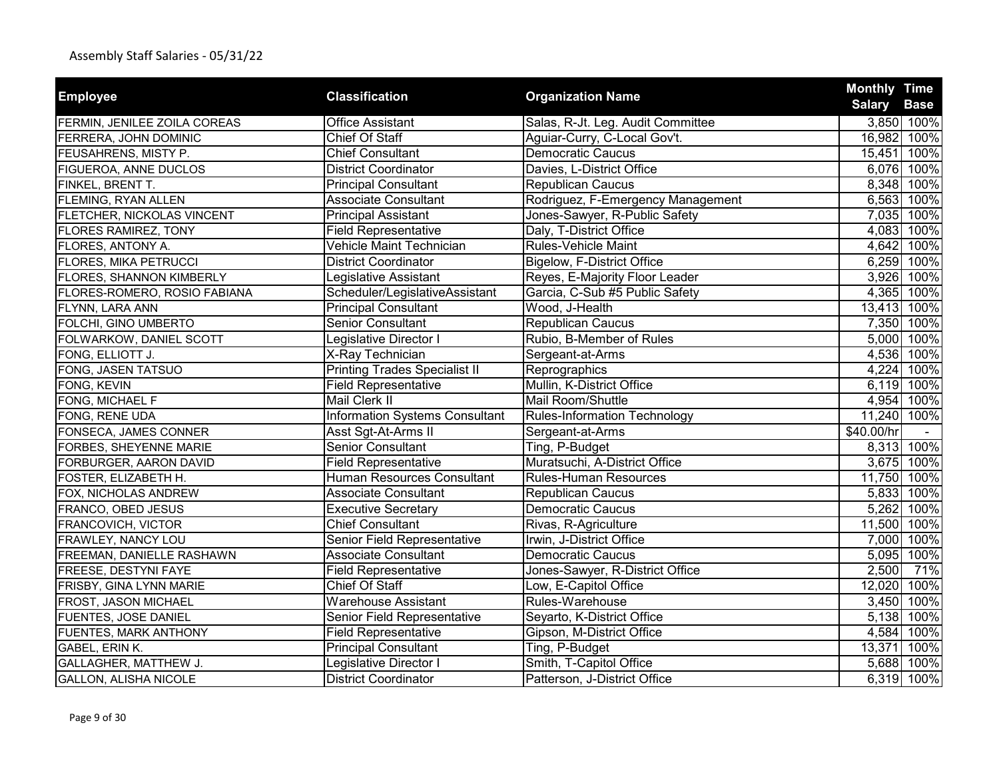| <b>Employee</b>                   | <b>Classification</b>                 | <b>Organization Name</b>            | <b>Monthly Time</b> |
|-----------------------------------|---------------------------------------|-------------------------------------|---------------------|
|                                   |                                       |                                     | <b>Salary Base</b>  |
| FERMIN, JENILEE ZOILA COREAS      | <b>Office Assistant</b>               | Salas, R-Jt. Leg. Audit Committee   | 3,850 100%          |
| FERRERA, JOHN DOMINIC             | Chief Of Staff                        | Aguiar-Curry, C-Local Gov't.        | 100%<br>16,982      |
| FEUSAHRENS, MISTY P.              | <b>Chief Consultant</b>               | <b>Democratic Caucus</b>            | 15,451 100%         |
| FIGUEROA, ANNE DUCLOS             | <b>District Coordinator</b>           | Davies, L-District Office           | 6,076 100%          |
| FINKEL, BRENT T.                  | <b>Principal Consultant</b>           | <b>Republican Caucus</b>            | 8,348 100%          |
| FLEMING, RYAN ALLEN               | <b>Associate Consultant</b>           | Rodriguez, F-Emergency Management   | 6,563 100%          |
| <b>FLETCHER, NICKOLAS VINCENT</b> | <b>Principal Assistant</b>            | Jones-Sawyer, R-Public Safety       | 7,035 100%          |
| <b>FLORES RAMIREZ, TONY</b>       | <b>Field Representative</b>           | Daly, T-District Office             | 4,083 100%          |
| FLORES, ANTONY A.                 | Vehicle Maint Technician              | <b>Rules-Vehicle Maint</b>          | 4,642 100%          |
| FLORES, MIKA PETRUCCI             | <b>District Coordinator</b>           | Bigelow, F-District Office          | 6,259 100%          |
| FLORES, SHANNON KIMBERLY          | Legislative Assistant                 | Reyes, E-Majority Floor Leader      | 3,926 100%          |
| FLORES-ROMERO, ROSIO FABIANA      | Scheduler/LegislativeAssistant        | Garcia, C-Sub #5 Public Safety      | 4,365 100%          |
| FLYNN, LARA ANN                   | <b>Principal Consultant</b>           | Wood, J-Health                      | 13,413 100%         |
| FOLCHI, GINO UMBERTO              | <b>Senior Consultant</b>              | <b>Republican Caucus</b>            | 7,350 100%          |
| FOLWARKOW, DANIEL SCOTT           | Legislative Director I                | Rubio, B-Member of Rules            | 5,000 100%          |
| FONG, ELLIOTT J.                  | X-Ray Technician                      | Sergeant-at-Arms                    | 4,536 100%          |
| FONG, JASEN TATSUO                | <b>Printing Trades Specialist II</b>  | Reprographics                       | 4,224 100%          |
| FONG, KEVIN                       | <b>Field Representative</b>           | Mullin, K-District Office           | 6,119 100%          |
| FONG, MICHAEL F                   | Mail Clerk II                         | Mail Room/Shuttle                   | 4,954 100%          |
| FONG, RENE UDA                    | <b>Information Systems Consultant</b> | <b>Rules-Information Technology</b> | 11,240 100%         |
| FONSECA, JAMES CONNER             | Asst Sgt-At-Arms II                   | Sergeant-at-Arms                    | \$40.00/hr          |
| FORBES, SHEYENNE MARIE            | <b>Senior Consultant</b>              | Ting, P-Budget                      | 8,313 100%          |
| FORBURGER, AARON DAVID            | <b>Field Representative</b>           | Muratsuchi, A-District Office       | 3,675 100%          |
| FOSTER, ELIZABETH H.              | Human Resources Consultant            | <b>Rules-Human Resources</b>        | 11,750 100%         |
| FOX, NICHOLAS ANDREW              | <b>Associate Consultant</b>           | Republican Caucus                   | 5,833 100%          |
| FRANCO, OBED JESUS                | <b>Executive Secretary</b>            | <b>Democratic Caucus</b>            | 5,262 100%          |
| FRANCOVICH, VICTOR                | <b>Chief Consultant</b>               | Rivas, R-Agriculture                | 11,500 100%         |
| FRAWLEY, NANCY LOU                | Senior Field Representative           | Irwin, J-District Office            | 7,000 100%          |
| FREEMAN, DANIELLE RASHAWN         | <b>Associate Consultant</b>           | <b>Democratic Caucus</b>            | 5,095 100%          |
| FREESE, DESTYNI FAYE              | <b>Field Representative</b>           | Jones-Sawyer, R-District Office     | 71%<br>2,500        |
| FRISBY, GINA LYNN MARIE           | <b>Chief Of Staff</b>                 | Low, E-Capitol Office               | 12,020<br>100%      |
| FROST, JASON MICHAEL              | <b>Warehouse Assistant</b>            | Rules-Warehouse                     | 3,450 100%          |
| FUENTES, JOSE DANIEL              | Senior Field Representative           | Seyarto, K-District Office          | 5,138 100%          |
| FUENTES, MARK ANTHONY             | <b>Field Representative</b>           | Gipson, M-District Office           | 4,584<br>100%       |
| GABEL, ERIN K.                    | <b>Principal Consultant</b>           | Ting, P-Budget                      | 13,371<br>100%      |
| GALLAGHER, MATTHEW J.             | Legislative Director I                | Smith, T-Capitol Office             | 5,688 100%          |
| <b>GALLON, ALISHA NICOLE</b>      | <b>District Coordinator</b>           | Patterson, J-District Office        | 6,319 100%          |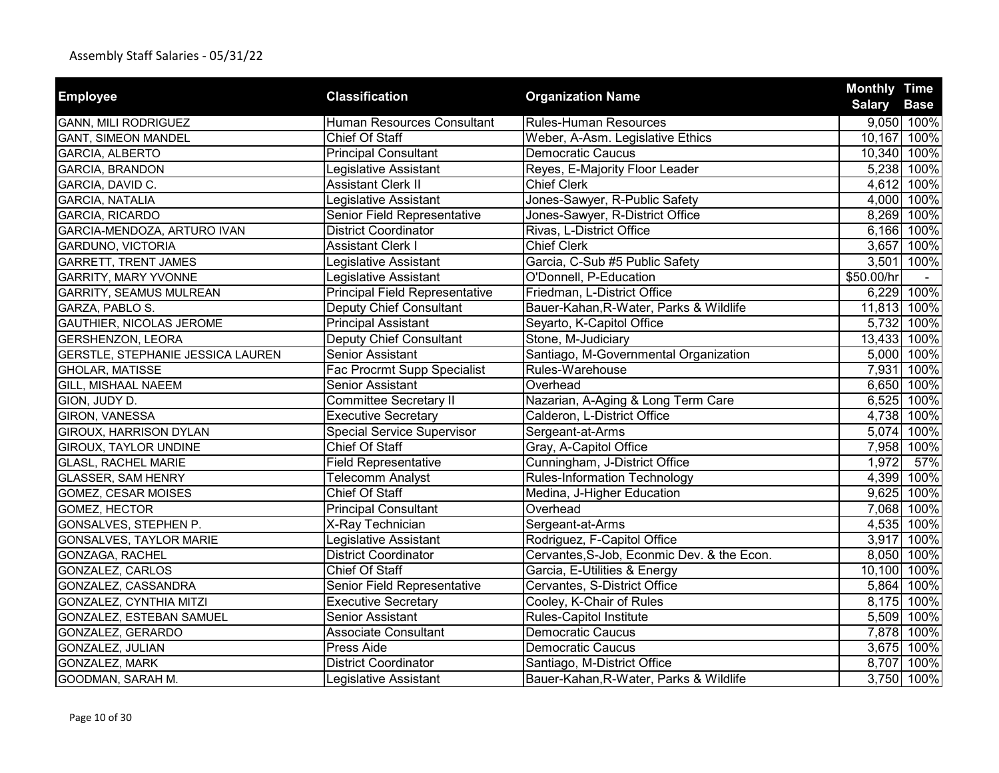| <b>Employee</b>                          | <b>Classification</b>                 | <b>Organization Name</b>                   | <b>Monthly Time</b> |             |
|------------------------------------------|---------------------------------------|--------------------------------------------|---------------------|-------------|
|                                          |                                       |                                            | <b>Salary</b>       | <b>Base</b> |
| <b>GANN, MILI RODRIGUEZ</b>              | Human Resources Consultant            | <b>Rules-Human Resources</b>               |                     | 9,050 100%  |
| <b>GANT, SIMEON MANDEL</b>               | Chief Of Staff                        | Weber, A-Asm. Legislative Ethics           |                     | 10,167 100% |
| <b>GARCIA, ALBERTO</b>                   | <b>Principal Consultant</b>           | <b>Democratic Caucus</b>                   | 10,340 100%         |             |
| GARCIA, BRANDON                          | Legislative Assistant                 | Reyes, E-Majority Floor Leader             |                     | 5,238 100%  |
| GARCIA, DAVID C.                         | <b>Assistant Clerk II</b>             | <b>Chief Clerk</b>                         |                     | 4,612 100%  |
| <b>GARCIA, NATALIA</b>                   | Legislative Assistant                 | Jones-Sawyer, R-Public Safety              |                     | 4,000 100%  |
| GARCIA, RICARDO                          | Senior Field Representative           | Jones-Sawyer, R-District Office            |                     | 8,269 100%  |
| GARCIA-MENDOZA, ARTURO IVAN              | <b>District Coordinator</b>           | Rivas, L-District Office                   |                     | 6,166 100%  |
| <b>GARDUNO, VICTORIA</b>                 | <b>Assistant Clerk I</b>              | <b>Chief Clerk</b>                         |                     | 3,657 100%  |
| <b>GARRETT, TRENT JAMES</b>              | Legislative Assistant                 | Garcia, C-Sub #5 Public Safety             |                     | 3,501 100%  |
| <b>GARRITY, MARY YVONNE</b>              | Legislative Assistant                 | O'Donnell, P-Education                     | \$50.00/hr          |             |
| <b>GARRITY, SEAMUS MULREAN</b>           | <b>Principal Field Representative</b> | Friedman, L-District Office                |                     | 6,229 100%  |
| GARZA, PABLO S.                          | <b>Deputy Chief Consultant</b>        | Bauer-Kahan, R-Water, Parks & Wildlife     | 11,813              | 100%        |
| GAUTHIER, NICOLAS JEROME                 | Principal Assistant                   | Seyarto, K-Capitol Office                  |                     | 5,732 100%  |
| <b>GERSHENZON, LEORA</b>                 | Deputy Chief Consultant               | Stone, M-Judiciary                         |                     | 13,433 100% |
| <b>GERSTLE, STEPHANIE JESSICA LAUREN</b> | Senior Assistant                      | Santiago, M-Governmental Organization      |                     | 5,000 100%  |
| <b>GHOLAR, MATISSE</b>                   | Fac Procrmt Supp Specialist           | Rules-Warehouse                            |                     | 7,931 100%  |
| GILL, MISHAAL NAEEM                      | <b>Senior Assistant</b>               | Overhead                                   |                     | 6,650 100%  |
| GION, JUDY D.                            | <b>Committee Secretary II</b>         | Nazarian, A-Aging & Long Term Care         |                     | 6,525 100%  |
| GIRON, VANESSA                           | <b>Executive Secretary</b>            | Calderon, L-District Office                |                     | 4,738 100%  |
| GIROUX, HARRISON DYLAN                   | <b>Special Service Supervisor</b>     | Sergeant-at-Arms                           |                     | 5,074 100%  |
| GIROUX, TAYLOR UNDINE                    | Chief Of Staff                        | Gray, A-Capitol Office                     |                     | 7,958 100%  |
| <b>GLASL, RACHEL MARIE</b>               | <b>Field Representative</b>           | Cunningham, J-District Office              | 1,972               | 57%         |
| <b>GLASSER, SAM HENRY</b>                | Telecomm Analyst                      | <b>Rules-Information Technology</b>        |                     | 4,399 100%  |
| GOMEZ, CESAR MOISES                      | Chief Of Staff                        | Medina, J-Higher Education                 |                     | 9,625 100%  |
| GOMEZ, HECTOR                            | <b>Principal Consultant</b>           | Overhead                                   |                     | 7,068 100%  |
| GONSALVES, STEPHEN P.                    | X-Ray Technician                      | Sergeant-at-Arms                           |                     | 4,535 100%  |
| GONSALVES, TAYLOR MARIE                  | Legislative Assistant                 | Rodriguez, F-Capitol Office                |                     | 3,917 100%  |
| GONZAGA, RACHEL                          | <b>District Coordinator</b>           | Cervantes, S-Job, Econmic Dev. & the Econ. |                     | 8,050 100%  |
| <b>GONZALEZ, CARLOS</b>                  | Chief Of Staff                        | Garcia, E-Utilities & Energy               |                     | 10,100 100% |
| GONZALEZ, CASSANDRA                      | Senior Field Representative           | Cervantes, S-District Office               |                     | 5,864 100%  |
| GONZALEZ, CYNTHIA MITZI                  | <b>Executive Secretary</b>            | Cooley, K-Chair of Rules                   |                     | 8,175 100%  |
| GONZALEZ, ESTEBAN SAMUEL                 | Senior Assistant                      | Rules-Capitol Institute                    |                     | 5,509 100%  |
| GONZALEZ, GERARDO                        | <b>Associate Consultant</b>           | Democratic Caucus                          | 7,878               | 100%        |
| GONZALEZ, JULIAN                         | Press Aide                            | <b>Democratic Caucus</b>                   |                     | 3,675 100%  |
| GONZALEZ, MARK                           | <b>District Coordinator</b>           | Santiago, M-District Office                |                     | 8,707 100%  |
| GOODMAN, SARAH M.                        | Legislative Assistant                 | Bauer-Kahan, R-Water, Parks & Wildlife     |                     | 3,750 100%  |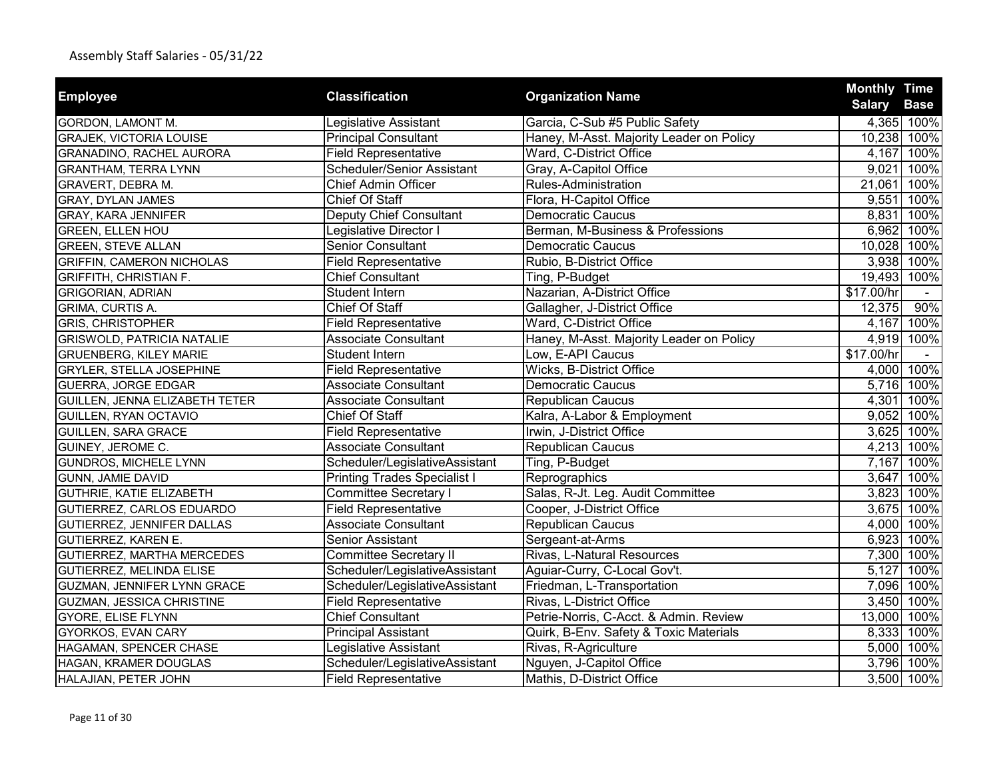|                                   |                                     |                                          | <b>Monthly Time</b> |             |
|-----------------------------------|-------------------------------------|------------------------------------------|---------------------|-------------|
| <b>Employee</b>                   | <b>Classification</b>               | <b>Organization Name</b>                 | <b>Salary</b>       | <b>Base</b> |
| <b>GORDON, LAMONT M.</b>          | Legislative Assistant               | Garcia, C-Sub #5 Public Safety           |                     | 4,365 100%  |
| <b>GRAJEK, VICTORIA LOUISE</b>    | <b>Principal Consultant</b>         | Haney, M-Asst. Majority Leader on Policy | 10,238 100%         |             |
| GRANADINO, RACHEL AURORA          | <b>Field Representative</b>         | Ward, C-District Office                  |                     | 4,167 100%  |
| <b>GRANTHAM, TERRA LYNN</b>       | Scheduler/Senior Assistant          | Gray, A-Capitol Office                   | 9,021               | 100%        |
| GRAVERT, DEBRA M.                 | <b>Chief Admin Officer</b>          | Rules-Administration                     | 21,061 100%         |             |
| <b>GRAY, DYLAN JAMES</b>          | <b>Chief Of Staff</b>               | Flora, H-Capitol Office                  |                     | 9,551 100%  |
| <b>GRAY, KARA JENNIFER</b>        | Deputy Chief Consultant             | <b>Democratic Caucus</b>                 |                     | 8,831 100%  |
| <b>GREEN, ELLEN HOU</b>           | Legislative Director I              | Berman, M-Business & Professions         |                     | 6,962 100%  |
| <b>GREEN, STEVE ALLAN</b>         | <b>Senior Consultant</b>            | <b>Democratic Caucus</b>                 | 10,028 100%         |             |
| <b>GRIFFIN, CAMERON NICHOLAS</b>  | <b>Field Representative</b>         | Rubio, B-District Office                 |                     | 3,938 100%  |
| <b>GRIFFITH, CHRISTIAN F.</b>     | Chief Consultant                    | Ting, P-Budget                           | 19,493 100%         |             |
| <b>GRIGORIAN, ADRIAN</b>          | Student Intern                      | Nazarian, A-District Office              | \$17.00/hr          |             |
| GRIMA, CURTIS A.                  | Chief Of Staff                      | Gallagher, J-District Office             | 12,375              | 90%         |
| <b>GRIS, CHRISTOPHER</b>          | <b>Field Representative</b>         | Ward, C-District Office                  |                     | 4,167 100%  |
| <b>GRISWOLD, PATRICIA NATALIE</b> | <b>Associate Consultant</b>         | Haney, M-Asst. Majority Leader on Policy |                     | 4,919 100%  |
| <b>GRUENBERG, KILEY MARIE</b>     | Student Intern                      | Low, E-API Caucus                        | \$17.00/hr          |             |
| <b>GRYLER, STELLA JOSEPHINE</b>   | <b>Field Representative</b>         | Wicks, B-District Office                 |                     | 4,000 100%  |
| <b>GUERRA, JORGE EDGAR</b>        | <b>Associate Consultant</b>         | <b>Democratic Caucus</b>                 |                     | 5,716 100%  |
| GUILLEN, JENNA ELIZABETH TETER    | <b>Associate Consultant</b>         | Republican Caucus                        | 4,301               | 100%        |
| GUILLEN, RYAN OCTAVIO             | <b>Chief Of Staff</b>               | Kalra, A-Labor & Employment              |                     | 9,052 100%  |
| <b>GUILLEN, SARA GRACE</b>        | <b>Field Representative</b>         | Irwin, J-District Office                 |                     | 3,625 100%  |
| GUINEY, JEROME C.                 | <b>Associate Consultant</b>         | Republican Caucus                        |                     | 4,213 100%  |
| GUNDROS, MICHELE LYNN             | Scheduler/LegislativeAssistant      | Ting, P-Budget                           |                     | 7,167 100%  |
| GUNN, JAMIE DAVID                 | <b>Printing Trades Specialist I</b> | Reprographics                            |                     | 3,647 100%  |
| <b>GUTHRIE, KATIE ELIZABETH</b>   | <b>Committee Secretary I</b>        | Salas, R-Jt. Leg. Audit Committee        |                     | 3,823 100%  |
| GUTIERREZ, CARLOS EDUARDO         | <b>Field Representative</b>         | Cooper, J-District Office                |                     | 3,675 100%  |
| GUTIERREZ, JENNIFER DALLAS        | <b>Associate Consultant</b>         | Republican Caucus                        |                     | 4,000 100%  |
| <b>GUTIERREZ, KAREN E.</b>        | Senior Assistant                    | Sergeant-at-Arms                         |                     | 6,923 100%  |
| <b>GUTIERREZ, MARTHA MERCEDES</b> | <b>Committee Secretary II</b>       | Rivas, L-Natural Resources               |                     | 7,300 100%  |
| GUTIERREZ, MELINDA ELISE          | Scheduler/LegislativeAssistant      | Aguiar-Curry, C-Local Gov't.             | 5,127               | 100%        |
| GUZMAN, JENNIFER LYNN GRACE       | Scheduler/LegislativeAssistant      | Friedman, L-Transportation               |                     | 7,096 100%  |
| <b>GUZMAN, JESSICA CHRISTINE</b>  | <b>Field Representative</b>         | Rivas, L-District Office                 |                     | 3,450 100%  |
| <b>GYORE, ELISE FLYNN</b>         | <b>Chief Consultant</b>             | Petrie-Norris, C-Acct. & Admin. Review   | 13,000 100%         |             |
| GYORKOS, EVAN CARY                | <b>Principal Assistant</b>          | Quirk, B-Env. Safety & Toxic Materials   |                     | 8,333 100%  |
| HAGAMAN, SPENCER CHASE            | Legislative Assistant               | Rivas, R-Agriculture                     |                     | 5,000 100%  |
| HAGAN, KRAMER DOUGLAS             | Scheduler/LegislativeAssistant      | Nguyen, J-Capitol Office                 |                     | 3,796 100%  |
| HALAJIAN, PETER JOHN              | <b>Field Representative</b>         | Mathis, D-District Office                |                     | 3,500 100%  |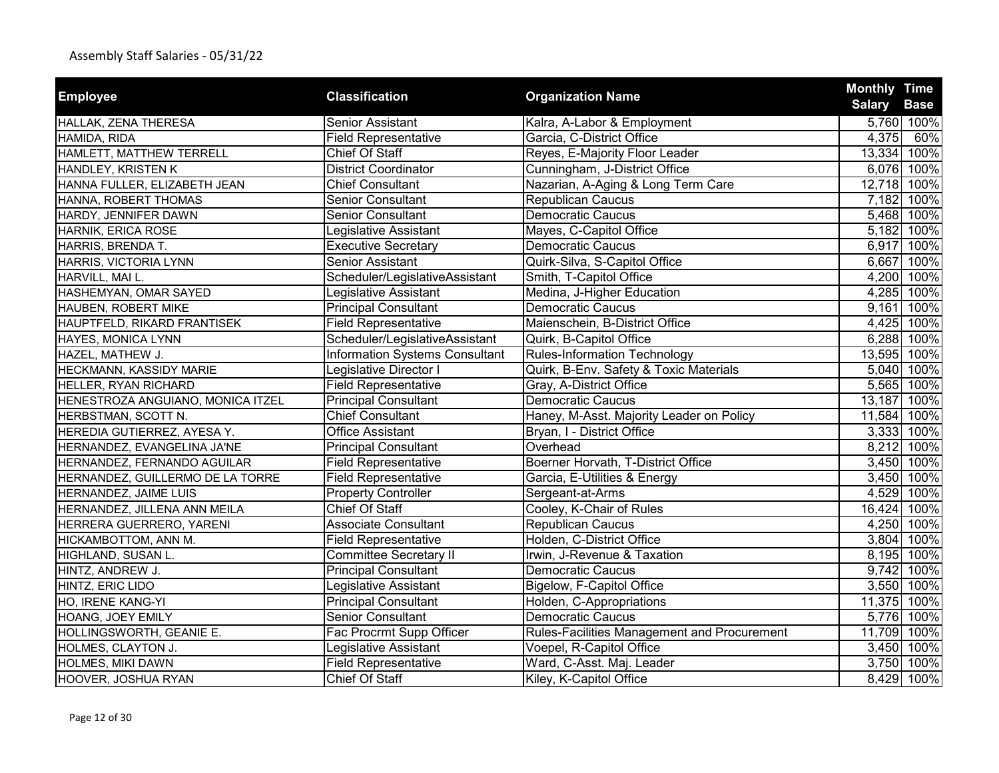| <b>Employee</b>                   | <b>Classification</b>                 | <b>Organization Name</b>                    | <b>Monthly Time</b> |             |
|-----------------------------------|---------------------------------------|---------------------------------------------|---------------------|-------------|
|                                   |                                       |                                             | <b>Salary</b>       | <b>Base</b> |
| HALLAK, ZENA THERESA              | <b>Senior Assistant</b>               | Kalra, A-Labor & Employment                 |                     | 5,760 100%  |
| HAMIDA, RIDA                      | <b>Field Representative</b>           | Garcia, C-District Office                   | 4,375               | 60%         |
| HAMLETT, MATTHEW TERRELL          | <b>Chief Of Staff</b>                 | Reyes, E-Majority Floor Leader              |                     | 13,334 100% |
| HANDLEY, KRISTEN K                | <b>District Coordinator</b>           | Cunningham, J-District Office               |                     | 6,076 100%  |
| HANNA FULLER, ELIZABETH JEAN      | <b>Chief Consultant</b>               | Nazarian, A-Aging & Long Term Care          |                     | 12,718 100% |
| HANNA, ROBERT THOMAS              | <b>Senior Consultant</b>              | <b>Republican Caucus</b>                    |                     | 7,182 100%  |
| HARDY, JENNIFER DAWN              | <b>Senior Consultant</b>              | <b>Democratic Caucus</b>                    |                     | 5,468 100%  |
| HARNIK, ERICA ROSE                | Legislative Assistant                 | Mayes, C-Capitol Office                     |                     | 5,182 100%  |
| HARRIS, BRENDA T.                 | <b>Executive Secretary</b>            | <b>Democratic Caucus</b>                    |                     | 6,917 100%  |
| HARRIS, VICTORIA LYNN             | Senior Assistant                      | Quirk-Silva, S-Capitol Office               | 6,667               | 100%        |
| HARVILL, MAI L.                   | Scheduler/LegislativeAssistant        | Smith, T-Capitol Office                     | 4,200               | 100%        |
| HASHEMYAN, OMAR SAYED             | Legislative Assistant                 | Medina, J-Higher Education                  | 4,285               | 100%        |
| HAUBEN, ROBERT MIKE               | <b>Principal Consultant</b>           | <b>Democratic Caucus</b>                    | 9,161               | 100%        |
| HAUPTFELD, RIKARD FRANTISEK       | <b>Field Representative</b>           | Maienschein, B-District Office              | 4,425               | 100%        |
| HAYES, MONICA LYNN                | Scheduler/LegislativeAssistant        | Quirk, B-Capitol Office                     | 6,288               | 100%        |
| HAZEL, MATHEW J.                  | <b>Information Systems Consultant</b> | <b>Rules-Information Technology</b>         |                     | 13,595 100% |
| HECKMANN, KASSIDY MARIE           | Legislative Director I                | Quirk, B-Env. Safety & Toxic Materials      |                     | 5,040 100%  |
| HELLER, RYAN RICHARD              | <b>Field Representative</b>           | Gray, A-District Office                     |                     | 5,565 100%  |
| HENESTROZA ANGUIANO, MONICA ITZEL | <b>Principal Consultant</b>           | <b>Democratic Caucus</b>                    | 13,187              | 100%        |
| HERBSTMAN, SCOTT N.               | <b>Chief Consultant</b>               | Haney, M-Asst. Majority Leader on Policy    | 11,584              | 100%        |
| HEREDIA GUTIERREZ, AYESA Y.       | <b>Office Assistant</b>               | Bryan, I - District Office                  | 3,333               | 100%        |
| HERNANDEZ, EVANGELINA JA'NE       | <b>Principal Consultant</b>           | Overhead                                    |                     | 8,212 100%  |
| HERNANDEZ, FERNANDO AGUILAR       | <b>Field Representative</b>           | Boerner Horvath, T-District Office          |                     | 3,450 100%  |
| HERNANDEZ, GUILLERMO DE LA TORRE  | <b>Field Representative</b>           | Garcia, E-Utilities & Energy                |                     | 3,450 100%  |
| HERNANDEZ, JAIME LUIS             | <b>Property Controller</b>            | Sergeant-at-Arms                            | 4,529               | 100%        |
| HERNANDEZ, JILLENA ANN MEILA      | <b>Chief Of Staff</b>                 | Cooley, K-Chair of Rules                    | 16,424              | 100%        |
| HERRERA GUERRERO, YARENI          | <b>Associate Consultant</b>           | Republican Caucus                           |                     | 4,250 100%  |
| HICKAMBOTTOM, ANN M.              | <b>Field Representative</b>           | Holden, C-District Office                   | 3,804               | 100%        |
| HIGHLAND, SUSAN L.                | <b>Committee Secretary II</b>         | Irwin, J-Revenue & Taxation                 |                     | 8,195 100%  |
| HINTZ, ANDREW J.                  | <b>Principal Consultant</b>           | Democratic Caucus                           |                     | 9,742 100%  |
| HINTZ, ERIC LIDO                  | Legislative Assistant                 | Bigelow, F-Capitol Office                   | 3,550               | 100%        |
| HO, IRENE KANG-YI                 | <b>Principal Consultant</b>           | Holden, C-Appropriations                    | 11,375              | 100%        |
| HOANG, JOEY EMILY                 | <b>Senior Consultant</b>              | <b>Democratic Caucus</b>                    | 5,776               | 100%        |
| HOLLINGSWORTH, GEANIE E.          | Fac Procrmt Supp Officer              | Rules-Facilities Management and Procurement | 11,709              | 100%        |
| HOLMES, CLAYTON J.                | Legislative Assistant                 | Voepel, R-Capitol Office                    | 3,450               | 100%        |
| HOLMES, MIKI DAWN                 | <b>Field Representative</b>           | Ward, C-Asst. Maj. Leader                   | 3,750               | 100%        |
| HOOVER, JOSHUA RYAN               | Chief Of Staff                        | Kiley, K-Capitol Office                     |                     | 8,429 100%  |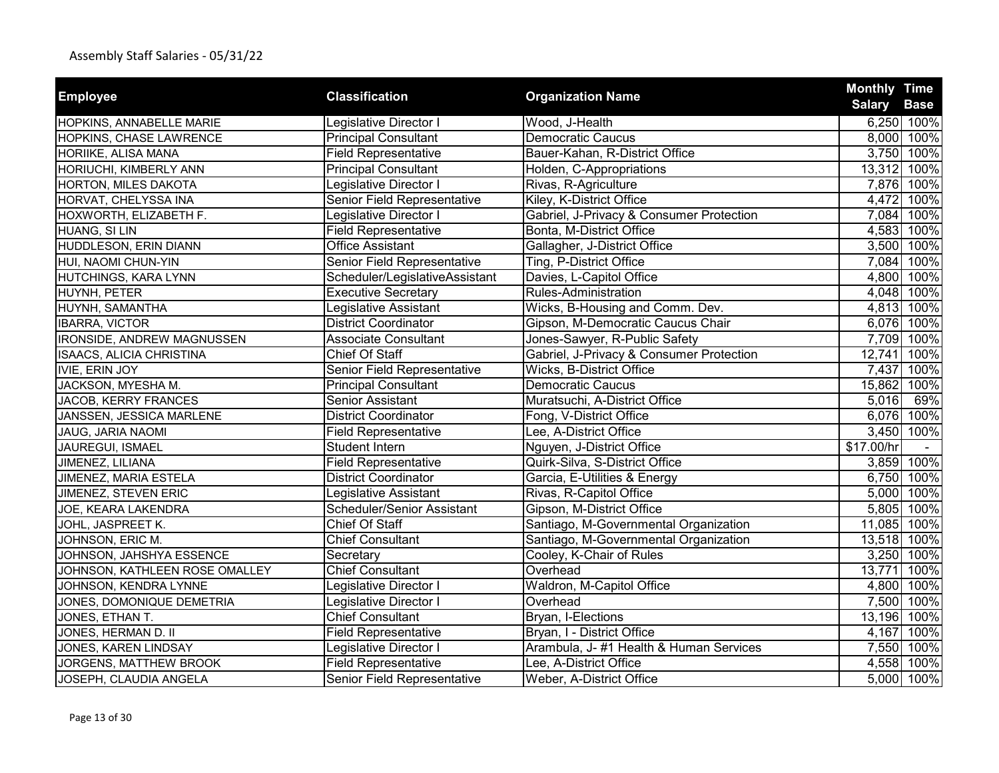| <b>Employee</b>                   | <b>Classification</b>          | <b>Organization Name</b>                 | <b>Monthly Time</b> |                           |
|-----------------------------------|--------------------------------|------------------------------------------|---------------------|---------------------------|
|                                   | Legislative Director I         | Wood, J-Health                           | <b>Salary</b>       | <b>Base</b><br>6,250 100% |
| HOPKINS, ANNABELLE MARIE          | <b>Principal Consultant</b>    | <b>Democratic Caucus</b>                 |                     | 8,000 100%                |
| HOPKINS, CHASE LAWRENCE           | <b>Field Representative</b>    | Bauer-Kahan, R-District Office           |                     | 3,750 100%                |
| HORIIKE, ALISA MANA               |                                |                                          |                     |                           |
| HORIUCHI, KIMBERLY ANN            | <b>Principal Consultant</b>    | Holden, C-Appropriations                 |                     | 13,312 100%               |
| HORTON, MILES DAKOTA              | Legislative Director I         | Rivas, R-Agriculture                     |                     | 7,876 100%                |
| HORVAT, CHELYSSA INA              | Senior Field Representative    | Kiley, K-District Office                 |                     | 4,472 100%                |
| HOXWORTH, ELIZABETH F.            | Legislative Director I         | Gabriel, J-Privacy & Consumer Protection |                     | 7,084 100%                |
| HUANG, SI LIN                     | <b>Field Representative</b>    | Bonta, M-District Office                 |                     | 4,583 100%                |
| HUDDLESON, ERIN DIANN             | <b>Office Assistant</b>        | Gallagher, J-District Office             |                     | 3,500 100%                |
| HUI, NAOMI CHUN-YIN               | Senior Field Representative    | Ting, P-District Office                  | 7,084               | 100%                      |
| HUTCHINGS, KARA LYNN              | Scheduler/LegislativeAssistant | Davies, L-Capitol Office                 |                     | 4,800 100%                |
| HUYNH, PETER                      | <b>Executive Secretary</b>     | Rules-Administration                     | 4,048               | 100%                      |
| HUYNH, SAMANTHA                   | Legislative Assistant          | Wicks, B-Housing and Comm. Dev.          |                     | 4,813 100%                |
| <b>IBARRA, VICTOR</b>             | <b>District Coordinator</b>    | Gipson, M-Democratic Caucus Chair        |                     | 6,076 100%                |
| <b>IRONSIDE, ANDREW MAGNUSSEN</b> | <b>Associate Consultant</b>    | Jones-Sawyer, R-Public Safety            |                     | 7,709 100%                |
| ISAACS, ALICIA CHRISTINA          | Chief Of Staff                 | Gabriel, J-Privacy & Consumer Protection |                     | 12,741 100%               |
| <b>IVIE, ERIN JOY</b>             | Senior Field Representative    | Wicks, B-District Office                 |                     | 7,437 100%                |
| JACKSON, MYESHA M.                | <b>Principal Consultant</b>    | <b>Democratic Caucus</b>                 | 15,862              | 100%                      |
| JACOB, KERRY FRANCES              | Senior Assistant               | Muratsuchi, A-District Office            | 5,016               | 69%                       |
| JANSSEN, JESSICA MARLENE          | <b>District Coordinator</b>    | Fong, V-District Office                  |                     | 6,076 100%                |
| JAUG, JARIA NAOMI                 | <b>Field Representative</b>    | Lee, A-District Office                   |                     | 3,450 100%                |
| JAUREGUI, ISMAEL                  | Student Intern                 | Nguyen, J-District Office                | \$17.00/hr          |                           |
| JIMENEZ, LILIANA                  | <b>Field Representative</b>    | Quirk-Silva, S-District Office           |                     | 3,859 100%                |
| JIMENEZ, MARIA ESTELA             | District Coordinator           | Garcia, E-Utilities & Energy             |                     | 6,750 100%                |
| JIMENEZ, STEVEN ERIC              | Legislative Assistant          | Rivas, R-Capitol Office                  |                     | 5,000 100%                |
| JOE, KEARA LAKENDRA               | Scheduler/Senior Assistant     | Gipson, M-District Office                |                     | 5,805 100%                |
| JOHL, JASPREET K.                 | Chief Of Staff                 | Santiago, M-Governmental Organization    |                     | 11,085 100%               |
| JOHNSON, ERIC M.                  | <b>Chief Consultant</b>        | Santiago, M-Governmental Organization    |                     | 13,518 100%               |
| JOHNSON, JAHSHYA ESSENCE          | Secretary                      | Cooley, K-Chair of Rules                 |                     | 3,250 100%                |
| JOHNSON, KATHLEEN ROSE OMALLEY    | <b>Chief Consultant</b>        | Overhead                                 | 13,771              | 100%                      |
| JOHNSON, KENDRA LYNNE             | Legislative Director I         | Waldron, M-Capitol Office                |                     | 4,800 100%                |
| JONES, DOMONIQUE DEMETRIA         | Legislative Director I         | Overhead                                 |                     | 7,500 100%                |
| JONES, ETHAN T.                   | <b>Chief Consultant</b>        | Bryan, I-Elections                       |                     | 13,196 100%               |
| JONES, HERMAN D. II               | <b>Field Representative</b>    | Bryan, I - District Office               | 4,167               | 100%                      |
| JONES, KAREN LINDSAY              | Legislative Director I         | Arambula, J-#1 Health & Human Services   |                     | 7,550 100%                |
| JORGENS, MATTHEW BROOK            | <b>Field Representative</b>    | Lee, A-District Office                   |                     | 4,558 100%                |
| JOSEPH, CLAUDIA ANGELA            | Senior Field Representative    | Weber, A-District Office                 |                     | 5,000 100%                |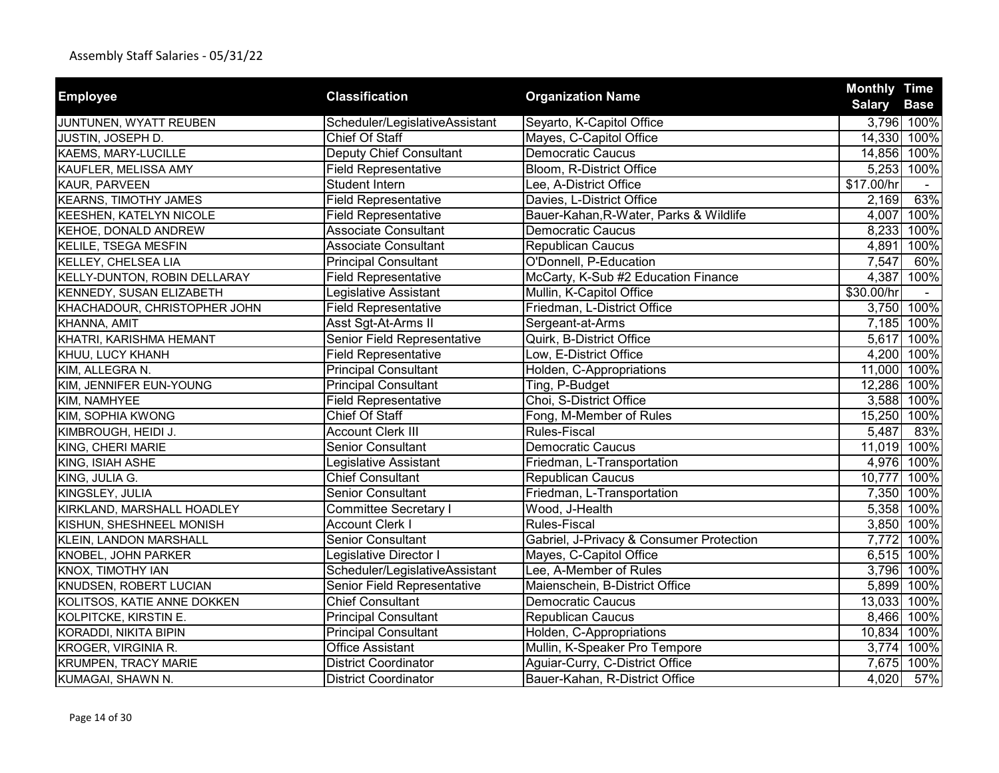|                                |                                |                                          | <b>Monthly Time</b> |             |
|--------------------------------|--------------------------------|------------------------------------------|---------------------|-------------|
| <b>Employee</b>                | <b>Classification</b>          | <b>Organization Name</b>                 | <b>Salary</b>       | <b>Base</b> |
| JUNTUNEN, WYATT REUBEN         | Scheduler/LegislativeAssistant | Seyarto, K-Capitol Office                |                     | 3,796 100%  |
| JUSTIN, JOSEPH D.              | Chief Of Staff                 | Mayes, C-Capitol Office                  | 14,330 100%         |             |
| KAEMS, MARY-LUCILLE            | <b>Deputy Chief Consultant</b> | <b>Democratic Caucus</b>                 | 14,856 100%         |             |
| KAUFLER, MELISSA AMY           | <b>Field Representative</b>    | Bloom, R-District Office                 |                     | 5,253 100%  |
| KAUR, PARVEEN                  | <b>Student Intern</b>          | Lee, A-District Office                   | \$17.00/hr          |             |
| <b>KEARNS, TIMOTHY JAMES</b>   | <b>Field Representative</b>    | Davies, L-District Office                | 2,169               | 63%         |
| <b>KEESHEN, KATELYN NICOLE</b> | <b>Field Representative</b>    | Bauer-Kahan, R-Water, Parks & Wildlife   | 4,007               | 100%        |
| KEHOE, DONALD ANDREW           | <b>Associate Consultant</b>    | <b>Democratic Caucus</b>                 |                     | 8,233 100%  |
| <b>KELILE, TSEGA MESFIN</b>    | <b>Associate Consultant</b>    | <b>Republican Caucus</b>                 | 4,891               | 100%        |
| KELLEY, CHELSEA LIA            | <b>Principal Consultant</b>    | O'Donnell, P-Education                   | 7,547               | 60%         |
| KELLY-DUNTON, ROBIN DELLARAY   | <b>Field Representative</b>    | McCarty, K-Sub #2 Education Finance      | 4,387               | 100%        |
| KENNEDY, SUSAN ELIZABETH       | Legislative Assistant          | Mullin, K-Capitol Office                 | \$30.00/hr          |             |
| KHACHADOUR, CHRISTOPHER JOHN   | <b>Field Representative</b>    | Friedman, L-District Office              | 3,750               | 100%        |
| KHANNA, AMIT                   | Asst Sgt-At-Arms II            | Sergeant-at-Arms                         |                     | 7,185 100%  |
| KHATRI, KARISHMA HEMANT        | Senior Field Representative    | Quirk, B-District Office                 | 5,617               | 100%        |
| KHUU, LUCY KHANH               | <b>Field Representative</b>    | Low, E-District Office                   |                     | 4,200 100%  |
| KIM, ALLEGRA N.                | <b>Principal Consultant</b>    | Holden, C-Appropriations                 | 11,000 100%         |             |
| KIM, JENNIFER EUN-YOUNG        | <b>Principal Consultant</b>    | Ting, P-Budget                           | 12,286 100%         |             |
| KIM, NAMHYEE                   | <b>Field Representative</b>    | Choi, S-District Office                  |                     | 3,588 100%  |
| KIM, SOPHIA KWONG              | <b>Chief Of Staff</b>          | Fong, M-Member of Rules                  | 15,250 100%         |             |
| KIMBROUGH, HEIDI J.            | <b>Account Clerk III</b>       | Rules-Fiscal                             | 5,487               | 83%         |
| KING, CHERI MARIE              | <b>Senior Consultant</b>       | <b>Democratic Caucus</b>                 | 11,019 100%         |             |
| KING, ISIAH ASHE               | Legislative Assistant          | Friedman, L-Transportation               |                     | 4,976 100%  |
| KING, JULIA G.                 | <b>Chief Consultant</b>        | <b>Republican Caucus</b>                 | 10,777              | 100%        |
| KINGSLEY, JULIA                | Senior Consultant              | Friedman, L-Transportation               |                     | 7,350 100%  |
| KIRKLAND, MARSHALL HOADLEY     | <b>Committee Secretary I</b>   | Wood, J-Health                           |                     | 5,358 100%  |
| KISHUN, SHESHNEEL MONISH       | <b>Account Clerk I</b>         | <b>Rules-Fiscal</b>                      |                     | 3,850 100%  |
| <b>KLEIN, LANDON MARSHALL</b>  | <b>Senior Consultant</b>       | Gabriel, J-Privacy & Consumer Protection |                     | 7,772 100%  |
| KNOBEL, JOHN PARKER            | Legislative Director I         | Mayes, C-Capitol Office                  |                     | 6,515 100%  |
| KNOX, TIMOTHY IAN              | Scheduler/LegislativeAssistant | Lee, A-Member of Rules                   |                     | 3,796 100%  |
| KNUDSEN, ROBERT LUCIAN         | Senior Field Representative    | Maienschein, B-District Office           |                     | 5,899 100%  |
| KOLITSOS, KATIE ANNE DOKKEN    | <b>Chief Consultant</b>        | <b>Democratic Caucus</b>                 | 13,033 100%         |             |
| KOLPITCKE, KIRSTIN E.          | <b>Principal Consultant</b>    | Republican Caucus                        |                     | 8,466 100%  |
| KORADDI, NIKITA BIPIN          | <b>Principal Consultant</b>    | Holden, C-Appropriations                 | 10,834              | 100%        |
| KROGER, VIRGINIA R.            | <b>Office Assistant</b>        | Mullin, K-Speaker Pro Tempore            | 3,774               | 100%        |
| <b>KRUMPEN, TRACY MARIE</b>    | <b>District Coordinator</b>    | Aguiar-Curry, C-District Office          | 7,675               | 100%        |
| KUMAGAI, SHAWN N.              | <b>District Coordinator</b>    | Bauer-Kahan, R-District Office           | 4,020               | 57%         |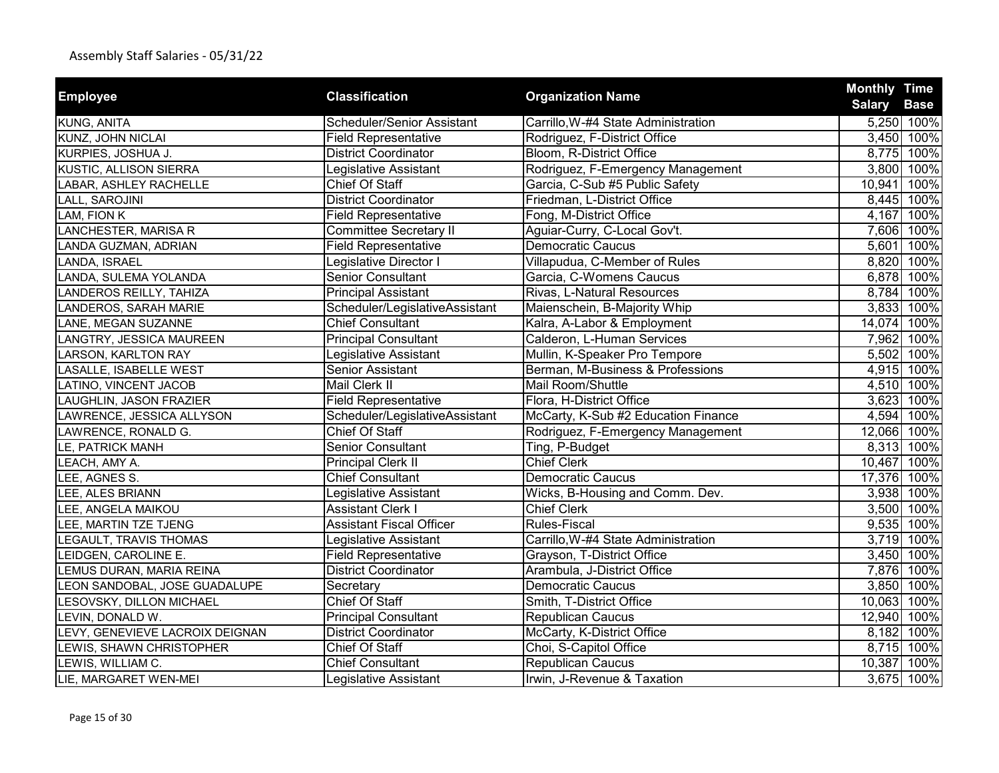| <b>Employee</b>                 | <b>Classification</b>             | <b>Organization Name</b>            | <b>Monthly Time</b> |                           |
|---------------------------------|-----------------------------------|-------------------------------------|---------------------|---------------------------|
| KUNG, ANITA                     | <b>Scheduler/Senior Assistant</b> | Carrillo, W-#4 State Administration | <b>Salary</b>       | <b>Base</b><br>5,250 100% |
| KUNZ, JOHN NICLAI               | <b>Field Representative</b>       | Rodriguez, F-District Office        | 3,450               | 100%                      |
| KURPIES, JOSHUA J.              | <b>District Coordinator</b>       | Bloom, R-District Office            |                     | 8,775 100%                |
| KUSTIC, ALLISON SIERRA          | Legislative Assistant             | Rodriguez, F-Emergency Management   |                     | 3,800 100%                |
| LABAR, ASHLEY RACHELLE          | Chief Of Staff                    | Garcia, C-Sub #5 Public Safety      |                     | 10,941 100%               |
| LALL, SAROJINI                  | <b>District Coordinator</b>       | Friedman, L-District Office         |                     | 8,445 100%                |
| LAM, FION K                     | <b>Field Representative</b>       | Fong, M-District Office             |                     | 4,167 100%                |
|                                 |                                   |                                     |                     |                           |
| LANCHESTER, MARISA R            | Committee Secretary II            | Aguiar-Curry, C-Local Gov't.        |                     | 7,606 100%                |
| LANDA GUZMAN, ADRIAN            | <b>Field Representative</b>       | <b>Democratic Caucus</b>            | 5,601               | 100%                      |
| LANDA, ISRAEL                   | Legislative Director I            | Villapudua, C-Member of Rules       |                     | 8,820 100%                |
| LANDA, SULEMA YOLANDA           | <b>Senior Consultant</b>          | Garcia, C-Womens Caucus             |                     | 6,878 100%                |
| LANDEROS REILLY, TAHIZA         | <b>Principal Assistant</b>        | Rivas, L-Natural Resources          |                     | 8,784 100%                |
| LANDEROS, SARAH MARIE           | Scheduler/LegislativeAssistant    | Maienschein, B-Majority Whip        |                     | 3,833 100%                |
| LANE, MEGAN SUZANNE             | <b>Chief Consultant</b>           | Kalra, A-Labor & Employment         |                     | 14,074 100%               |
| LANGTRY, JESSICA MAUREEN        | <b>Principal Consultant</b>       | Calderon, L-Human Services          |                     | 7,962 100%                |
| LARSON, KARLTON RAY             | Legislative Assistant             | Mullin, K-Speaker Pro Tempore       |                     | 5,502 100%                |
| LASALLE, ISABELLE WEST          | Senior Assistant                  | Berman, M-Business & Professions    |                     | 4,915 100%                |
| LATINO, VINCENT JACOB           | <b>Mail Clerk II</b>              | Mail Room/Shuttle                   |                     | 4,510 100%                |
| LAUGHLIN, JASON FRAZIER         | <b>Field Representative</b>       | Flora, H-District Office            |                     | 3,623 100%                |
| LAWRENCE, JESSICA ALLYSON       | Scheduler/LegislativeAssistant    | McCarty, K-Sub #2 Education Finance |                     | 4,594 100%                |
| LAWRENCE, RONALD G.             | <b>Chief Of Staff</b>             | Rodriguez, F-Emergency Management   |                     | 12,066 100%               |
| LE, PATRICK MANH                | <b>Senior Consultant</b>          | Ting, P-Budget                      |                     | 8,313 100%                |
| LEACH, AMY A.                   | Principal Clerk II                | <b>Chief Clerk</b>                  |                     | 10,467 100%               |
| LEE, AGNES S.                   | <b>Chief Consultant</b>           | Democratic Caucus                   |                     | 17,376 100%               |
| LEE, ALES BRIANN                | Legislative Assistant             | Wicks, B-Housing and Comm. Dev.     |                     | 3,938 100%                |
| LEE, ANGELA MAIKOU              | <b>Assistant Clerk I</b>          | <b>Chief Clerk</b>                  |                     | 3,500 100%                |
| LEE, MARTIN TZE TJENG           | <b>Assistant Fiscal Officer</b>   | Rules-Fiscal                        |                     | 9,535 100%                |
| <b>LEGAULT, TRAVIS THOMAS</b>   | Legislative Assistant             | Carrillo, W-#4 State Administration |                     | 3,719 100%                |
| LEIDGEN, CAROLINE E.            | <b>Field Representative</b>       | Grayson, T-District Office          |                     | 3,450 100%                |
| LEMUS DURAN, MARIA REINA        | <b>District Coordinator</b>       | Arambula, J-District Office         |                     | 7,876 100%                |
| LEON SANDOBAL, JOSE GUADALUPE   | Secretary                         | <b>Democratic Caucus</b>            |                     | 3,850 100%                |
| LESOVSKY, DILLON MICHAEL        | <b>Chief Of Staff</b>             | Smith, T-District Office            |                     | 10,063 100%               |
| LEVIN, DONALD W.                | <b>Principal Consultant</b>       | Republican Caucus                   |                     | 12,940 100%               |
| LEVY, GENEVIEVE LACROIX DEIGNAN | <b>District Coordinator</b>       | McCarty, K-District Office          | 8,182               | 100%                      |
| LEWIS, SHAWN CHRISTOPHER        | Chief Of Staff                    | Choi, S-Capitol Office              |                     | 8,715 100%                |
| LEWIS, WILLIAM C.               | <b>Chief Consultant</b>           | Republican Caucus                   | 10,387              | 100%                      |
| LIE, MARGARET WEN-MEI           | Legislative Assistant             | Irwin, J-Revenue & Taxation         |                     | 3,675 100%                |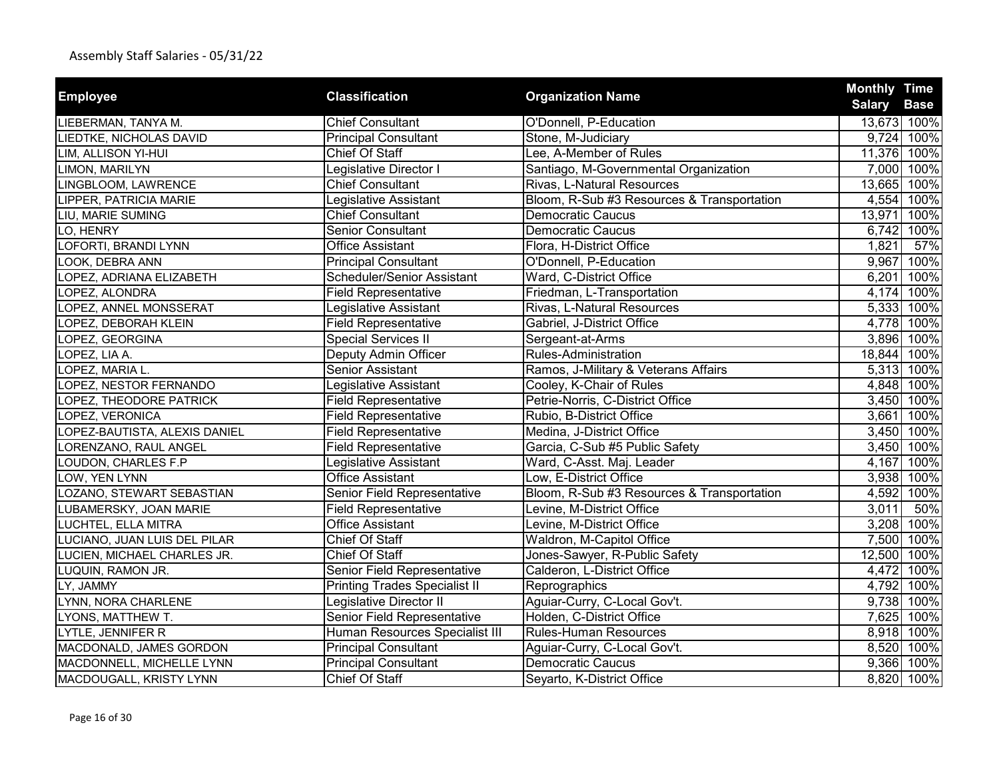| <b>Employee</b>               | <b>Classification</b>                | <b>Organization Name</b>                   | <b>Monthly Time</b>          |
|-------------------------------|--------------------------------------|--------------------------------------------|------------------------------|
|                               |                                      |                                            | <b>Salary</b><br><b>Base</b> |
| LIEBERMAN, TANYA M.           | <b>Chief Consultant</b>              | O'Donnell, P-Education                     | 13,673 100%                  |
| LIEDTKE, NICHOLAS DAVID       | <b>Principal Consultant</b>          | Stone, M-Judiciary                         | 9,724 100%                   |
| LIM, ALLISON YI-HUI           | Chief Of Staff                       | Lee, A-Member of Rules                     | 11,376 100%                  |
| LIMON, MARILYN                | Legislative Director I               | Santiago, M-Governmental Organization      | 7,000 100%                   |
| LINGBLOOM, LAWRENCE           | <b>Chief Consultant</b>              | Rivas, L-Natural Resources                 | 13,665 100%                  |
| LIPPER, PATRICIA MARIE        | Legislative Assistant                | Bloom, R-Sub #3 Resources & Transportation | 4,554<br>100%                |
| LIU, MARIE SUMING             | <b>Chief Consultant</b>              | <b>Democratic Caucus</b>                   | 13,971<br>100%               |
| LO, HENRY                     | <b>Senior Consultant</b>             | <b>Democratic Caucus</b>                   | 6,742<br>100%                |
| LOFORTI, BRANDI LYNN          | <b>Office Assistant</b>              | Flora, H-District Office                   | 1,821<br>57%                 |
| LOOK, DEBRA ANN               | <b>Principal Consultant</b>          | O'Donnell, P-Education                     | 100%<br>9,967                |
| LOPEZ, ADRIANA ELIZABETH      | Scheduler/Senior Assistant           | Ward, C-District Office                    | 100%<br>6,201                |
| OPEZ, ALONDRA                 | <b>Field Representative</b>          | Friedman, L-Transportation                 | 4,174<br>100%                |
| OPEZ, ANNEL MONSSERAT         | Legislative Assistant                | Rivas, L-Natural Resources                 | 5,333<br>100%                |
| LOPEZ, DEBORAH KLEIN          | <b>Field Representative</b>          | Gabriel, J-District Office                 | 4,778 100%                   |
| OPEZ, GEORGINA                | <b>Special Services II</b>           | Sergeant-at-Arms                           | 100%<br>3,896                |
| LOPEZ, LIA A.                 | Deputy Admin Officer                 | <b>Rules-Administration</b>                | 100%<br>18,844               |
| LOPEZ, MARIA L.               | <b>Senior Assistant</b>              | Ramos, J-Military & Veterans Affairs       | 5,313<br>100%                |
| LOPEZ, NESTOR FERNANDO        | Legislative Assistant                | Cooley, K-Chair of Rules                   | 4,848 100%                   |
| LOPEZ, THEODORE PATRICK       | <b>Field Representative</b>          | Petrie-Norris, C-District Office           | 3,450 100%                   |
| LOPEZ, VERONICA               | <b>Field Representative</b>          | Rubio, B-District Office                   | 100%<br>3,661                |
| LOPEZ-BAUTISTA, ALEXIS DANIEL | <b>Field Representative</b>          | Medina, J-District Office                  | 100%<br>3,450                |
| LORENZANO, RAUL ANGEL         | <b>Field Representative</b>          | Garcia, C-Sub #5 Public Safety             | 3,450<br>100%                |
| LOUDON, CHARLES F.P           | Legislative Assistant                | Ward, C-Asst. Maj. Leader                  | 100%<br>4,167                |
| LOW, YEN LYNN                 | <b>Office Assistant</b>              | Low, E-District Office                     | 3,938<br>100%                |
| LOZANO, STEWART SEBASTIAN     | Senior Field Representative          | Bloom, R-Sub #3 Resources & Transportation | 100%<br>4,592                |
| LUBAMERSKY, JOAN MARIE        | <b>Field Representative</b>          | Levine, M-District Office                  | 3,011<br>50%                 |
| LUCHTEL, ELLA MITRA           | <b>Office Assistant</b>              | Levine, M-District Office                  | 3,208<br>100%                |
| LUCIANO, JUAN LUIS DEL PILAR  | <b>Chief Of Staff</b>                | Waldron, M-Capitol Office                  | 7,500 100%                   |
| LUCIEN, MICHAEL CHARLES JR.   | <b>Chief Of Staff</b>                | Jones-Sawyer, R-Public Safety              | 12,500 100%                  |
| LUQUIN, RAMON JR.             | Senior Field Representative          | Calderon, L-District Office                | 4,472<br>100%                |
| LY, JAMMY                     | <b>Printing Trades Specialist II</b> | Reprographics                              | 4,792 100%                   |
| LYNN, NORA CHARLENE           | Legislative Director II              | Aguiar-Curry, C-Local Gov't.               | 9,738<br>100%                |
| LYONS, MATTHEW T.             | Senior Field Representative          | Holden, C-District Office                  | 100%<br>7,625                |
| LYTLE, JENNIFER R             | Human Resources Specialist III       | <b>Rules-Human Resources</b>               | 8,918<br>100%                |
| MACDONALD, JAMES GORDON       | <b>Principal Consultant</b>          | Aguiar-Curry, C-Local Gov't.               | 8,520<br>100%                |
| MACDONNELL, MICHELLE LYNN     | <b>Principal Consultant</b>          | <b>Democratic Caucus</b>                   | 9,366<br>100%                |
| MACDOUGALL, KRISTY LYNN       | Chief Of Staff                       | Seyarto, K-District Office                 | 8,820 100%                   |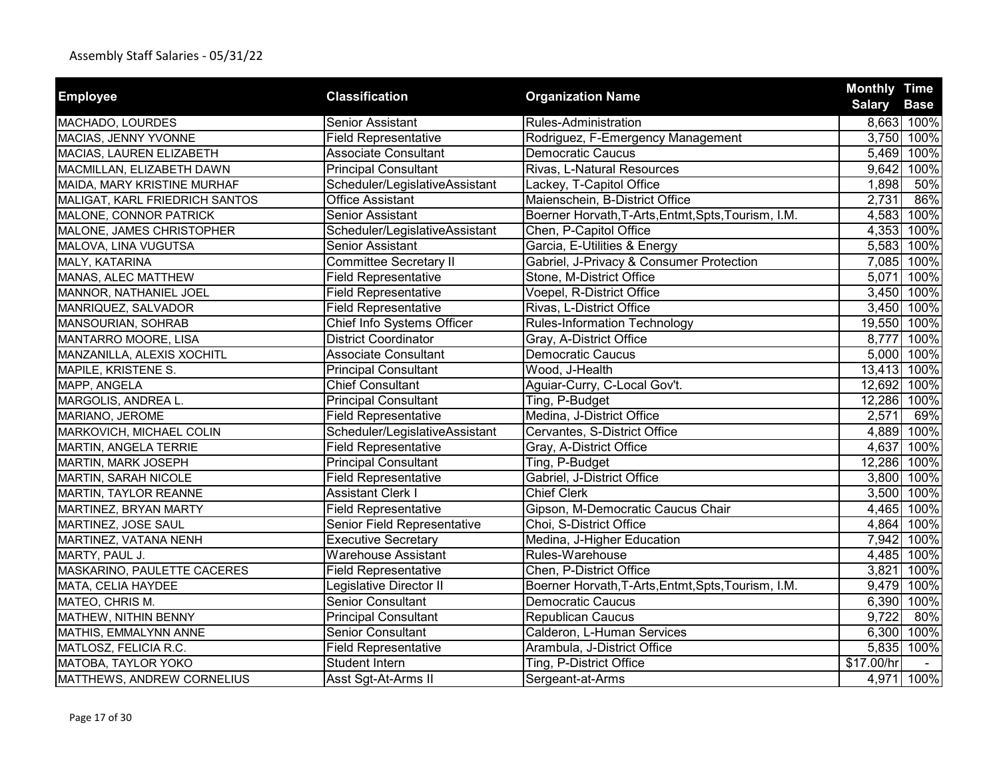| <b>Employee</b>                | <b>Classification</b>          | <b>Organization Name</b>                            | <b>Monthly Time</b> |             |
|--------------------------------|--------------------------------|-----------------------------------------------------|---------------------|-------------|
|                                |                                |                                                     | <b>Salary</b>       | <b>Base</b> |
| MACHADO, LOURDES               | <b>Senior Assistant</b>        | Rules-Administration                                |                     | 8,663 100%  |
| MACIAS, JENNY YVONNE           | <b>Field Representative</b>    | Rodriguez, F-Emergency Management                   | 3,750               | 100%        |
| MACIAS, LAUREN ELIZABETH       | <b>Associate Consultant</b>    | <b>Democratic Caucus</b>                            |                     | 5,469 100%  |
| MACMILLAN, ELIZABETH DAWN      | <b>Principal Consultant</b>    | Rivas, L-Natural Resources                          | 9,642               | 100%        |
| MAIDA, MARY KRISTINE MURHAF    | Scheduler/LegislativeAssistant | Lackey, T-Capitol Office                            | 1,898               | 50%         |
| MALIGAT, KARL FRIEDRICH SANTOS | <b>Office Assistant</b>        | Maienschein, B-District Office                      | 2,731               | 86%         |
| MALONE, CONNOR PATRICK         | Senior Assistant               | Boerner Horvath, T-Arts, Entmt, Spts, Tourism, I.M. | 4,583               | 100%        |
| MALONE, JAMES CHRISTOPHER      | Scheduler/LegislativeAssistant | Chen, P-Capitol Office                              |                     | 4,353 100%  |
| MALOVA, LINA VUGUTSA           | Senior Assistant               | Garcia, E-Utilities & Energy                        |                     | 5,583 100%  |
| MALY, KATARINA                 | <b>Committee Secretary II</b>  | Gabriel, J-Privacy & Consumer Protection            | 7,085               | 100%        |
| MANAS, ALEC MATTHEW            | <b>Field Representative</b>    | Stone, M-District Office                            | 5,071               | 100%        |
| MANNOR, NATHANIEL JOEL         | <b>Field Representative</b>    | Voepel, R-District Office                           | 3,450               | 100%        |
| MANRIQUEZ, SALVADOR            | <b>Field Representative</b>    | Rivas, L-District Office                            | 3,450               | 100%        |
| MANSOURIAN, SOHRAB             | Chief Info Systems Officer     | <b>Rules-Information Technology</b>                 |                     | 19,550 100% |
| MANTARRO MOORE, LISA           | <b>District Coordinator</b>    | Gray, A-District Office                             | 8,777               | 100%        |
| MANZANILLA, ALEXIS XOCHITL     | <b>Associate Consultant</b>    | <b>Democratic Caucus</b>                            |                     | 5,000 100%  |
| MAPILE, KRISTENE S.            | <b>Principal Consultant</b>    | Wood, J-Health                                      |                     | 13,413 100% |
| MAPP, ANGELA                   | <b>Chief Consultant</b>        | Aguiar-Curry, C-Local Gov't.                        | 12,692              | 100%        |
| MARGOLIS, ANDREA L.            | <b>Principal Consultant</b>    | Ting, P-Budget                                      | 12,286 100%         |             |
| MARIANO, JEROME                | <b>Field Representative</b>    | Medina, J-District Office                           | 2,571               | 69%         |
| MARKOVICH, MICHAEL COLIN       | Scheduler/LegislativeAssistant | Cervantes, S-District Office                        |                     | 4,889 100%  |
| MARTIN, ANGELA TERRIE          | <b>Field Representative</b>    | Gray, A-District Office                             | 4,637               | 100%        |
| <b>MARTIN, MARK JOSEPH</b>     | <b>Principal Consultant</b>    | Ting, P-Budget                                      | 12,286              | 100%        |
| <b>MARTIN, SARAH NICOLE</b>    | <b>Field Representative</b>    | Gabriel, J-District Office                          |                     | 3,800 100%  |
| MARTIN, TAYLOR REANNE          | <b>Assistant Clerk I</b>       | Chief Clerk                                         |                     | 3,500 100%  |
| MARTINEZ, BRYAN MARTY          | <b>Field Representative</b>    | Gipson, M-Democratic Caucus Chair                   |                     | 4,465 100%  |
| MARTINEZ, JOSE SAUL            | Senior Field Representative    | Choi, S-District Office                             |                     | 4,864 100%  |
| MARTINEZ, VATANA NENH          | <b>Executive Secretary</b>     | Medina, J-Higher Education                          |                     | 7,942 100%  |
| MARTY, PAUL J.                 | <b>Warehouse Assistant</b>     | Rules-Warehouse                                     |                     | 4,485 100%  |
| MASKARINO, PAULETTE CACERES    | <b>Field Representative</b>    | Chen, P-District Office                             | 3,821               | 100%        |
| MATA, CELIA HAYDEE             | Legislative Director II        | Boerner Horvath, T-Arts, Entmt, Spts, Tourism, I.M. |                     | 9,479 100%  |
| MATEO, CHRIS M.                | <b>Senior Consultant</b>       | <b>Democratic Caucus</b>                            | 6,390               | 100%        |
| MATHEW, NITHIN BENNY           | <b>Principal Consultant</b>    | Republican Caucus                                   | 9,722               | 80%         |
| MATHIS, EMMALYNN ANNE          | <b>Senior Consultant</b>       | Calderon, L-Human Services                          | 6,300               | 100%        |
| MATLOSZ, FELICIA R.C.          | <b>Field Representative</b>    | Arambula, J-District Office                         | 5,835               | 100%        |
| MATOBA, TAYLOR YOKO            | <b>Student Intern</b>          | Ting, P-District Office                             | \$17.00/hr          |             |
| MATTHEWS, ANDREW CORNELIUS     | Asst Sgt-At-Arms II            | Sergeant-at-Arms                                    |                     | 4,971 100%  |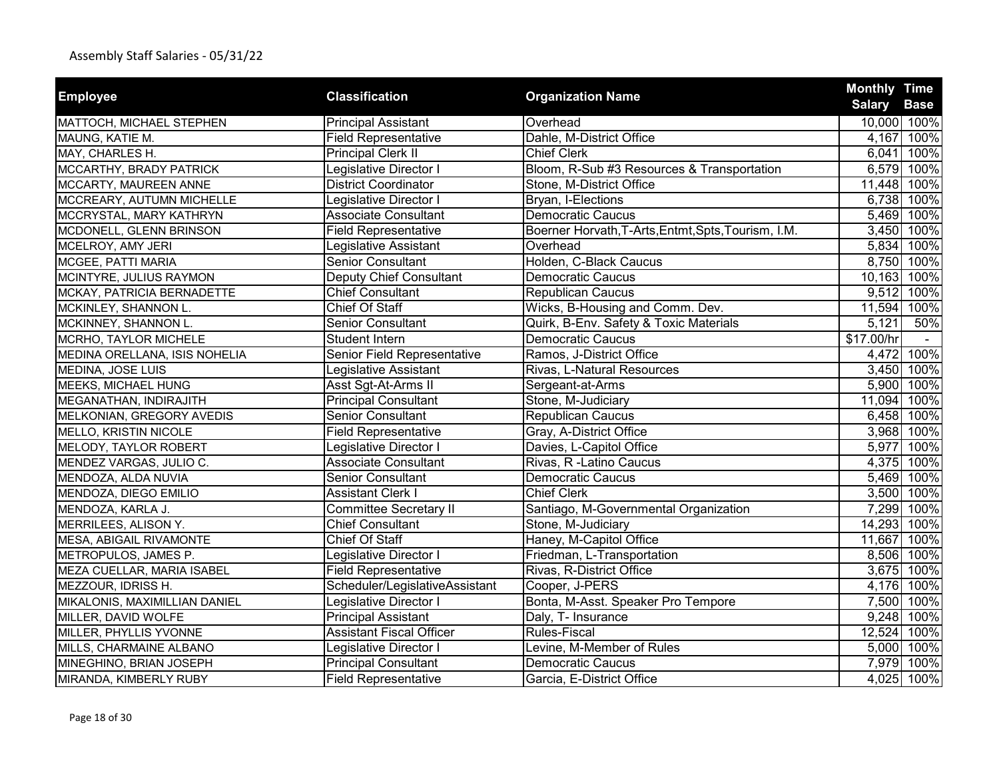| <b>Employee</b>               | <b>Classification</b>           | <b>Organization Name</b>                            | <b>Monthly Time</b>          |
|-------------------------------|---------------------------------|-----------------------------------------------------|------------------------------|
|                               |                                 |                                                     | <b>Salary</b><br><b>Base</b> |
| MATTOCH, MICHAEL STEPHEN      | <b>Principal Assistant</b>      | Overhead                                            | 10,000 100%                  |
| MAUNG, KATIE M.               | <b>Field Representative</b>     | Dahle, M-District Office                            | 100%<br>4,167                |
| MAY, CHARLES H.               | <b>Principal Clerk II</b>       | <b>Chief Clerk</b>                                  | 100%<br>6,041                |
| MCCARTHY, BRADY PATRICK       | Legislative Director I          | Bloom, R-Sub #3 Resources & Transportation          | 6,579<br>100%                |
| MCCARTY, MAUREEN ANNE         | <b>District Coordinator</b>     | Stone, M-District Office                            | 11,448 100%                  |
| MCCREARY, AUTUMN MICHELLE     | Legislative Director I          | Bryan, I-Elections                                  | 6,738<br>100%                |
| MCCRYSTAL, MARY KATHRYN       | <b>Associate Consultant</b>     | <b>Democratic Caucus</b>                            | 5,469<br>100%                |
| MCDONELL, GLENN BRINSON       | <b>Field Representative</b>     | Boerner Horvath, T-Arts, Entmt, Spts, Tourism, I.M. | 3,450<br>100%                |
| MCELROY, AMY JERI             | Legislative Assistant           | Overhead                                            | 5,834<br>100%                |
| MCGEE, PATTI MARIA            | <b>Senior Consultant</b>        | Holden, C-Black Caucus                              | 8,750<br>100%                |
| MCINTYRE, JULIUS RAYMON       | Deputy Chief Consultant         | <b>Democratic Caucus</b>                            | 10,163<br>100%               |
| MCKAY, PATRICIA BERNADETTE    | <b>Chief Consultant</b>         | <b>Republican Caucus</b>                            | 9,512<br>100%                |
| MCKINLEY, SHANNON L.          | Chief Of Staff                  | Wicks, B-Housing and Comm. Dev.                     | 100%<br>11,594               |
| MCKINNEY, SHANNON L.          | Senior Consultant               | Quirk, B-Env. Safety & Toxic Materials              | 50%<br>5,121                 |
| MCRHO, TAYLOR MICHELE         | Student Intern                  | <b>Democratic Caucus</b>                            | \$17.00/hr                   |
| MEDINA ORELLANA, ISIS NOHELIA | Senior Field Representative     | Ramos, J-District Office                            | 100%<br>4,472                |
| MEDINA, JOSE LUIS             | Legislative Assistant           | Rivas, L-Natural Resources                          | 3,450<br>100%                |
| <b>MEEKS, MICHAEL HUNG</b>    | Asst Sgt-At-Arms II             | Sergeant-at-Arms                                    | 5,900<br>100%                |
| MEGANATHAN, INDIRAJITH        | <b>Principal Consultant</b>     | Stone, M-Judiciary                                  | 11,094<br>100%               |
| MELKONIAN, GREGORY AVEDIS     | Senior Consultant               | <b>Republican Caucus</b>                            | 6,458<br>100%                |
| MELLO, KRISTIN NICOLE         | <b>Field Representative</b>     | Gray, A-District Office                             | 3,968<br>100%                |
| MELODY, TAYLOR ROBERT         | Legislative Director I          | Davies, L-Capitol Office                            | 5,977<br>100%                |
| MENDEZ VARGAS, JULIO C.       | <b>Associate Consultant</b>     | Rivas, R -Latino Caucus                             | 4,375<br>100%                |
| MENDOZA, ALDA NUVIA           | Senior Consultant               | <b>Democratic Caucus</b>                            | 5,469<br>100%                |
| MENDOZA, DIEGO EMILIO         | <b>Assistant Clerk I</b>        | <b>Chief Clerk</b>                                  | 100%<br>3,500                |
| MENDOZA, KARLA J.             | <b>Committee Secretary II</b>   | Santiago, M-Governmental Organization               | 7,299<br>100%                |
| MERRILEES, ALISON Y.          | <b>Chief Consultant</b>         | Stone, M-Judiciary                                  | 14,293<br>100%               |
| MESA, ABIGAIL RIVAMONTE       | <b>Chief Of Staff</b>           | Haney, M-Capitol Office                             | 11,667<br>100%               |
| METROPULOS, JAMES P.          | Legislative Director I          | Friedman, L-Transportation                          | 8,506 100%                   |
| MEZA CUELLAR, MARIA ISABEL    | <b>Field Representative</b>     | Rivas, R-District Office                            | 3,675<br>100%                |
| MEZZOUR, IDRISS H.            | Scheduler/LegislativeAssistant  | Cooper, J-PERS                                      | 4,176<br>100%                |
| MIKALONIS, MAXIMILLIAN DANIEL | Legislative Director I          | Bonta, M-Asst. Speaker Pro Tempore                  | 7,500<br>100%                |
| MILLER, DAVID WOLFE           | <b>Principal Assistant</b>      | Daly, T- Insurance                                  | 9,248<br>100%                |
| MILLER, PHYLLIS YVONNE        | <b>Assistant Fiscal Officer</b> | <b>Rules-Fiscal</b>                                 | 12,524<br>100%               |
| MILLS, CHARMAINE ALBANO       | Legislative Director I          | Levine, M-Member of Rules                           | 5,000<br>100%                |
| MINEGHINO, BRIAN JOSEPH       | <b>Principal Consultant</b>     | <b>Democratic Caucus</b>                            | 7,979<br>100%                |
| MIRANDA, KIMBERLY RUBY        | <b>Field Representative</b>     | Garcia, E-District Office                           | 4,025 100%                   |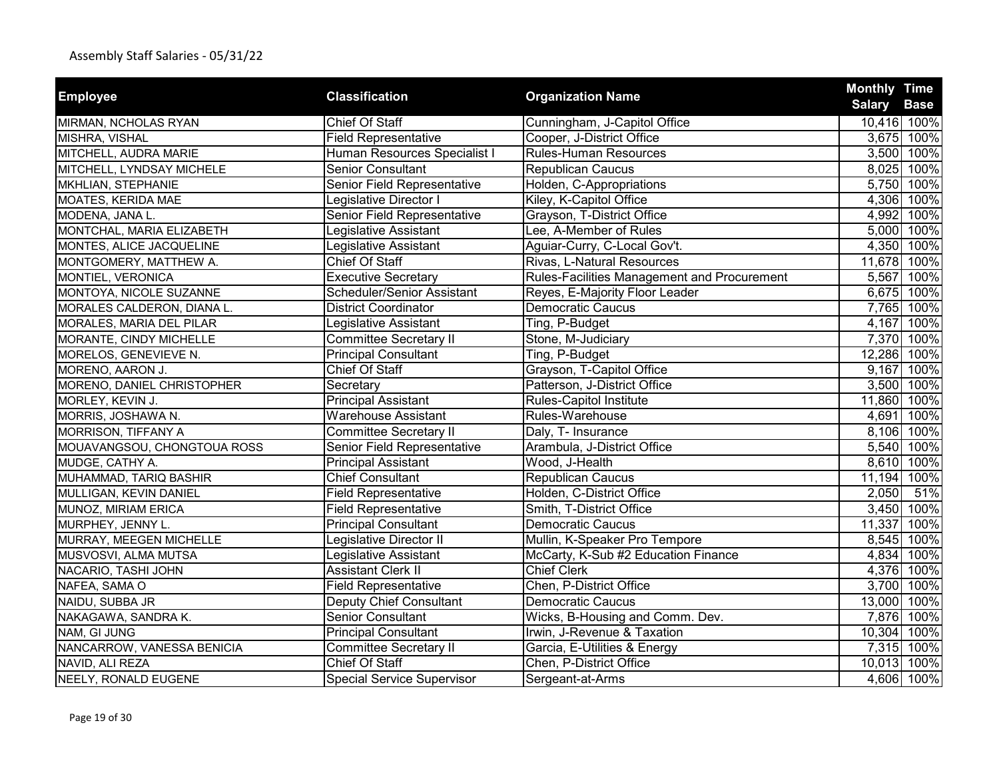| <b>Employee</b>             | <b>Classification</b>             |                                             | <b>Monthly Time</b> |             |
|-----------------------------|-----------------------------------|---------------------------------------------|---------------------|-------------|
|                             |                                   | <b>Organization Name</b>                    | <b>Salary</b>       | <b>Base</b> |
| MIRMAN, NCHOLAS RYAN        | <b>Chief Of Staff</b>             | Cunningham, J-Capitol Office                |                     | 10,416 100% |
| MISHRA, VISHAL              | <b>Field Representative</b>       | Cooper, J-District Office                   |                     | 3,675 100%  |
| MITCHELL, AUDRA MARIE       | Human Resources Specialist I      | <b>Rules-Human Resources</b>                |                     | 3,500 100%  |
| MITCHELL, LYNDSAY MICHELE   | <b>Senior Consultant</b>          | <b>Republican Caucus</b>                    |                     | 8,025 100%  |
| MKHLIAN, STEPHANIE          | Senior Field Representative       | Holden, C-Appropriations                    |                     | 5,750 100%  |
| MOATES, KERIDA MAE          | Legislative Director I            | Kiley, K-Capitol Office                     |                     | 4,306 100%  |
| MODENA, JANA L.             | Senior Field Representative       | Grayson, T-District Office                  |                     | 4,992 100%  |
| MONTCHAL, MARIA ELIZABETH   | Legislative Assistant             | Lee, A-Member of Rules                      |                     | 5,000 100%  |
| MONTES, ALICE JACQUELINE    | Legislative Assistant             | Aguiar-Curry, C-Local Gov't.                |                     | 4,350 100%  |
| MONTGOMERY, MATTHEW A.      | Chief Of Staff                    | Rivas, L-Natural Resources                  |                     | 11,678 100% |
| MONTIEL, VERONICA           | <b>Executive Secretary</b>        | Rules-Facilities Management and Procurement |                     | 5,567 100%  |
| MONTOYA, NICOLE SUZANNE     | Scheduler/Senior Assistant        | Reyes, E-Majority Floor Leader              |                     | 6,675 100%  |
| MORALES CALDERON, DIANA L.  | <b>District Coordinator</b>       | <b>Democratic Caucus</b>                    |                     | 7,765 100%  |
| MORALES, MARIA DEL PILAR    | Legislative Assistant             | Ting, P-Budget                              |                     | 4,167 100%  |
| MORANTE, CINDY MICHELLE     | <b>Committee Secretary II</b>     | Stone, M-Judiciary                          |                     | 7,370 100%  |
| MORELOS, GENEVIEVE N.       | <b>Principal Consultant</b>       | Ting, P-Budget                              |                     | 12,286 100% |
| MORENO, AARON J.            | <b>Chief Of Staff</b>             | Grayson, T-Capitol Office                   |                     | 9,167 100%  |
| MORENO, DANIEL CHRISTOPHER  | Secretary                         | Patterson, J-District Office                |                     | 3,500 100%  |
| MORLEY, KEVIN J.            | <b>Principal Assistant</b>        | Rules-Capitol Institute                     |                     | 11,860 100% |
| MORRIS, JOSHAWA N.          | <b>Warehouse Assistant</b>        | Rules-Warehouse                             | 4,691               | 100%        |
| MORRISON, TIFFANY A         | <b>Committee Secretary II</b>     | Daly, T- Insurance                          |                     | 8,106 100%  |
| MOUAVANGSOU, CHONGTOUA ROSS | Senior Field Representative       | Arambula, J-District Office                 |                     | 5,540 100%  |
| MUDGE, CATHY A.             | <b>Principal Assistant</b>        | Wood, J-Health                              | 8,610               | 100%        |
| MUHAMMAD, TARIQ BASHIR      | <b>Chief Consultant</b>           | <b>Republican Caucus</b>                    |                     | 11,194 100% |
| MULLIGAN, KEVIN DANIEL      | <b>Field Representative</b>       | Holden, C-District Office                   | 2,050               | 51%         |
| MUNOZ, MIRIAM ERICA         | <b>Field Representative</b>       | Smith, T-District Office                    |                     | 3,450 100%  |
| MURPHEY, JENNY L.           | <b>Principal Consultant</b>       | <b>Democratic Caucus</b>                    |                     | 11,337 100% |
| MURRAY, MEEGEN MICHELLE     | Legislative Director II           | Mullin, K-Speaker Pro Tempore               |                     | 8,545 100%  |
| MUSVOSVI, ALMA MUTSA        | Legislative Assistant             | McCarty, K-Sub #2 Education Finance         |                     | 4,834 100%  |
| NACARIO, TASHI JOHN         | <b>Assistant Clerk II</b>         | <b>Chief Clerk</b>                          |                     | 4,376 100%  |
| NAFEA, SAMA O               | <b>Field Representative</b>       | Chen, P-District Office                     |                     | 3,700 100%  |
| NAIDU, SUBBA JR             | <b>Deputy Chief Consultant</b>    | <b>Democratic Caucus</b>                    |                     | 13,000 100% |
| NAKAGAWA, SANDRA K.         | Senior Consultant                 | Wicks, B-Housing and Comm. Dev.             |                     | 7,876 100%  |
| NAM, GI JUNG                | <b>Principal Consultant</b>       | Irwin, J-Revenue & Taxation                 |                     | 10,304 100% |
| NANCARROW, VANESSA BENICIA  | <b>Committee Secretary II</b>     | Garcia, E-Utilities & Energy                |                     | 7,315 100%  |
| NAVID, ALI REZA             | Chief Of Staff                    | Chen, P-District Office                     |                     | 10,013 100% |
| NEELY, RONALD EUGENE        | <b>Special Service Supervisor</b> | Sergeant-at-Arms                            |                     | 4,606 100%  |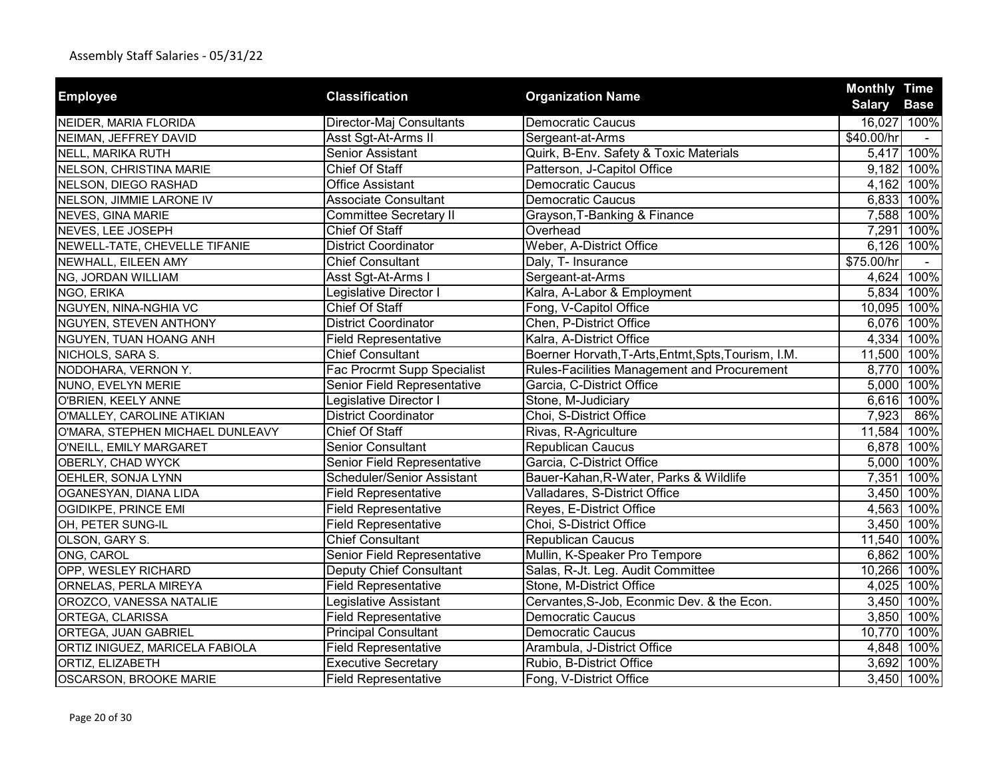|                                  |                               |                                                     | <b>Monthly Time</b> |             |
|----------------------------------|-------------------------------|-----------------------------------------------------|---------------------|-------------|
| <b>Employee</b>                  | <b>Classification</b>         | <b>Organization Name</b>                            | <b>Salary Base</b>  |             |
| NEIDER, MARIA FLORIDA            | Director-Maj Consultants      | Democratic Caucus                                   |                     | 16,027 100% |
| NEIMAN, JEFFREY DAVID            | Asst Sgt-At-Arms II           | Sergeant-at-Arms                                    | \$40.00/hr          |             |
| <b>NELL, MARIKA RUTH</b>         | Senior Assistant              | Quirk, B-Env. Safety & Toxic Materials              |                     | 5,417 100%  |
| NELSON, CHRISTINA MARIE          | Chief Of Staff                | Patterson, J-Capitol Office                         |                     | 9,182 100%  |
| NELSON, DIEGO RASHAD             | <b>Office Assistant</b>       | <b>Democratic Caucus</b>                            |                     | 4,162 100%  |
| NELSON, JIMMIE LARONE IV         | <b>Associate Consultant</b>   | <b>Democratic Caucus</b>                            |                     | 6,833 100%  |
| NEVES, GINA MARIE                | <b>Committee Secretary II</b> | Grayson, T-Banking & Finance                        |                     | 7,588 100%  |
| NEVES, LEE JOSEPH                | Chief Of Staff                | Overhead                                            | 7,291               | 100%        |
| NEWELL-TATE, CHEVELLE TIFANIE    | <b>District Coordinator</b>   | Weber, A-District Office                            |                     | 6,126 100%  |
| NEWHALL, EILEEN AMY              | <b>Chief Consultant</b>       | Daly, T- Insurance                                  | \$75.00/hr          |             |
| NG, JORDAN WILLIAM               | Asst Sgt-At-Arms I            | Sergeant-at-Arms                                    | 4,624               | 100%        |
| NGO, ERIKA                       | Legislative Director I        | Kalra, A-Labor & Employment                         | 5,834               | 100%        |
| NGUYEN, NINA-NGHIA VC            | Chief Of Staff                | Fong, V-Capitol Office                              |                     | 10,095 100% |
| NGUYEN, STEVEN ANTHONY           | <b>District Coordinator</b>   | Chen, P-District Office                             |                     | 6,076 100%  |
| NGUYEN, TUAN HOANG ANH           | <b>Field Representative</b>   | Kalra, A-District Office                            | 4,334               | 100%        |
| NICHOLS, SARA S.                 | <b>Chief Consultant</b>       | Boerner Horvath, T-Arts, Entmt, Spts, Tourism, I.M. |                     | 11,500 100% |
| NODOHARA, VERNON Y.              | Fac Procrmt Supp Specialist   | Rules-Facilities Management and Procurement         |                     | 8,770 100%  |
| NUNO, EVELYN MERIE               | Senior Field Representative   | Garcia, C-District Office                           |                     | 5,000 100%  |
| O'BRIEN, KEELY ANNE              | Legislative Director I        | Stone, M-Judiciary                                  |                     | 6,616 100%  |
| O'MALLEY, CAROLINE ATIKIAN       | <b>District Coordinator</b>   | Choi, S-District Office                             | 7,923               | 86%         |
| O'MARA, STEPHEN MICHAEL DUNLEAVY | <b>Chief Of Staff</b>         | Rivas, R-Agriculture                                |                     | 11,584 100% |
| O'NEILL, EMILY MARGARET          | Senior Consultant             | Republican Caucus                                   |                     | 6,878 100%  |
| OBERLY, CHAD WYCK                | Senior Field Representative   | Garcia, C-District Office                           | 5,000               | 100%        |
| OEHLER, SONJA LYNN               | Scheduler/Senior Assistant    | Bauer-Kahan, R-Water, Parks & Wildlife              | 7,351               | 100%        |
| OGANESYAN, DIANA LIDA            | <b>Field Representative</b>   | Valladares, S-District Office                       |                     | 3,450 100%  |
| OGIDIKPE, PRINCE EMI             | <b>Field Representative</b>   | Reyes, E-District Office                            |                     | 4,563 100%  |
| OH, PETER SUNG-IL                | <b>Field Representative</b>   | Choi, S-District Office                             |                     | 3,450 100%  |
| OLSON, GARY S.                   | <b>Chief Consultant</b>       | <b>Republican Caucus</b>                            |                     | 11,540 100% |
| ONG, CAROL                       | Senior Field Representative   | Mullin, K-Speaker Pro Tempore                       |                     | 6,862 100%  |
| OPP, WESLEY RICHARD              | Deputy Chief Consultant       | Salas, R-Jt. Leg. Audit Committee                   |                     | 10,266 100% |
| ORNELAS, PERLA MIREYA            | <b>Field Representative</b>   | Stone, M-District Office                            |                     | 4,025 100%  |
| OROZCO, VANESSA NATALIE          | Legislative Assistant         | Cervantes, S-Job, Econmic Dev. & the Econ.          | 3,450               | 100%        |
| ORTEGA, CLARISSA                 | <b>Field Representative</b>   | <b>Democratic Caucus</b>                            | 3,850               | 100%        |
| ORTEGA, JUAN GABRIEL             | <b>Principal Consultant</b>   | <b>Democratic Caucus</b>                            | 10,770              | 100%        |
| ORTIZ INIGUEZ, MARICELA FABIOLA  | <b>Field Representative</b>   | Arambula, J-District Office                         | 4,848               | 100%        |
| ORTIZ, ELIZABETH                 | <b>Executive Secretary</b>    | Rubio, B-District Office                            | 3,692               | 100%        |
| <b>OSCARSON, BROOKE MARIE</b>    | <b>Field Representative</b>   | Fong, V-District Office                             |                     | 3,450 100%  |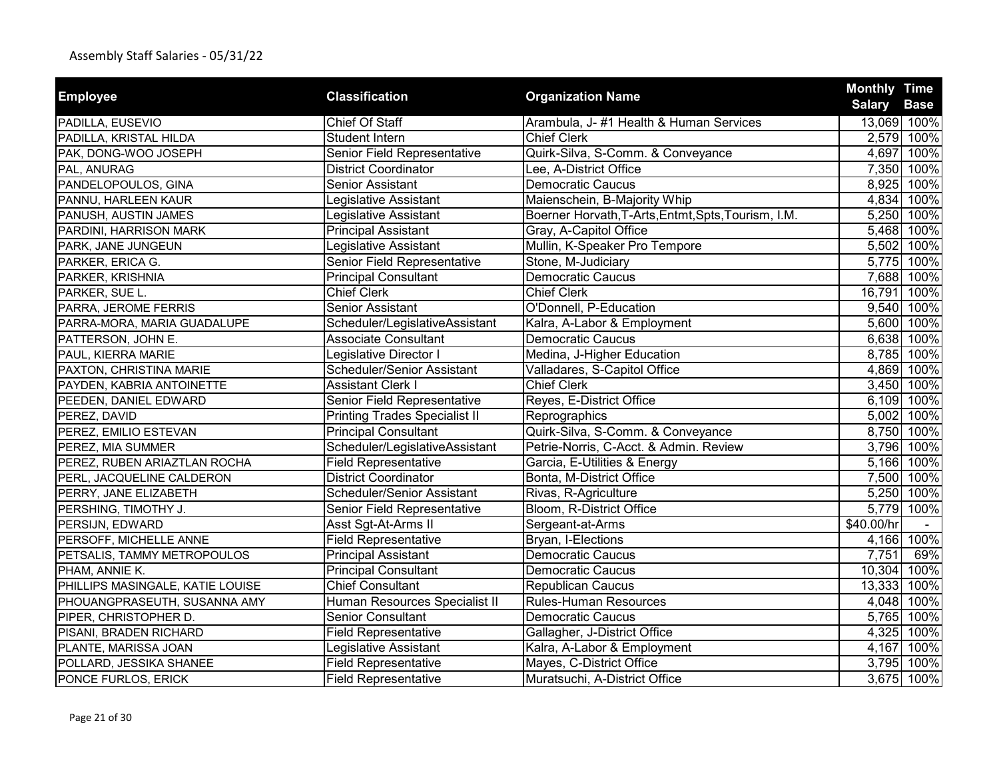| <b>Employee</b>                  | <b>Classification</b>                | <b>Organization Name</b>                            | <b>Monthly Time</b> |                            |
|----------------------------------|--------------------------------------|-----------------------------------------------------|---------------------|----------------------------|
| PADILLA, EUSEVIO                 | Chief Of Staff                       | Arambula, J-#1 Health & Human Services              | <b>Salary</b>       | <b>Base</b><br>13,069 100% |
| PADILLA, KRISTAL HILDA           | Student Intern                       | <b>Chief Clerk</b>                                  | 2,579               | 100%                       |
| PAK, DONG-WOO JOSEPH             | Senior Field Representative          | Quirk-Silva, S-Comm. & Conveyance                   |                     | 4,697 100%                 |
| PAL, ANURAG                      | <b>District Coordinator</b>          | Lee, A-District Office                              |                     | 7,350 100%                 |
| PANDELOPOULOS, GINA              | Senior Assistant                     | <b>Democratic Caucus</b>                            | 8,925               | 100%                       |
| PANNU, HARLEEN KAUR              | Legislative Assistant                | Maienschein, B-Majority Whip                        | 4,834               | 100%                       |
|                                  |                                      | Boerner Horvath, T-Arts, Entmt, Spts, Tourism, I.M. | 5,250               | 100%                       |
| PANUSH, AUSTIN JAMES             | Legislative Assistant                |                                                     |                     |                            |
| PARDINI, HARRISON MARK           | <b>Principal Assistant</b>           | Gray, A-Capitol Office                              |                     | 5,468 100%                 |
| PARK, JANE JUNGEUN               | Legislative Assistant                | Mullin, K-Speaker Pro Tempore                       |                     | 5,502 100%                 |
| PARKER, ERICA G.                 | Senior Field Representative          | Stone, M-Judiciary                                  | 5,775               | 100%                       |
| PARKER, KRISHNIA                 | <b>Principal Consultant</b>          | <b>Democratic Caucus</b>                            | 7,688               | 100%                       |
| PARKER, SUE L.                   | <b>Chief Clerk</b>                   | <b>Chief Clerk</b>                                  | 16,791              | 100%                       |
| PARRA, JEROME FERRIS             | Senior Assistant                     | O'Donnell, P-Education                              | 9,540               | 100%                       |
| PARRA-MORA, MARIA GUADALUPE      | Scheduler/LegislativeAssistant       | Kalra, A-Labor & Employment                         |                     | 5,600 100%                 |
| PATTERSON, JOHN E.               | <b>Associate Consultant</b>          | <b>Democratic Caucus</b>                            | 6,638               | 100%                       |
| PAUL, KIERRA MARIE               | Legislative Director I               | Medina, J-Higher Education                          | 8,785               | 100%                       |
| PAXTON, CHRISTINA MARIE          | Scheduler/Senior Assistant           | Valladares, S-Capitol Office                        | 4,869               | 100%                       |
| PAYDEN, KABRIA ANTOINETTE        | <b>Assistant Clerk I</b>             | <b>Chief Clerk</b>                                  |                     | 3,450 100%                 |
| PEEDEN, DANIEL EDWARD            | Senior Field Representative          | Reyes, E-District Office                            |                     | 6,109 100%                 |
| PEREZ, DAVID                     | <b>Printing Trades Specialist II</b> | Reprographics                                       | 5,002               | 100%                       |
| PEREZ, EMILIO ESTEVAN            | <b>Principal Consultant</b>          | Quirk-Silva, S-Comm. & Conveyance                   | 8,750               | 100%                       |
| PEREZ, MIA SUMMER                | Scheduler/LegislativeAssistant       | Petrie-Norris, C-Acct. & Admin. Review              | 3,796               | 100%                       |
| PEREZ, RUBEN ARIAZTLAN ROCHA     | <b>Field Representative</b>          | Garcia, E-Utilities & Energy                        | 5,166               | 100%                       |
| PERL, JACQUELINE CALDERON        | <b>District Coordinator</b>          | Bonta, M-District Office                            | 7,500               | 100%                       |
| PERRY, JANE ELIZABETH            | Scheduler/Senior Assistant           | Rivas, R-Agriculture                                | 5,250               | 100%                       |
| PERSHING, TIMOTHY J.             | Senior Field Representative          | Bloom, R-District Office                            | 5,779               | 100%                       |
| PERSIJN, EDWARD                  | Asst Sgt-At-Arms II                  | Sergeant-at-Arms                                    | \$40.00/hr          |                            |
| PERSOFF, MICHELLE ANNE           | <b>Field Representative</b>          | Bryan, I-Elections                                  | 4,166               | 100%                       |
| PETSALIS, TAMMY METROPOULOS      | <b>Principal Assistant</b>           | <b>Democratic Caucus</b>                            | 7,751               | 69%                        |
| PHAM, ANNIE K.                   | <b>Principal Consultant</b>          | <b>Democratic Caucus</b>                            | 10,304              | 100%                       |
| PHILLIPS MASINGALE, KATIE LOUISE | <b>Chief Consultant</b>              | <b>Republican Caucus</b>                            | 13,333              | 100%                       |
| PHOUANGPRASEUTH, SUSANNA AMY     | Human Resources Specialist II        | <b>Rules-Human Resources</b>                        | 4,048               | 100%                       |
| PIPER, CHRISTOPHER D.            | <b>Senior Consultant</b>             | <b>Democratic Caucus</b>                            | 5,765               | 100%                       |
| PISANI, BRADEN RICHARD           | <b>Field Representative</b>          | Gallagher, J-District Office                        | 4,325               | 100%                       |
| PLANTE, MARISSA JOAN             | Legislative Assistant                | Kalra, A-Labor & Employment                         | 4,167               | 100%                       |
| POLLARD, JESSIKA SHANEE          | <b>Field Representative</b>          | Mayes, C-District Office                            | 3,795               | 100%                       |
| PONCE FURLOS, ERICK              | <b>Field Representative</b>          | Muratsuchi, A-District Office                       |                     | 3,675 100%                 |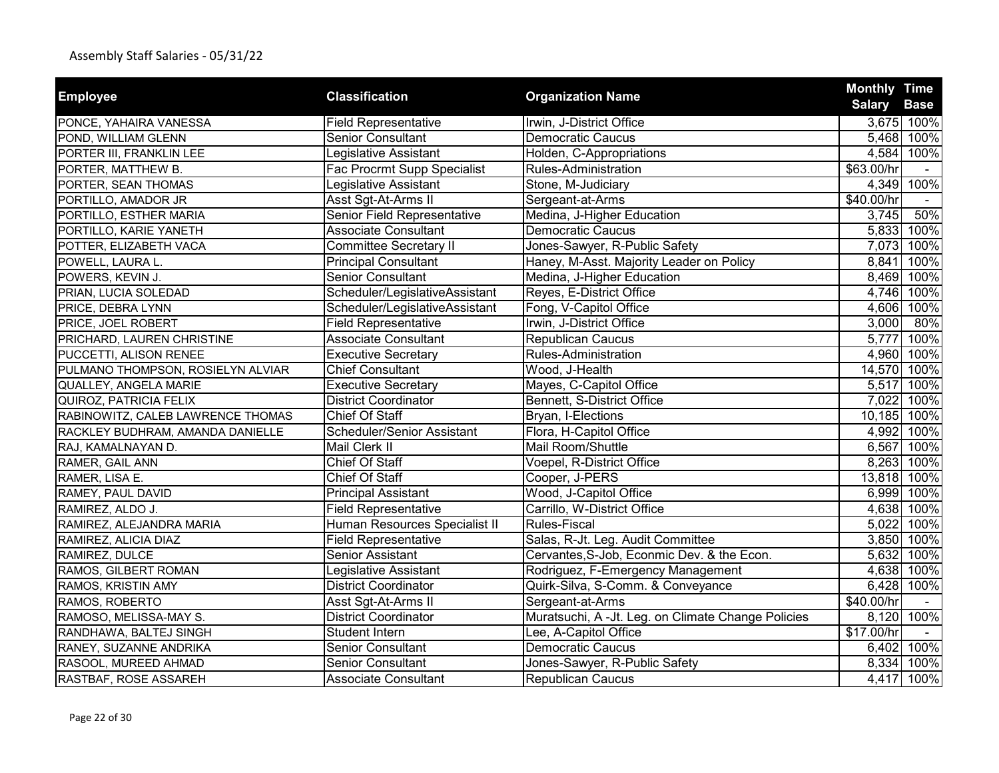|                                   |                                |                                                    | <b>Monthly Time</b> |             |
|-----------------------------------|--------------------------------|----------------------------------------------------|---------------------|-------------|
| <b>Employee</b>                   | <b>Classification</b>          | <b>Organization Name</b>                           | <b>Salary</b>       | <b>Base</b> |
| PONCE, YAHAIRA VANESSA            | <b>Field Representative</b>    | Irwin, J-District Office                           |                     | 3,675 100%  |
| POND, WILLIAM GLENN               | Senior Consultant              | <b>Democratic Caucus</b>                           |                     | 5,468 100%  |
| PORTER III, FRANKLIN LEE          | Legislative Assistant          | Holden, C-Appropriations                           |                     | 4,584 100%  |
| PORTER, MATTHEW B.                | Fac Procrmt Supp Specialist    | Rules-Administration                               | \$63.00/hr          |             |
| PORTER, SEAN THOMAS               | Legislative Assistant          | Stone, M-Judiciary                                 |                     | 4,349 100%  |
| PORTILLO, AMADOR JR               | Asst Sgt-At-Arms II            | Sergeant-at-Arms                                   | \$40.00/hr          |             |
| PORTILLO, ESTHER MARIA            | Senior Field Representative    | Medina, J-Higher Education                         | 3,745               | 50%         |
| PORTILLO, KARIE YANETH            | <b>Associate Consultant</b>    | <b>Democratic Caucus</b>                           |                     | 5,833 100%  |
| POTTER, ELIZABETH VACA            | <b>Committee Secretary II</b>  | Jones-Sawyer, R-Public Safety                      |                     | 7,073 100%  |
| POWELL, LAURA L.                  | <b>Principal Consultant</b>    | Haney, M-Asst. Majority Leader on Policy           | 8,841               | 100%        |
| POWERS, KEVIN J.                  | <b>Senior Consultant</b>       | Medina, J-Higher Education                         |                     | 8,469 100%  |
| PRIAN, LUCIA SOLEDAD              | Scheduler/LegislativeAssistant | Reyes, E-District Office                           | 4,746               | 100%        |
| PRICE, DEBRA LYNN                 | Scheduler/LegislativeAssistant | Fong, V-Capitol Office                             |                     | 4,606 100%  |
| PRICE, JOEL ROBERT                | <b>Field Representative</b>    | Irwin, J-District Office                           | 3,000               | 80%         |
| PRICHARD, LAUREN CHRISTINE        | <b>Associate Consultant</b>    | <b>Republican Caucus</b>                           | 5,777               | 100%        |
| PUCCETTI, ALISON RENEE            | <b>Executive Secretary</b>     | Rules-Administration                               |                     | 4,960 100%  |
| PULMANO THOMPSON, ROSIELYN ALVIAR | <b>Chief Consultant</b>        | Wood, J-Health                                     |                     | 14,570 100% |
| QUALLEY, ANGELA MARIE             | <b>Executive Secretary</b>     | Mayes, C-Capitol Office                            | 5,517               | 100%        |
| QUIROZ, PATRICIA FELIX            | <b>District Coordinator</b>    | Bennett, S-District Office                         | 7,022               | 100%        |
| RABINOWITZ, CALEB LAWRENCE THOMAS | <b>Chief Of Staff</b>          | Bryan, I-Elections                                 | 10,185 100%         |             |
| RACKLEY BUDHRAM, AMANDA DANIELLE  | Scheduler/Senior Assistant     | Flora, H-Capitol Office                            |                     | 4,992 100%  |
| RAJ, KAMALNAYAN D.                | Mail Clerk II                  | Mail Room/Shuttle                                  |                     | 6,567 100%  |
| RAMER, GAIL ANN                   | Chief Of Staff                 | Voepel, R-District Office                          |                     | 8,263 100%  |
| RAMER, LISA E.                    | Chief Of Staff                 | Cooper, J-PERS                                     | 13,818 100%         |             |
| RAMEY, PAUL DAVID                 | <b>Principal Assistant</b>     | Wood, J-Capitol Office                             |                     | 6,999 100%  |
| RAMIREZ, ALDO J.                  | <b>Field Representative</b>    | Carrillo, W-District Office                        |                     | 4,638 100%  |
| RAMIREZ, ALEJANDRA MARIA          | Human Resources Specialist II  | <b>Rules-Fiscal</b>                                |                     | 5,022 100%  |
| RAMIREZ, ALICIA DIAZ              | <b>Field Representative</b>    | Salas, R-Jt. Leg. Audit Committee                  |                     | 3,850 100%  |
| RAMIREZ, DULCE                    | Senior Assistant               | Cervantes, S-Job, Econmic Dev. & the Econ.         | 5,632               | 100%        |
| RAMOS, GILBERT ROMAN              | Legislative Assistant          | Rodriguez, F-Emergency Management                  |                     | 4,638 100%  |
| RAMOS, KRISTIN AMY                | District Coordinator           | Quirk-Silva, S-Comm. & Conveyance                  |                     | 6,428 100%  |
| RAMOS, ROBERTO                    | Asst Sgt-At-Arms II            | Sergeant-at-Arms                                   | \$40.00/hr          |             |
| RAMOSO, MELISSA-MAY S.            | <b>District Coordinator</b>    | Muratsuchi, A -Jt. Leg. on Climate Change Policies | 8,120               | 100%        |
| RANDHAWA, BALTEJ SINGH            | Student Intern                 | Lee, A-Capitol Office                              | \$17.00/hr          |             |
| RANEY, SUZANNE ANDRIKA            | <b>Senior Consultant</b>       | <b>Democratic Caucus</b>                           |                     | 6,402 100%  |
| RASOOL, MUREED AHMAD              | <b>Senior Consultant</b>       | Jones-Sawyer, R-Public Safety                      | 8,334               | 100%        |
| RASTBAF, ROSE ASSAREH             | <b>Associate Consultant</b>    | <b>Republican Caucus</b>                           |                     | 4,417 100%  |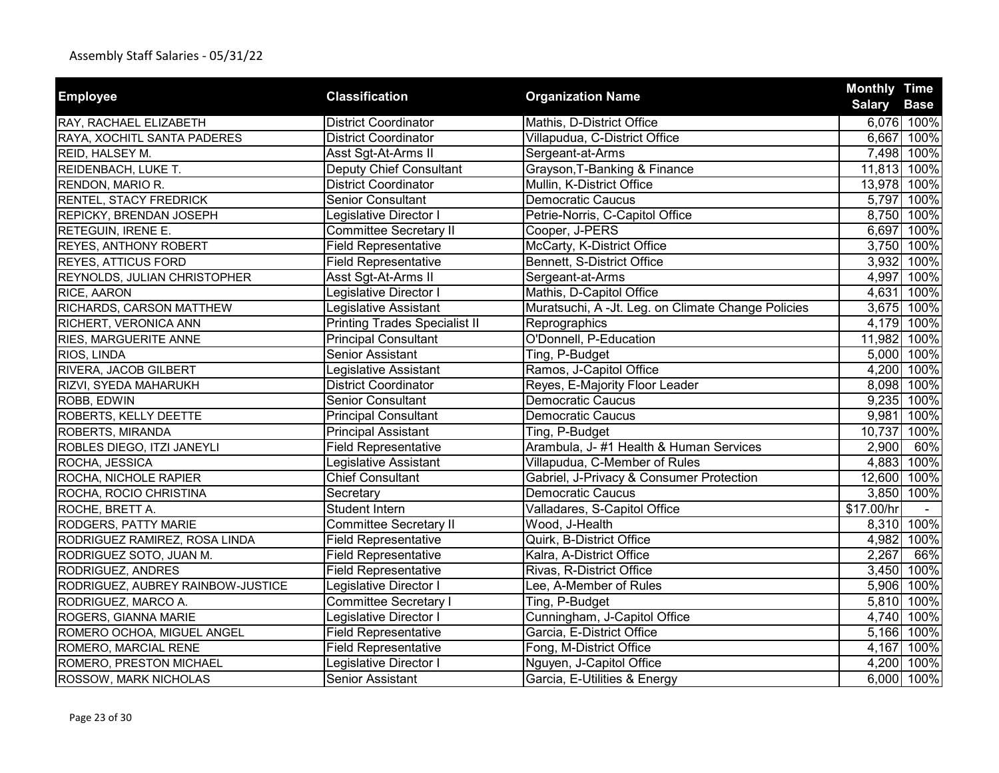|                                   | <b>Classification</b>                |                                                    |                                                                                                                                                                                                                                                                                                                                                                                                                                                                                                                  |             |
|-----------------------------------|--------------------------------------|----------------------------------------------------|------------------------------------------------------------------------------------------------------------------------------------------------------------------------------------------------------------------------------------------------------------------------------------------------------------------------------------------------------------------------------------------------------------------------------------------------------------------------------------------------------------------|-------------|
| <b>Employee</b>                   |                                      | <b>Organization Name</b>                           | <b>Monthly Time</b><br><b>Salary</b><br>6,076 100%<br>6,667 100%<br>7,498 100%<br>11,813 100%<br>13,978 100%<br>5,797 100%<br>8,750 100%<br>6,697 100%<br>3,750 100%<br>3,932 100%<br>4,997 100%<br>4,631<br>3,675 100%<br>4,179 100%<br>11,982 100%<br>5,000 100%<br>4,200 100%<br>8,098 100%<br>9,235 100%<br>9,981<br>10,737<br>2,900<br>4,883<br>12,600 100%<br>3,850 100%<br>\$17.00/hr<br>8,310 100%<br>4,982 100%<br>2,267<br>3,450<br>5,906 100%<br>5,810 100%<br>4,740 100%<br>5,166 100%<br>4,167 100% | <b>Base</b> |
| RAY, RACHAEL ELIZABETH            | <b>District Coordinator</b>          | Mathis, D-District Office                          |                                                                                                                                                                                                                                                                                                                                                                                                                                                                                                                  |             |
| RAYA, XOCHITL SANTA PADERES       | <b>District Coordinator</b>          | Villapudua, C-District Office                      |                                                                                                                                                                                                                                                                                                                                                                                                                                                                                                                  |             |
| REID, HALSEY M.                   | Asst Sgt-At-Arms II                  | Sergeant-at-Arms                                   |                                                                                                                                                                                                                                                                                                                                                                                                                                                                                                                  |             |
| REIDENBACH, LUKE T.               | <b>Deputy Chief Consultant</b>       | Grayson, T-Banking & Finance                       |                                                                                                                                                                                                                                                                                                                                                                                                                                                                                                                  |             |
| RENDON, MARIO R.                  | <b>District Coordinator</b>          | Mullin, K-District Office                          |                                                                                                                                                                                                                                                                                                                                                                                                                                                                                                                  |             |
| RENTEL, STACY FREDRICK            | <b>Senior Consultant</b>             | <b>Democratic Caucus</b>                           |                                                                                                                                                                                                                                                                                                                                                                                                                                                                                                                  |             |
| REPICKY, BRENDAN JOSEPH           | Legislative Director I               | Petrie-Norris, C-Capitol Office                    |                                                                                                                                                                                                                                                                                                                                                                                                                                                                                                                  |             |
| RETEGUIN, IRENE E.                | <b>Committee Secretary II</b>        | Cooper, J-PERS                                     |                                                                                                                                                                                                                                                                                                                                                                                                                                                                                                                  |             |
| <b>REYES, ANTHONY ROBERT</b>      | <b>Field Representative</b>          | McCarty, K-District Office                         |                                                                                                                                                                                                                                                                                                                                                                                                                                                                                                                  |             |
| <b>REYES, ATTICUS FORD</b>        | <b>Field Representative</b>          | Bennett, S-District Office                         |                                                                                                                                                                                                                                                                                                                                                                                                                                                                                                                  |             |
| REYNOLDS, JULIAN CHRISTOPHER      | Asst Sgt-At-Arms II                  | Sergeant-at-Arms                                   |                                                                                                                                                                                                                                                                                                                                                                                                                                                                                                                  |             |
| RICE, AARON                       | Legislative Director I               | Mathis, D-Capitol Office                           |                                                                                                                                                                                                                                                                                                                                                                                                                                                                                                                  | 100%        |
| RICHARDS, CARSON MATTHEW          | Legislative Assistant                | Muratsuchi, A -Jt. Leg. on Climate Change Policies |                                                                                                                                                                                                                                                                                                                                                                                                                                                                                                                  |             |
| RICHERT, VERONICA ANN             | <b>Printing Trades Specialist II</b> | Reprographics                                      |                                                                                                                                                                                                                                                                                                                                                                                                                                                                                                                  |             |
| RIES, MARGUERITE ANNE             | <b>Principal Consultant</b>          | O'Donnell, P-Education                             |                                                                                                                                                                                                                                                                                                                                                                                                                                                                                                                  |             |
| RIOS, LINDA                       | Senior Assistant                     | Ting, P-Budget                                     |                                                                                                                                                                                                                                                                                                                                                                                                                                                                                                                  |             |
| RIVERA, JACOB GILBERT             | Legislative Assistant                | Ramos, J-Capitol Office                            |                                                                                                                                                                                                                                                                                                                                                                                                                                                                                                                  |             |
| RIZVI, SYEDA MAHARUKH             | <b>District Coordinator</b>          | Reyes, E-Majority Floor Leader                     |                                                                                                                                                                                                                                                                                                                                                                                                                                                                                                                  |             |
| ROBB, EDWIN                       | Senior Consultant                    | <b>Democratic Caucus</b>                           |                                                                                                                                                                                                                                                                                                                                                                                                                                                                                                                  |             |
| ROBERTS, KELLY DEETTE             | <b>Principal Consultant</b>          | <b>Democratic Caucus</b>                           |                                                                                                                                                                                                                                                                                                                                                                                                                                                                                                                  | 100%        |
| ROBERTS, MIRANDA                  | <b>Principal Assistant</b>           | Ting, P-Budget                                     |                                                                                                                                                                                                                                                                                                                                                                                                                                                                                                                  | 100%        |
| ROBLES DIEGO, ITZI JANEYLI        | <b>Field Representative</b>          | Arambula, J-#1 Health & Human Services             |                                                                                                                                                                                                                                                                                                                                                                                                                                                                                                                  | 60%         |
| ROCHA, JESSICA                    | Legislative Assistant                | Villapudua, C-Member of Rules                      |                                                                                                                                                                                                                                                                                                                                                                                                                                                                                                                  | 100%        |
| ROCHA, NICHOLE RAPIER             | <b>Chief Consultant</b>              | Gabriel, J-Privacy & Consumer Protection           |                                                                                                                                                                                                                                                                                                                                                                                                                                                                                                                  |             |
| ROCHA, ROCIO CHRISTINA            | Secretary                            | <b>Democratic Caucus</b>                           |                                                                                                                                                                                                                                                                                                                                                                                                                                                                                                                  |             |
| ROCHE, BRETT A.                   | Student Intern                       | Valladares, S-Capitol Office                       |                                                                                                                                                                                                                                                                                                                                                                                                                                                                                                                  |             |
| RODGERS, PATTY MARIE              | <b>Committee Secretary II</b>        | Wood, J-Health                                     |                                                                                                                                                                                                                                                                                                                                                                                                                                                                                                                  |             |
| RODRIGUEZ RAMIREZ, ROSA LINDA     | <b>Field Representative</b>          | Quirk, B-District Office                           |                                                                                                                                                                                                                                                                                                                                                                                                                                                                                                                  |             |
| RODRIGUEZ SOTO, JUAN M.           | <b>Field Representative</b>          | Kalra, A-District Office                           |                                                                                                                                                                                                                                                                                                                                                                                                                                                                                                                  | 66%         |
| RODRIGUEZ, ANDRES                 | <b>Field Representative</b>          | Rivas, R-District Office                           |                                                                                                                                                                                                                                                                                                                                                                                                                                                                                                                  | 100%        |
| RODRIGUEZ, AUBREY RAINBOW-JUSTICE | Legislative Director I               | Lee, A-Member of Rules                             |                                                                                                                                                                                                                                                                                                                                                                                                                                                                                                                  |             |
| RODRIGUEZ, MARCO A.               | <b>Committee Secretary I</b>         | Ting, P-Budget                                     |                                                                                                                                                                                                                                                                                                                                                                                                                                                                                                                  |             |
| ROGERS, GIANNA MARIE              | Legislative Director I               | Cunningham, J-Capitol Office                       |                                                                                                                                                                                                                                                                                                                                                                                                                                                                                                                  |             |
| ROMERO OCHOA, MIGUEL ANGEL        | <b>Field Representative</b>          | Garcia, E-District Office                          |                                                                                                                                                                                                                                                                                                                                                                                                                                                                                                                  |             |
| ROMERO, MARCIAL RENE              | <b>Field Representative</b>          | Fong, M-District Office                            |                                                                                                                                                                                                                                                                                                                                                                                                                                                                                                                  |             |
| ROMERO, PRESTON MICHAEL           | Legislative Director I               | Nguyen, J-Capitol Office                           |                                                                                                                                                                                                                                                                                                                                                                                                                                                                                                                  | 4,200 100%  |
| ROSSOW, MARK NICHOLAS             | <b>Senior Assistant</b>              | Garcia, E-Utilities & Energy                       |                                                                                                                                                                                                                                                                                                                                                                                                                                                                                                                  | 6,000 100%  |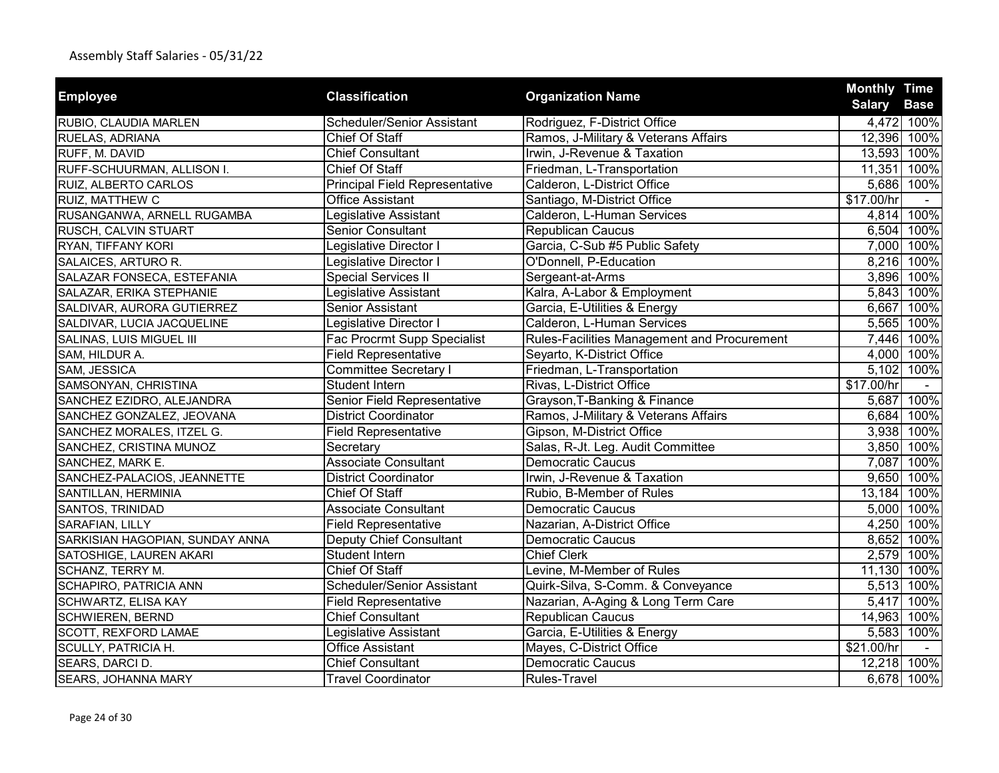| <b>Employee</b>                 | <b>Classification</b>                 |                                             | <b>Monthly Time</b> |             |
|---------------------------------|---------------------------------------|---------------------------------------------|---------------------|-------------|
|                                 |                                       | <b>Organization Name</b>                    | <b>Salary</b>       | <b>Base</b> |
| RUBIO, CLAUDIA MARLEN           | Scheduler/Senior Assistant            | Rodriguez, F-District Office                |                     | 4,472 100%  |
| RUELAS, ADRIANA                 | Chief Of Staff                        | Ramos, J-Military & Veterans Affairs        |                     | 12,396 100% |
| RUFF, M. DAVID                  | <b>Chief Consultant</b>               | Irwin, J-Revenue & Taxation                 |                     | 13,593 100% |
| RUFF-SCHUURMAN, ALLISON I.      | <b>Chief Of Staff</b>                 | Friedman, L-Transportation                  | 11,351              | 100%        |
| RUIZ, ALBERTO CARLOS            | <b>Principal Field Representative</b> | Calderon, L-District Office                 |                     | 5,686 100%  |
| RUIZ, MATTHEW C                 | <b>Office Assistant</b>               | Santiago, M-District Office                 | \$17.00/hr          |             |
| RUSANGANWA, ARNELL RUGAMBA      | Legislative Assistant                 | Calderon, L-Human Services                  | 4,814               | 100%        |
| RUSCH, CALVIN STUART            | <b>Senior Consultant</b>              | Republican Caucus                           |                     | 6,504 100%  |
| RYAN, TIFFANY KORI              | Legislative Director I                | Garcia, C-Sub #5 Public Safety              |                     | 7,000 100%  |
| SALAICES, ARTURO R.             | Legislative Director I                | O'Donnell, P-Education                      |                     | 8,216 100%  |
| SALAZAR FONSECA, ESTEFANIA      | <b>Special Services II</b>            | Sergeant-at-Arms                            |                     | 3,896 100%  |
| SALAZAR, ERIKA STEPHANIE        | Legislative Assistant                 | Kalra, A-Labor & Employment                 |                     | 5,843 100%  |
| SALDIVAR, AURORA GUTIERREZ      | Senior Assistant                      | Garcia, E-Utilities & Energy                | 6,667               | 100%        |
| SALDIVAR, LUCIA JACQUELINE      | Legislative Director I                | Calderon, L-Human Services                  |                     | 5,565 100%  |
| SALINAS, LUIS MIGUEL III        | Fac Procrmt Supp Specialist           | Rules-Facilities Management and Procurement |                     | 7,446 100%  |
| SAM, HILDUR A.                  | <b>Field Representative</b>           | Seyarto, K-District Office                  |                     | 4,000 100%  |
| SAM, JESSICA                    | <b>Committee Secretary I</b>          | Friedman, L-Transportation                  |                     | 5,102 100%  |
| SAMSONYAN, CHRISTINA            | Student Intern                        | Rivas, L-District Office                    | \$17.00/hr          |             |
| SANCHEZ EZIDRO, ALEJANDRA       | Senior Field Representative           | Grayson, T-Banking & Finance                |                     | 5,687 100%  |
| SANCHEZ GONZALEZ, JEOVANA       | <b>District Coordinator</b>           | Ramos, J-Military & Veterans Affairs        |                     | 6,684 100%  |
| SANCHEZ MORALES, ITZEL G.       | <b>Field Representative</b>           | Gipson, M-District Office                   |                     | 3,938 100%  |
| SANCHEZ, CRISTINA MUNOZ         | Secretary                             | Salas, R-Jt. Leg. Audit Committee           |                     | 3,850 100%  |
| SANCHEZ, MARK E.                | <b>Associate Consultant</b>           | <b>Democratic Caucus</b>                    |                     | 7,087 100%  |
| SANCHEZ-PALACIOS, JEANNETTE     | <b>District Coordinator</b>           | Irwin, J-Revenue & Taxation                 |                     | 9,650 100%  |
| SANTILLAN, HERMINIA             | Chief Of Staff                        | Rubio, B-Member of Rules                    | 13,184 100%         |             |
| SANTOS, TRINIDAD                | <b>Associate Consultant</b>           | <b>Democratic Caucus</b>                    |                     | 5,000 100%  |
| SARAFIAN, LILLY                 | <b>Field Representative</b>           | Nazarian, A-District Office                 |                     | 4,250 100%  |
| SARKISIAN HAGOPIAN, SUNDAY ANNA | <b>Deputy Chief Consultant</b>        | <b>Democratic Caucus</b>                    |                     | 8,652 100%  |
| SATOSHIGE, LAUREN AKARI         | <b>Student Intern</b>                 | <b>Chief Clerk</b>                          |                     | 2,579 100%  |
| <b>SCHANZ, TERRY M.</b>         | Chief Of Staff                        | Levine, M-Member of Rules                   | 11,130 100%         |             |
| SCHAPIRO, PATRICIA ANN          | Scheduler/Senior Assistant            | Quirk-Silva, S-Comm. & Conveyance           |                     | 5,513 100%  |
| SCHWARTZ, ELISA KAY             | <b>Field Representative</b>           | Nazarian, A-Aging & Long Term Care          | 5,417               | 100%        |
| SCHWIEREN, BERND                | <b>Chief Consultant</b>               | <b>Republican Caucus</b>                    | 14,963 100%         |             |
| SCOTT, REXFORD LAMAE            | Legislative Assistant                 | Garcia, E-Utilities & Energy                | 5,583               | 100%        |
| SCULLY, PATRICIA H.             | Office Assistant                      | Mayes, C-District Office                    | \$21.00/hr          |             |
| SEARS, DARCI D.                 | <b>Chief Consultant</b>               | <b>Democratic Caucus</b>                    |                     | 12,218 100% |
| SEARS, JOHANNA MARY             | <b>Travel Coordinator</b>             | <b>Rules-Travel</b>                         |                     | 6,678 100%  |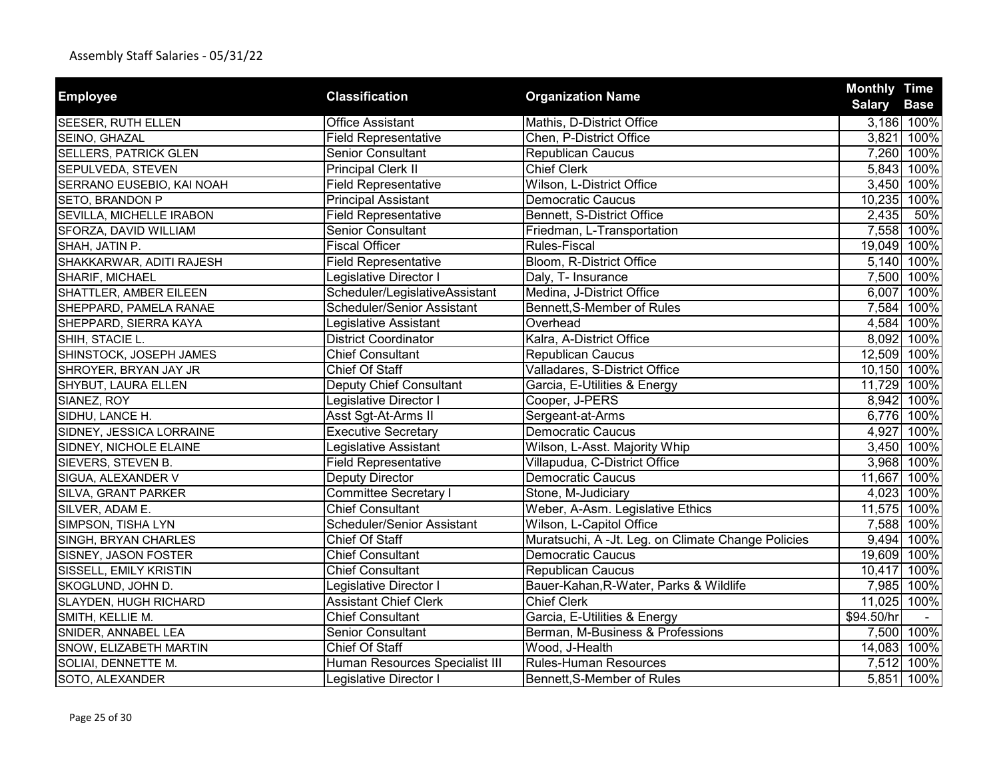| <b>Employee</b>              |                                   | <b>Organization Name</b>                           | <b>Monthly Time</b> |             |
|------------------------------|-----------------------------------|----------------------------------------------------|---------------------|-------------|
|                              | <b>Classification</b>             |                                                    | Salary Base         |             |
| SEESER, RUTH ELLEN           | <b>Office Assistant</b>           | Mathis, D-District Office                          |                     | 3,186 100%  |
| SEINO, GHAZAL                | <b>Field Representative</b>       | Chen, P-District Office                            | 3,821               | 100%        |
| <b>SELLERS, PATRICK GLEN</b> | <b>Senior Consultant</b>          | <b>Republican Caucus</b>                           |                     | 7,260 100%  |
| SEPULVEDA, STEVEN            | <b>Principal Clerk II</b>         | <b>Chief Clerk</b>                                 |                     | 5,843 100%  |
| SERRANO EUSEBIO, KAI NOAH    | <b>Field Representative</b>       | Wilson, L-District Office                          |                     | 3,450 100%  |
| SETO, BRANDON P              | <b>Principal Assistant</b>        | <b>Democratic Caucus</b>                           | 10,235 100%         |             |
| SEVILLA, MICHELLE IRABON     | <b>Field Representative</b>       | Bennett, S-District Office                         | 2,435               | 50%         |
| SFORZA, DAVID WILLIAM        | Senior Consultant                 | Friedman, L-Transportation                         |                     | 7,558 100%  |
| SHAH, JATIN P.               | <b>Fiscal Officer</b>             | <b>Rules-Fiscal</b>                                | 19,049 100%         |             |
| SHAKKARWAR, ADITI RAJESH     | <b>Field Representative</b>       | Bloom, R-District Office                           |                     | 5,140 100%  |
| SHARIF, MICHAEL              | Legislative Director I            | Daly, T- Insurance                                 |                     | 7,500 100%  |
| SHATTLER, AMBER EILEEN       | Scheduler/LegislativeAssistant    | Medina, J-District Office                          | 6,007               | 100%        |
| SHEPPARD, PAMELA RANAE       | <b>Scheduler/Senior Assistant</b> | Bennett, S-Member of Rules                         |                     | 7,584 100%  |
| SHEPPARD, SIERRA KAYA        | Legislative Assistant             | Overhead                                           |                     | 4,584 100%  |
| SHIH, STACIE L.              | <b>District Coordinator</b>       | Kalra, A-District Office                           |                     | 8,092 100%  |
| SHINSTOCK, JOSEPH JAMES      | <b>Chief Consultant</b>           | <b>Republican Caucus</b>                           | 12,509 100%         |             |
| SHROYER, BRYAN JAY JR        | <b>Chief Of Staff</b>             | Valladares, S-District Office                      |                     | 10,150 100% |
| SHYBUT, LAURA ELLEN          | <b>Deputy Chief Consultant</b>    | Garcia, E-Utilities & Energy                       | 11,729 100%         |             |
| SIANEZ, ROY                  | Legislative Director I            | Cooper, J-PERS                                     |                     | 8,942 100%  |
| SIDHU, LANCE H.              | Asst Sgt-At-Arms II               | Sergeant-at-Arms                                   |                     | 6,776 100%  |
| SIDNEY, JESSICA LORRAINE     | <b>Executive Secretary</b>        | <b>Democratic Caucus</b>                           | 4,927               | 100%        |
| SIDNEY, NICHOLE ELAINE       | Legislative Assistant             | Wilson, L-Asst. Majority Whip                      |                     | 3,450 100%  |
| SIEVERS, STEVEN B.           | <b>Field Representative</b>       | Villapudua, C-District Office                      |                     | 3,968 100%  |
| SIGUA, ALEXANDER V           | Deputy Director                   | Democratic Caucus                                  | 11,667 100%         |             |
| SILVA, GRANT PARKER          | <b>Committee Secretary I</b>      | Stone, M-Judiciary                                 |                     | 4,023 100%  |
| SILVER, ADAM E.              | <b>Chief Consultant</b>           | Weber, A-Asm. Legislative Ethics                   | 11,575 100%         |             |
| SIMPSON, TISHA LYN           | Scheduler/Senior Assistant        | Wilson, L-Capitol Office                           |                     | 7,588 100%  |
| SINGH, BRYAN CHARLES         | <b>Chief Of Staff</b>             | Muratsuchi, A -Jt. Leg. on Climate Change Policies |                     | 9,494 100%  |
| SISNEY, JASON FOSTER         | <b>Chief Consultant</b>           | <b>Democratic Caucus</b>                           | 19,609 100%         |             |
| SISSELL, EMILY KRISTIN       | <b>Chief Consultant</b>           | Republican Caucus                                  |                     | 10,417 100% |
| SKOGLUND, JOHN D.            | Legislative Director I            | Bauer-Kahan, R-Water, Parks & Wildlife             |                     | 7,985 100%  |
| SLAYDEN, HUGH RICHARD        | <b>Assistant Chief Clerk</b>      | <b>Chief Clerk</b>                                 | 11,025 100%         |             |
| SMITH, KELLIE M.             | <b>Chief Consultant</b>           | Garcia, E-Utilities & Energy                       | \$94.50/hr          |             |
| SNIDER, ANNABEL LEA          | <b>Senior Consultant</b>          | Berman, M-Business & Professions                   |                     | 7,500 100%  |
| SNOW, ELIZABETH MARTIN       | Chief Of Staff                    | Wood, J-Health                                     |                     | 14,083 100% |
| SOLIAI, DENNETTE M.          | Human Resources Specialist III    | <b>Rules-Human Resources</b>                       |                     | 7,512 100%  |
| SOTO, ALEXANDER              | Legislative Director I            | Bennett, S-Member of Rules                         |                     | 5,851 100%  |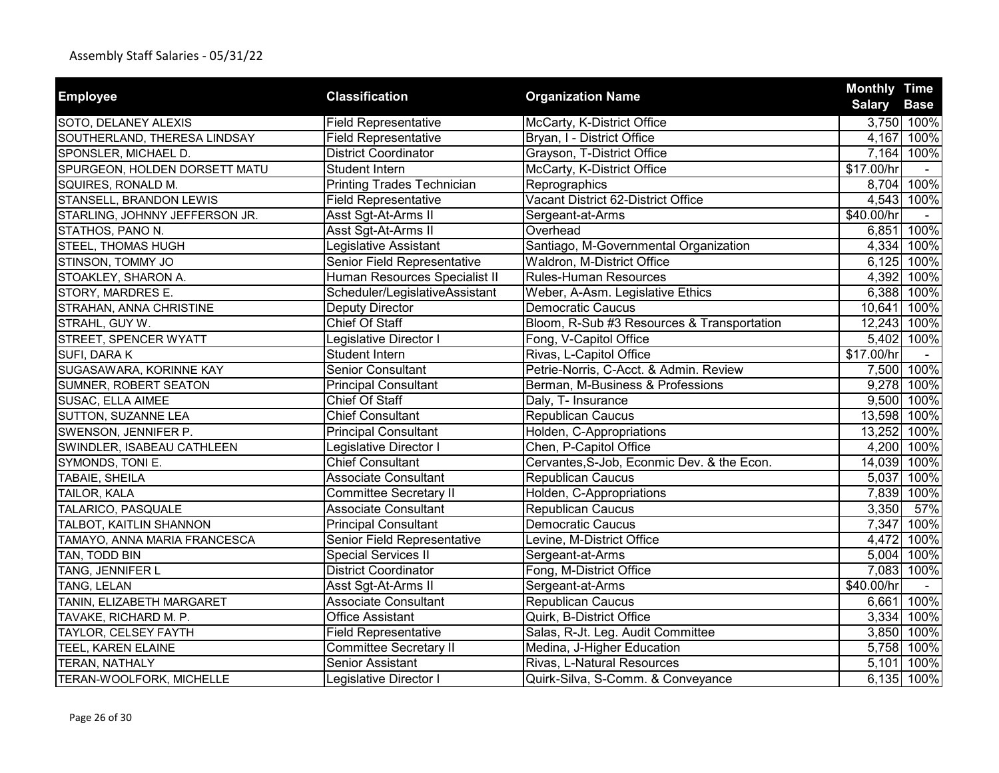| <b>Employee</b>                | <b>Classification</b>             | <b>Organization Name</b>                   | <b>Monthly Time</b> |             |
|--------------------------------|-----------------------------------|--------------------------------------------|---------------------|-------------|
|                                |                                   |                                            | <b>Salary</b>       | <b>Base</b> |
| SOTO, DELANEY ALEXIS           | <b>Field Representative</b>       | McCarty, K-District Office                 |                     | 3,750 100%  |
| SOUTHERLAND, THERESA LINDSAY   | <b>Field Representative</b>       | Bryan, I - District Office                 |                     | 4,167 100%  |
| SPONSLER, MICHAEL D.           | <b>District Coordinator</b>       | Grayson, T-District Office                 |                     | 7,164 100%  |
| SPURGEON, HOLDEN DORSETT MATU  | Student Intern                    | McCarty, K-District Office                 | \$17.00/hr          |             |
| SQUIRES, RONALD M.             | <b>Printing Trades Technician</b> | Reprographics                              |                     | 8,704 100%  |
| STANSELL, BRANDON LEWIS        | <b>Field Representative</b>       | Vacant District 62-District Office         |                     | 4,543 100%  |
| STARLING, JOHNNY JEFFERSON JR. | Asst Sgt-At-Arms II               | Sergeant-at-Arms                           | \$40.00/hr          |             |
| STATHOS, PANO N.               | Asst Sgt-At-Arms II               | Overhead                                   | 6,851               | 100%        |
| STEEL, THOMAS HUGH             | Legislative Assistant             | Santiago, M-Governmental Organization      |                     | 4,334 100%  |
| STINSON, TOMMY JO              | Senior Field Representative       | Waldron, M-District Office                 |                     | 6,125 100%  |
| STOAKLEY, SHARON A.            | Human Resources Specialist II     | <b>Rules-Human Resources</b>               | 4,392               | 100%        |
| STORY, MARDRES E.              | Scheduler/LegislativeAssistant    | Weber, A-Asm. Legislative Ethics           | 6,388               | 100%        |
| STRAHAN, ANNA CHRISTINE        | Deputy Director                   | <b>Democratic Caucus</b>                   | 10,641              | 100%        |
| STRAHL, GUY W.                 | Chief Of Staff                    | Bloom, R-Sub #3 Resources & Transportation | 12,243 100%         |             |
| STREET, SPENCER WYATT          | Legislative Director I            | Fong, V-Capitol Office                     |                     | 5,402 100%  |
| SUFI, DARA K                   | Student Intern                    | Rivas, L-Capitol Office                    | \$17.00/hr          |             |
| SUGASAWARA, KORINNE KAY        | <b>Senior Consultant</b>          | Petrie-Norris, C-Acct. & Admin. Review     |                     | 7,500 100%  |
| SUMNER, ROBERT SEATON          | <b>Principal Consultant</b>       | Berman, M-Business & Professions           |                     | 9,278 100%  |
| SUSAC, ELLA AIMEE              | Chief Of Staff                    | Daly, T- Insurance                         |                     | 9,500 100%  |
| SUTTON, SUZANNE LEA            | <b>Chief Consultant</b>           | Republican Caucus                          | 13,598 100%         |             |
| SWENSON, JENNIFER P.           | <b>Principal Consultant</b>       | Holden, C-Appropriations                   | 13,252 100%         |             |
| SWINDLER, ISABEAU CATHLEEN     | Legislative Director I            | Chen, P-Capitol Office                     |                     | 4,200 100%  |
| SYMONDS, TONI E.               | <b>Chief Consultant</b>           | Cervantes, S-Job, Econmic Dev. & the Econ. |                     | 14,039 100% |
| TABAIE, SHEILA                 | <b>Associate Consultant</b>       | <b>Republican Caucus</b>                   |                     | 5,037 100%  |
| TAILOR, KALA                   | <b>Committee Secretary II</b>     | Holden, C-Appropriations                   |                     | 7,839 100%  |
| TALARICO, PASQUALE             | <b>Associate Consultant</b>       | <b>Republican Caucus</b>                   | 3,350               | 57%         |
| TALBOT, KAITLIN SHANNON        | <b>Principal Consultant</b>       | <b>Democratic Caucus</b>                   | 7,347               | 100%        |
| TAMAYO, ANNA MARIA FRANCESCA   | Senior Field Representative       | Levine, M-District Office                  |                     | 4,472 100%  |
| TAN, TODD BIN                  | <b>Special Services II</b>        | Sergeant-at-Arms                           | 5,004               | 100%        |
| <b>TANG, JENNIFER L</b>        | <b>District Coordinator</b>       | Fong, M-District Office                    | 7,083               | 100%        |
| TANG, LELAN                    | Asst Sgt-At-Arms II               | Sergeant-at-Arms                           | \$40.00/hr          |             |
| TANIN, ELIZABETH MARGARET      | <b>Associate Consultant</b>       | <b>Republican Caucus</b>                   | 6,661               | 100%        |
| TAVAKE, RICHARD M. P.          | <b>Office Assistant</b>           | Quirk, B-District Office                   | 3,334               | 100%        |
| TAYLOR, CELSEY FAYTH           | <b>Field Representative</b>       | Salas, R-Jt. Leg. Audit Committee          | 3,850               | 100%        |
| TEEL, KAREN ELAINE             | <b>Committee Secretary II</b>     | Medina, J-Higher Education                 |                     | 5,758 100%  |
| TERAN, NATHALY                 | <b>Senior Assistant</b>           | Rivas, L-Natural Resources                 | 5,101               | 100%        |
| TERAN-WOOLFORK, MICHELLE       | Legislative Director I            | Quirk-Silva, S-Comm. & Conveyance          |                     | 6,135 100%  |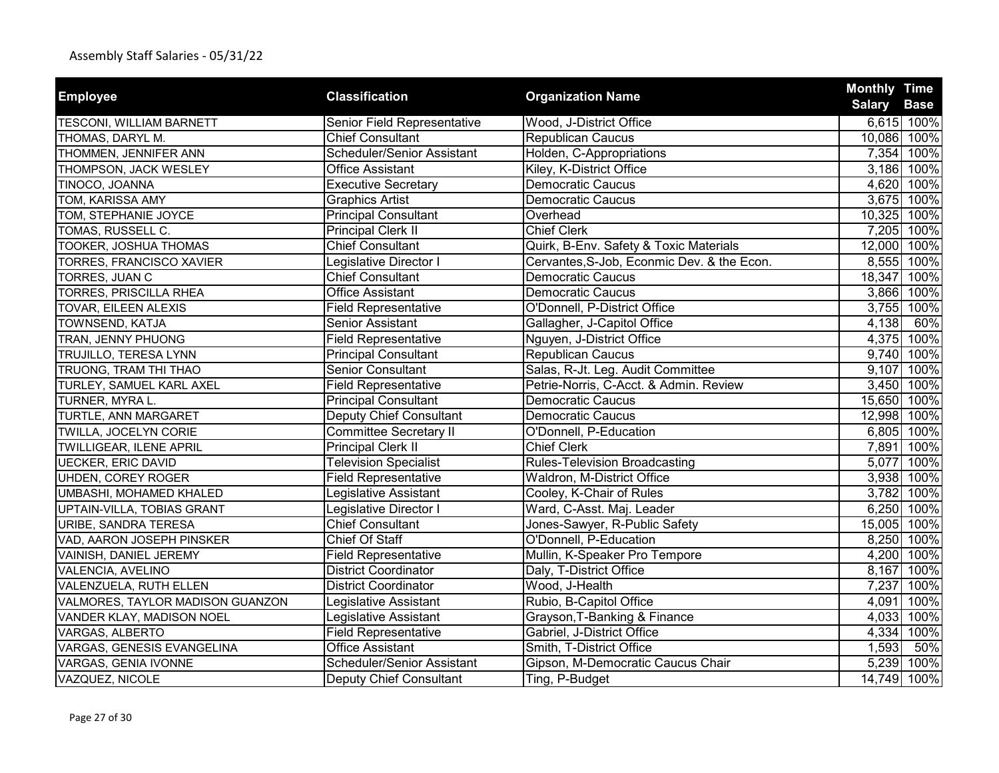| <b>Employee</b>                  | <b>Classification</b>          | <b>Organization Name</b>                   | <b>Monthly Time</b> |                           |
|----------------------------------|--------------------------------|--------------------------------------------|---------------------|---------------------------|
|                                  |                                | Wood, J-District Office                    | <b>Salary</b>       | <b>Base</b><br>6,615 100% |
| <b>TESCONI, WILLIAM BARNETT</b>  | Senior Field Representative    |                                            |                     |                           |
| THOMAS, DARYL M.                 | <b>Chief Consultant</b>        | <b>Republican Caucus</b>                   | 10,086              | 100%                      |
| THOMMEN, JENNIFER ANN            | Scheduler/Senior Assistant     | Holden, C-Appropriations                   | 7,354               | 100%                      |
| THOMPSON, JACK WESLEY            | <b>Office Assistant</b>        | Kiley, K-District Office                   |                     | 3,186 100%                |
| TINOCO, JOANNA                   | <b>Executive Secretary</b>     | <b>Democratic Caucus</b>                   |                     | 4,620 100%                |
| TOM, KARISSA AMY                 | <b>Graphics Artist</b>         | <b>Democratic Caucus</b>                   | 3,675               | 100%                      |
| TOM, STEPHANIE JOYCE             | <b>Principal Consultant</b>    | Overhead                                   |                     | 10,325 100%               |
| TOMAS, RUSSELL C.                | <b>Principal Clerk II</b>      | <b>Chief Clerk</b>                         |                     | 7,205 100%                |
| TOOKER, JOSHUA THOMAS            | <b>Chief Consultant</b>        | Quirk, B-Env. Safety & Toxic Materials     |                     | 12,000 100%               |
| TORRES, FRANCISCO XAVIER         | Legislative Director I         | Cervantes, S-Job, Econmic Dev. & the Econ. | 8,555               | 100%                      |
| TORRES, JUAN C                   | <b>Chief Consultant</b>        | <b>Democratic Caucus</b>                   | 18,347              | 100%                      |
| TORRES, PRISCILLA RHEA           | <b>Office Assistant</b>        | <b>Democratic Caucus</b>                   | 3,866               | 100%                      |
| TOVAR, EILEEN ALEXIS             | <b>Field Representative</b>    | O'Donnell, P-District Office               | 3,755               | 100%                      |
| TOWNSEND, KATJA                  | Senior Assistant               | Gallagher, J-Capitol Office                | 4,138               | 60%                       |
| TRAN, JENNY PHUONG               | <b>Field Representative</b>    | Nguyen, J-District Office                  |                     | 4,375 100%                |
| TRUJILLO, TERESA LYNN            | <b>Principal Consultant</b>    | Republican Caucus                          | 9,740               | 100%                      |
| TRUONG, TRAM THI THAO            | <b>Senior Consultant</b>       | Salas, R-Jt. Leg. Audit Committee          |                     | 9,107 100%                |
| TURLEY, SAMUEL KARL AXEL         | <b>Field Representative</b>    | Petrie-Norris, C-Acct. & Admin. Review     |                     | 3,450 100%                |
| TURNER, MYRA L.                  | <b>Principal Consultant</b>    | Democratic Caucus                          |                     | 15,650 100%               |
| TURTLE, ANN MARGARET             | Deputy Chief Consultant        | <b>Democratic Caucus</b>                   |                     | 12,998 100%               |
| TWILLA, JOCELYN CORIE            | <b>Committee Secretary II</b>  | O'Donnell, P-Education                     | 6,805               | 100%                      |
| TWILLIGEAR, ILENE APRIL          | <b>Principal Clerk II</b>      | <b>Chief Clerk</b>                         |                     | 7,891 100%                |
| <b>UECKER, ERIC DAVID</b>        | <b>Television Specialist</b>   | <b>Rules-Television Broadcasting</b>       | 5,077               | 100%                      |
| UHDEN, COREY ROGER               | <b>Field Representative</b>    | Waldron, M-District Office                 | 3,938               | 100%                      |
| UMBASHI, MOHAMED KHALED          | Legislative Assistant          | Cooley, K-Chair of Rules                   | 3,782               | 100%                      |
| UPTAIN-VILLA, TOBIAS GRANT       | Legislative Director I         | Ward, C-Asst. Maj. Leader                  | 6,250               | 100%                      |
| <b>URIBE, SANDRA TERESA</b>      | <b>Chief Consultant</b>        | Jones-Sawyer, R-Public Safety              |                     | 15,005 100%               |
| VAD, AARON JOSEPH PINSKER        | <b>Chief Of Staff</b>          | O'Donnell, P-Education                     | 8,250               | 100%                      |
| VAINISH, DANIEL JEREMY           | <b>Field Representative</b>    | Mullin, K-Speaker Pro Tempore              |                     | 4,200 100%                |
| VALENCIA, AVELINO                | <b>District Coordinator</b>    | Daly, T-District Office                    | 8,167               | 100%                      |
| VALENZUELA, RUTH ELLEN           | <b>District Coordinator</b>    | Wood, J-Health                             | 7,237               | 100%                      |
| VALMORES, TAYLOR MADISON GUANZON | Legislative Assistant          | Rubio, B-Capitol Office                    | 4,091               | 100%                      |
| VANDER KLAY, MADISON NOEL        | Legislative Assistant          | Grayson, T-Banking & Finance               | 4,033               | 100%                      |
| VARGAS, ALBERTO                  | <b>Field Representative</b>    | Gabriel, J-District Office                 | 4,334               | 100%                      |
| VARGAS, GENESIS EVANGELINA       | <b>Office Assistant</b>        | Smith, T-District Office                   | 1,593               | 50%                       |
| VARGAS, GENIA IVONNE             | Scheduler/Senior Assistant     | Gipson, M-Democratic Caucus Chair          | 5,239               | 100%                      |
| VAZQUEZ, NICOLE                  | <b>Deputy Chief Consultant</b> | Ting, P-Budget                             |                     | 14,749 100%               |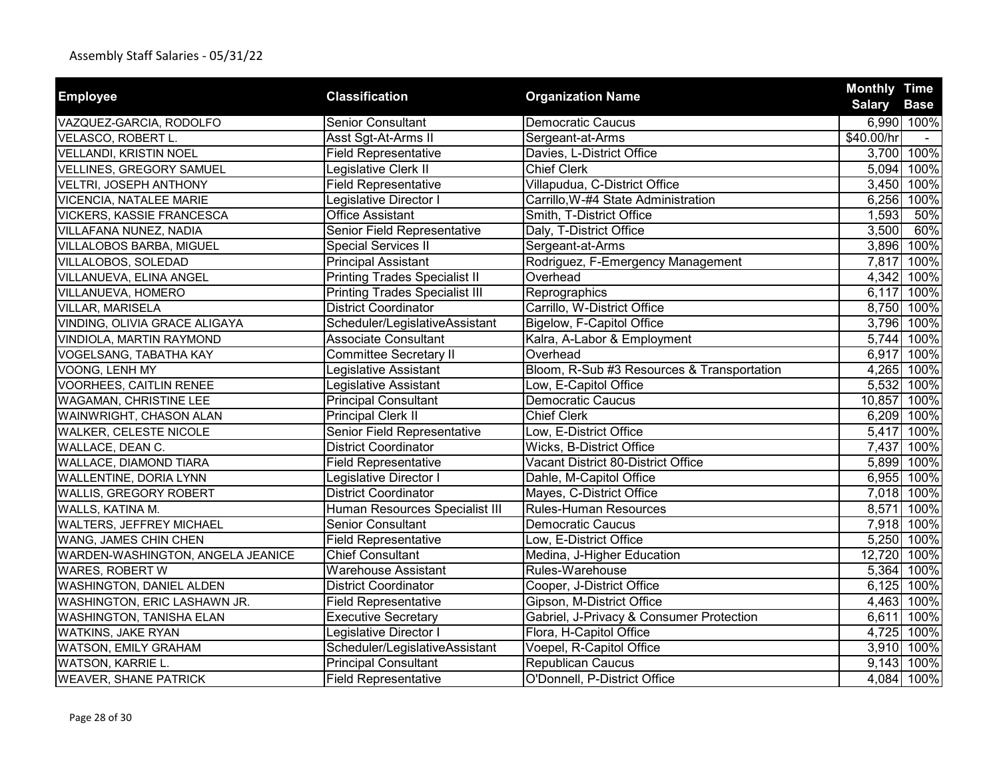|                                   | <b>Classification</b>                 |                                            | <b>Monthly Time</b> |             |
|-----------------------------------|---------------------------------------|--------------------------------------------|---------------------|-------------|
| <b>Employee</b>                   |                                       | <b>Organization Name</b>                   | <b>Salary</b>       | <b>Base</b> |
| VAZQUEZ-GARCIA, RODOLFO           | <b>Senior Consultant</b>              | <b>Democratic Caucus</b>                   |                     | 6,990 100%  |
| VELASCO, ROBERT L.                | Asst Sgt-At-Arms II                   | Sergeant-at-Arms                           | \$40.00/hr          | $\sim$      |
| VELLANDI, KRISTIN NOEL            | <b>Field Representative</b>           | Davies, L-District Office                  |                     | 3,700 100%  |
| VELLINES, GREGORY SAMUEL          | Legislative Clerk II                  | <b>Chief Clerk</b>                         | 5,094               | 100%        |
| <b>VELTRI, JOSEPH ANTHONY</b>     | <b>Field Representative</b>           | Villapudua, C-District Office              | 3,450               | 100%        |
| <b>VICENCIA, NATALEE MARIE</b>    | Legislative Director I                | Carrillo, W-#4 State Administration        | 6,256               | 100%        |
| <b>VICKERS, KASSIE FRANCESCA</b>  | <b>Office Assistant</b>               | Smith, T-District Office                   | 1,593               | 50%         |
| VILLAFANA NUNEZ, NADIA            | Senior Field Representative           | Daly, T-District Office                    | 3,500               | 60%         |
| VILLALOBOS BARBA, MIGUEL          | <b>Special Services II</b>            | Sergeant-at-Arms                           | 3,896               | 100%        |
| VILLALOBOS, SOLEDAD               | <b>Principal Assistant</b>            | Rodriguez, F-Emergency Management          | 7,817               | 100%        |
| VILLANUEVA, ELINA ANGEL           | <b>Printing Trades Specialist II</b>  | Overhead                                   | 4,342               | 100%        |
| VILLANUEVA, HOMERO                | <b>Printing Trades Specialist III</b> | Reprographics                              | 6,117               | 100%        |
| <b>VILLAR, MARISELA</b>           | <b>District Coordinator</b>           | Carrillo, W-District Office                | 8,750               | 100%        |
| VINDING, OLIVIA GRACE ALIGAYA     | Scheduler/LegislativeAssistant        | Bigelow, F-Capitol Office                  | 3,796               | 100%        |
| VINDIOLA, MARTIN RAYMOND          | <b>Associate Consultant</b>           | Kalra, A-Labor & Employment                | 5,744               | 100%        |
| VOGELSANG, TABATHA KAY            | <b>Committee Secretary II</b>         | Overhead                                   | 6,917               | 100%        |
| VOONG, LENH MY                    | Legislative Assistant                 | Bloom, R-Sub #3 Resources & Transportation | 4,265               | 100%        |
| <b>VOORHEES, CAITLIN RENEE</b>    | Legislative Assistant                 | Low, E-Capitol Office                      | 5,532               | 100%        |
| <b>WAGAMAN, CHRISTINE LEE</b>     | <b>Principal Consultant</b>           | <b>Democratic Caucus</b>                   | 10,857              | 100%        |
| WAINWRIGHT, CHASON ALAN           | <b>Principal Clerk II</b>             | <b>Chief Clerk</b>                         |                     | 6,209 100%  |
| <b>WALKER, CELESTE NICOLE</b>     | Senior Field Representative           | Low, E-District Office                     | 5,417               | 100%        |
| WALLACE, DEAN C.                  | <b>District Coordinator</b>           | Wicks, B-District Office                   | 7,437               | 100%        |
| <b>WALLACE, DIAMOND TIARA</b>     | <b>Field Representative</b>           | Vacant District 80-District Office         | 5,899               | 100%        |
| <b>WALLENTINE, DORIA LYNN</b>     | Legislative Director I                | Dahle, M-Capitol Office                    | 6,955               | 100%        |
| <b>WALLIS, GREGORY ROBERT</b>     | <b>District Coordinator</b>           | Mayes, C-District Office                   | 7,018               | 100%        |
| WALLS, KATINA M.                  | Human Resources Specialist III        | <b>Rules-Human Resources</b>               | 8,571               | 100%        |
| <b>WALTERS, JEFFREY MICHAEL</b>   | Senior Consultant                     | <b>Democratic Caucus</b>                   | 7,918               | 100%        |
| <b>WANG, JAMES CHIN CHEN</b>      | <b>Field Representative</b>           | Low, E-District Office                     | 5,250               | 100%        |
| WARDEN-WASHINGTON, ANGELA JEANICE | <b>Chief Consultant</b>               | Medina, J-Higher Education                 | 12,720              | 100%        |
| WARES, ROBERT W                   | <b>Warehouse Assistant</b>            | Rules-Warehouse                            | 5,364               | 100%        |
| <b>WASHINGTON, DANIEL ALDEN</b>   | <b>District Coordinator</b>           | Cooper, J-District Office                  | 6,125               | 100%        |
| WASHINGTON, ERIC LASHAWN JR.      | <b>Field Representative</b>           | Gipson, M-District Office                  | 4,463               | 100%        |
| <b>WASHINGTON, TANISHA ELAN</b>   | <b>Executive Secretary</b>            | Gabriel, J-Privacy & Consumer Protection   | 6,611               | 100%        |
| <b>WATKINS, JAKE RYAN</b>         | Legislative Director I                | Flora, H-Capitol Office                    | 4,725               | 100%        |
| <b>WATSON, EMILY GRAHAM</b>       | Scheduler/LegislativeAssistant        | Voepel, R-Capitol Office                   | 3,910               | 100%        |
| WATSON, KARRIE L.                 | <b>Principal Consultant</b>           | Republican Caucus                          | 9,143               | 100%        |
| <b>WEAVER, SHANE PATRICK</b>      | <b>Field Representative</b>           | O'Donnell, P-District Office               |                     | 4,084 100%  |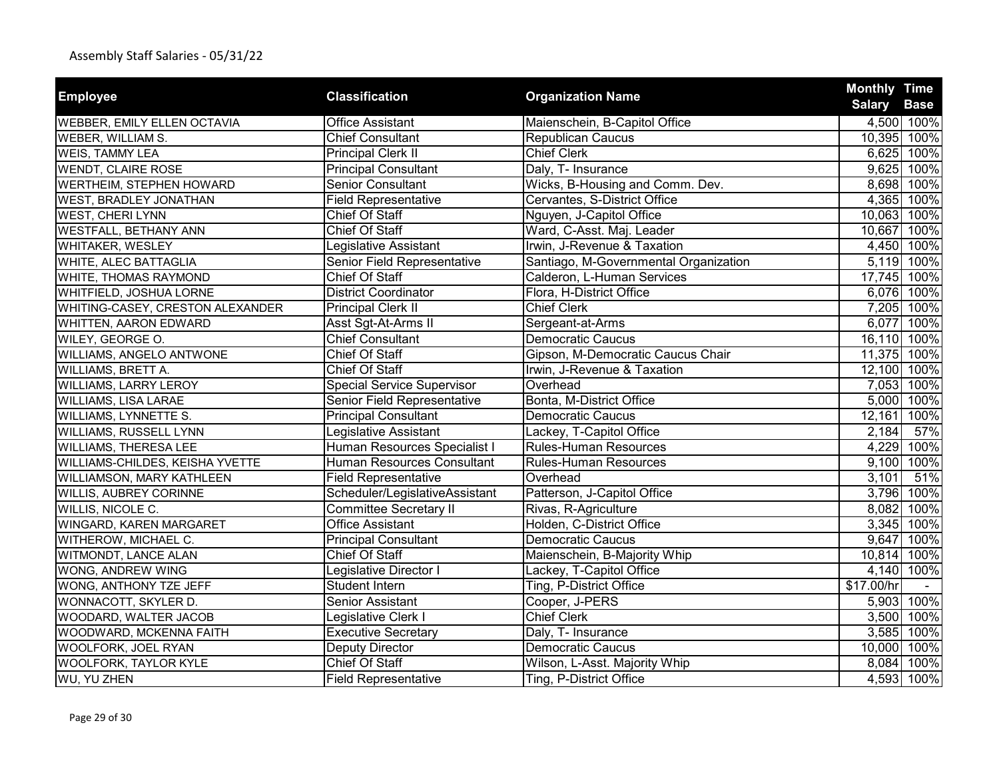| <b>Employee</b>                    | <b>Classification</b>             | <b>Organization Name</b>              | <b>Monthly Time</b> |             |
|------------------------------------|-----------------------------------|---------------------------------------|---------------------|-------------|
|                                    |                                   |                                       | <b>Salary</b>       | <b>Base</b> |
| <b>WEBBER, EMILY ELLEN OCTAVIA</b> | <b>Office Assistant</b>           | Maienschein, B-Capitol Office         |                     | 4,500 100%  |
| WEBER, WILLIAM S.                  | <b>Chief Consultant</b>           | Republican Caucus                     |                     | 10,395 100% |
| WEIS, TAMMY LEA                    | <b>Principal Clerk II</b>         | <b>Chief Clerk</b>                    |                     | 6,625 100%  |
| <b>WENDT, CLAIRE ROSE</b>          | <b>Principal Consultant</b>       | Daly, T- Insurance                    |                     | 9,625 100%  |
| WERTHEIM, STEPHEN HOWARD           | <b>Senior Consultant</b>          | Wicks, B-Housing and Comm. Dev.       |                     | 8,698 100%  |
| <b>WEST, BRADLEY JONATHAN</b>      | <b>Field Representative</b>       | Cervantes, S-District Office          |                     | 4,365 100%  |
| <b>WEST, CHERI LYNN</b>            | <b>Chief Of Staff</b>             | Nguyen, J-Capitol Office              | 10,063 100%         |             |
| <b>WESTFALL, BETHANY ANN</b>       | Chief Of Staff                    | Ward, C-Asst. Maj. Leader             | 10,667 100%         |             |
| WHITAKER, WESLEY                   | Legislative Assistant             | Irwin, J-Revenue & Taxation           |                     | 4,450 100%  |
| WHITE, ALEC BATTAGLIA              | Senior Field Representative       | Santiago, M-Governmental Organization |                     | 5,119 100%  |
| WHITE, THOMAS RAYMOND              | Chief Of Staff                    | Calderon, L-Human Services            | 17,745 100%         |             |
| WHITFIELD, JOSHUA LORNE            | <b>District Coordinator</b>       | Flora, H-District Office              |                     | 6,076 100%  |
| WHITING-CASEY, CRESTON ALEXANDER   | <b>Principal Clerk II</b>         | Chief Clerk                           |                     | 7,205 100%  |
| WHITTEN, AARON EDWARD              | Asst Sgt-At-Arms II               | Sergeant-at-Arms                      | 6,077               | 100%        |
| WILEY, GEORGE O.                   | <b>Chief Consultant</b>           | <b>Democratic Caucus</b>              | 16,110 100%         |             |
| WILLIAMS, ANGELO ANTWONE           | Chief Of Staff                    | Gipson, M-Democratic Caucus Chair     | 11,375 100%         |             |
| WILLIAMS, BRETT A.                 | <b>Chief Of Staff</b>             | Irwin, J-Revenue & Taxation           | 12,100 100%         |             |
| <b>WILLIAMS, LARRY LEROY</b>       | <b>Special Service Supervisor</b> | Overhead                              |                     | 7,053 100%  |
| WILLIAMS, LISA LARAE               | Senior Field Representative       | Bonta, M-District Office              |                     | 5,000 100%  |
| WILLIAMS, LYNNETTE S.              | <b>Principal Consultant</b>       | <b>Democratic Caucus</b>              | 12,161              | 100%        |
| WILLIAMS, RUSSELL LYNN             | Legislative Assistant             | Lackey, T-Capitol Office              | 2,184               | 57%         |
| WILLIAMS, THERESA LEE              | Human Resources Specialist I      | Rules-Human Resources                 |                     | 4,229 100%  |
| WILLIAMS-CHILDES, KEISHA YVETTE    | <b>Human Resources Consultant</b> | <b>Rules-Human Resources</b>          |                     | 9,100 100%  |
| WILLIAMSON, MARY KATHLEEN          | <b>Field Representative</b>       | Overhead                              | 3,101               | 51%         |
| WILLIS, AUBREY CORINNE             | Scheduler/LegislativeAssistant    | Patterson, J-Capitol Office           |                     | 3,796 100%  |
| WILLIS, NICOLE C.                  | <b>Committee Secretary II</b>     | Rivas, R-Agriculture                  |                     | 8,082 100%  |
| WINGARD, KAREN MARGARET            | <b>Office Assistant</b>           | Holden, C-District Office             |                     | 3,345 100%  |
| WITHEROW, MICHAEL C.               | <b>Principal Consultant</b>       | <b>Democratic Caucus</b>              |                     | 9,647 100%  |
| WITMONDT, LANCE ALAN               | <b>Chief Of Staff</b>             | Maienschein, B-Majority Whip          | 10,814 100%         |             |
| WONG, ANDREW WING                  | Legislative Director I            | Lackey, T-Capitol Office              |                     | 4,140 100%  |
| WONG, ANTHONY TZE JEFF             | <b>Student Intern</b>             | Ting, P-District Office               | \$17.00/hr          |             |
| WONNACOTT, SKYLER D.               | Senior Assistant                  | Cooper, J-PERS                        |                     | 5,903 100%  |
| WOODARD, WALTER JACOB              | Legislative Clerk I               | <b>Chief Clerk</b>                    | 3,500               | 100%        |
| WOODWARD, MCKENNA FAITH            | <b>Executive Secretary</b>        | Daly, T- Insurance                    |                     | 3,585 100%  |
| WOOLFORK, JOEL RYAN                | Deputy Director                   | <b>Democratic Caucus</b>              | 10,000 100%         |             |
| WOOLFORK, TAYLOR KYLE              | <b>Chief Of Staff</b>             | Wilson, L-Asst. Majority Whip         |                     | 8,084 100%  |
| WU, YU ZHEN                        | <b>Field Representative</b>       | Ting, P-District Office               |                     | 4,593 100%  |